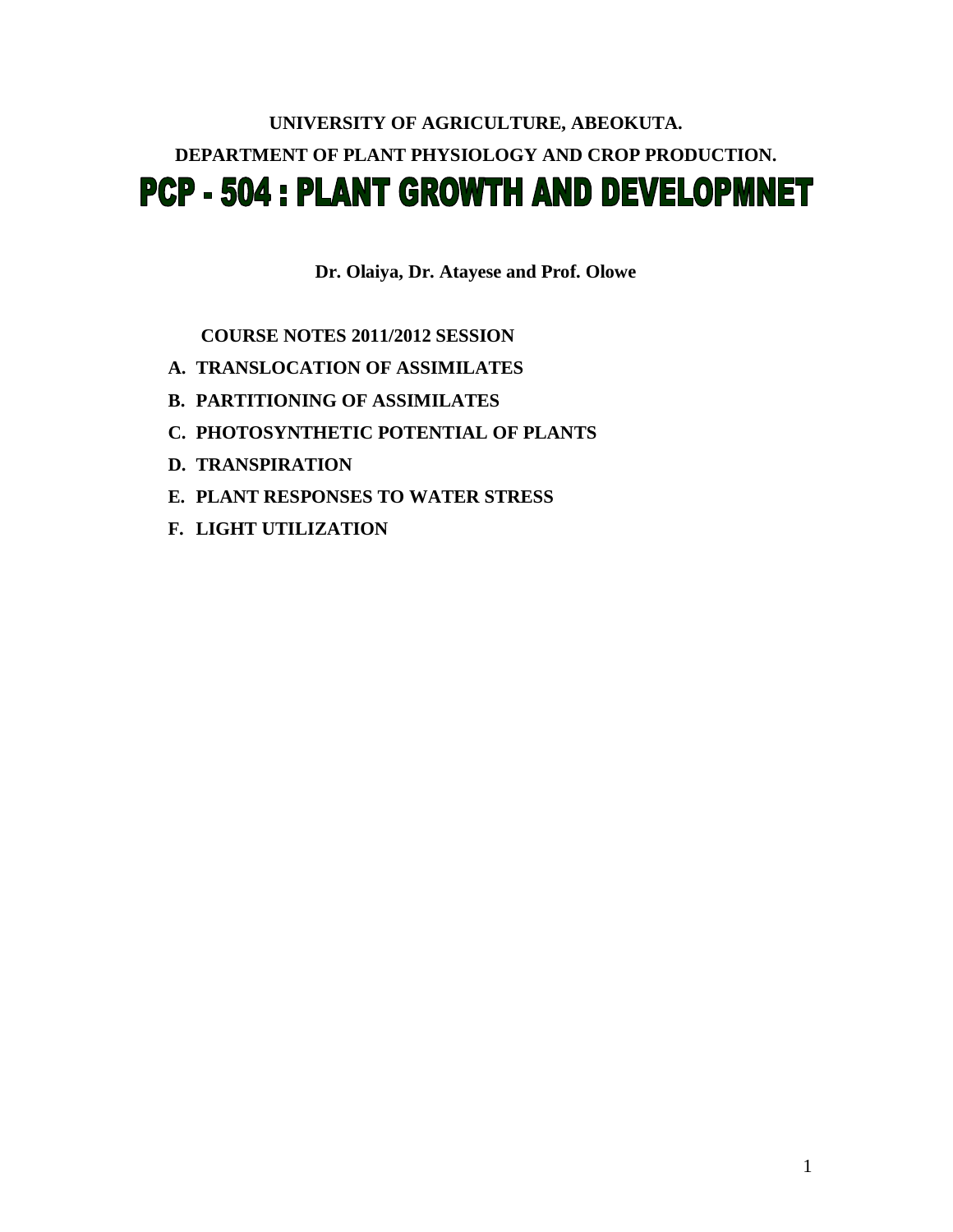# **UNIVERSITY OF AGRICULTURE, ABEOKUTA. DEPARTMENT OF PLANT PHYSIOLOGY AND CROP PRODUCTION. PCP - 504 : PLANT GROWTH AND DEVELOPMNET**

**Dr. Olaiya, Dr. Atayese and Prof. Olowe**

 **COURSE NOTES 2011/2012 SESSION**

- **A. TRANSLOCATION OF ASSIMILATES**
- **B. PARTITIONING OF ASSIMILATES**
- **C. PHOTOSYNTHETIC POTENTIAL OF PLANTS**
- **D. TRANSPIRATION**
- **E. PLANT RESPONSES TO WATER STRESS**
- **F. LIGHT UTILIZATION**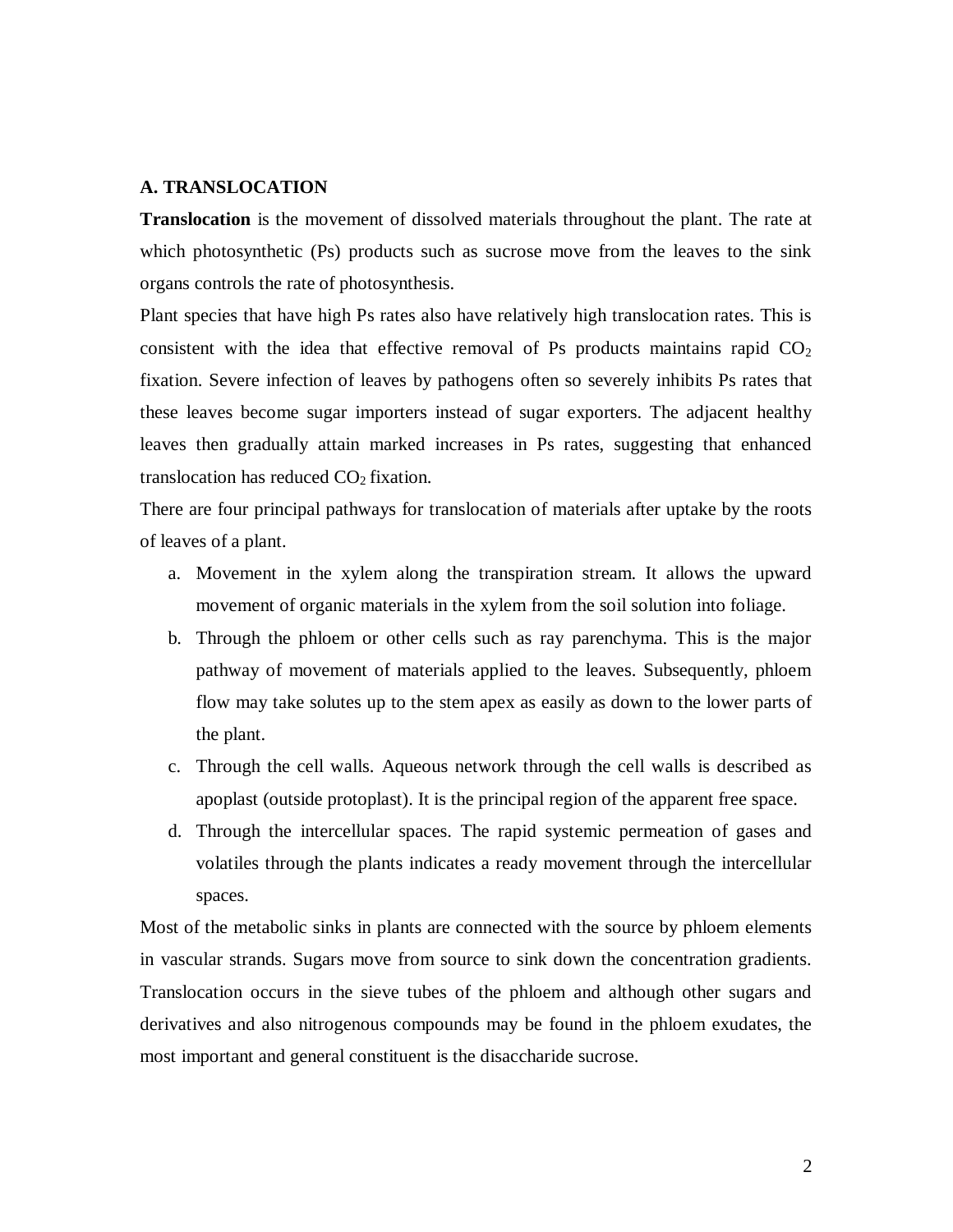#### **A. TRANSLOCATION**

**Translocation** is the movement of dissolved materials throughout the plant. The rate at which photosynthetic (Ps) products such as sucrose move from the leaves to the sink organs controls the rate of photosynthesis.

Plant species that have high Ps rates also have relatively high translocation rates. This is consistent with the idea that effective removal of Ps products maintains rapid  $CO<sub>2</sub>$ fixation. Severe infection of leaves by pathogens often so severely inhibits Ps rates that these leaves become sugar importers instead of sugar exporters. The adjacent healthy leaves then gradually attain marked increases in Ps rates, suggesting that enhanced translocation has reduced  $CO<sub>2</sub>$  fixation.

There are four principal pathways for translocation of materials after uptake by the roots of leaves of a plant.

- a. Movement in the xylem along the transpiration stream. It allows the upward movement of organic materials in the xylem from the soil solution into foliage.
- b. Through the phloem or other cells such as ray parenchyma. This is the major pathway of movement of materials applied to the leaves. Subsequently, phloem flow may take solutes up to the stem apex as easily as down to the lower parts of the plant.
- c. Through the cell walls. Aqueous network through the cell walls is described as apoplast (outside protoplast). It is the principal region of the apparent free space.
- d. Through the intercellular spaces. The rapid systemic permeation of gases and volatiles through the plants indicates a ready movement through the intercellular spaces.

Most of the metabolic sinks in plants are connected with the source by phloem elements in vascular strands. Sugars move from source to sink down the concentration gradients. Translocation occurs in the sieve tubes of the phloem and although other sugars and derivatives and also nitrogenous compounds may be found in the phloem exudates, the most important and general constituent is the disaccharide sucrose.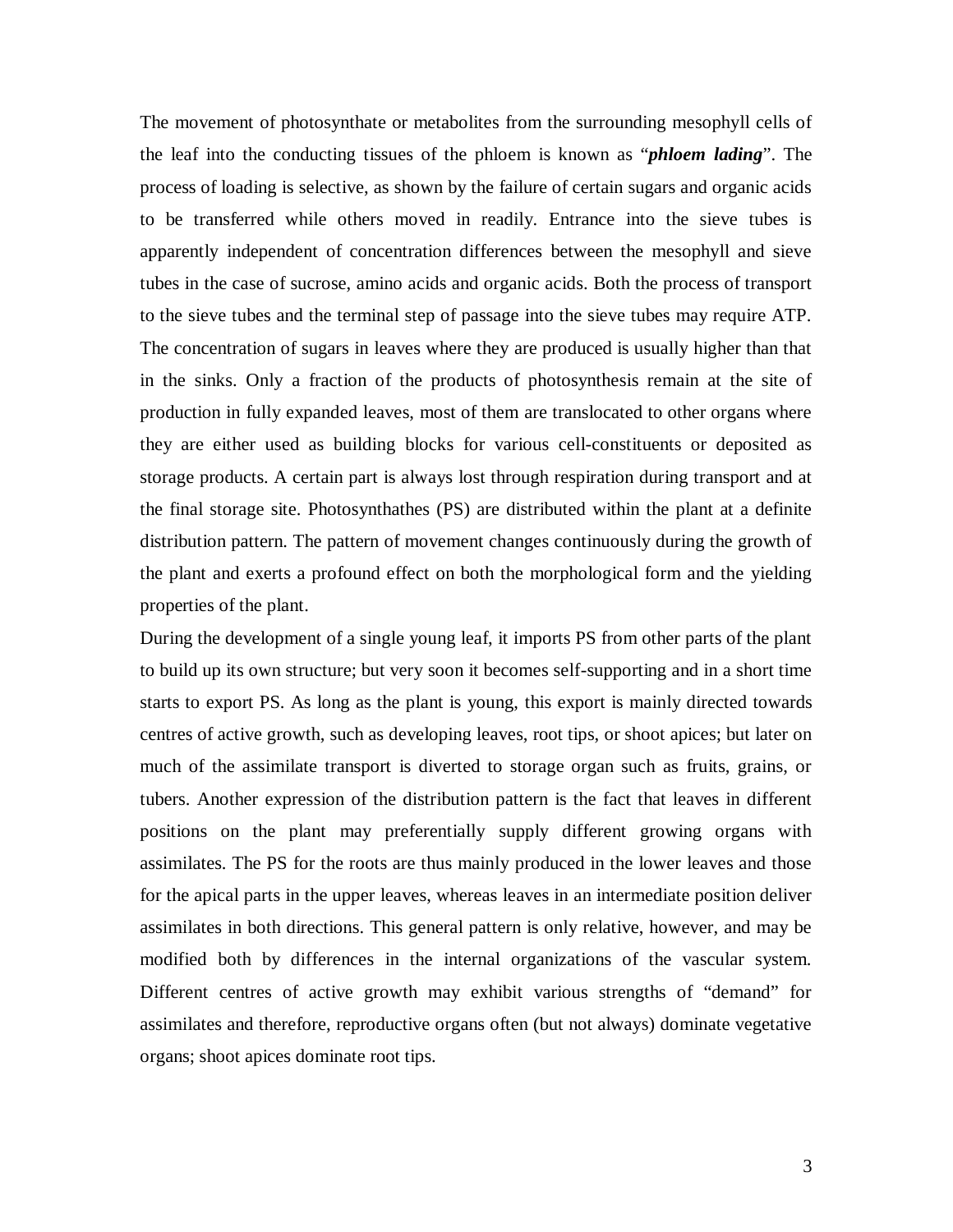The movement of photosynthate or metabolites from the surrounding mesophyll cells of the leaf into the conducting tissues of the phloem is known as "*phloem lading*". The process of loading is selective, as shown by the failure of certain sugars and organic acids to be transferred while others moved in readily. Entrance into the sieve tubes is apparently independent of concentration differences between the mesophyll and sieve tubes in the case of sucrose, amino acids and organic acids. Both the process of transport to the sieve tubes and the terminal step of passage into the sieve tubes may require ATP. The concentration of sugars in leaves where they are produced is usually higher than that in the sinks. Only a fraction of the products of photosynthesis remain at the site of production in fully expanded leaves, most of them are translocated to other organs where they are either used as building blocks for various cell-constituents or deposited as storage products. A certain part is always lost through respiration during transport and at the final storage site. Photosynthathes (PS) are distributed within the plant at a definite distribution pattern. The pattern of movement changes continuously during the growth of the plant and exerts a profound effect on both the morphological form and the yielding properties of the plant.

During the development of a single young leaf, it imports PS from other parts of the plant to build up its own structure; but very soon it becomes self-supporting and in a short time starts to export PS. As long as the plant is young, this export is mainly directed towards centres of active growth, such as developing leaves, root tips, or shoot apices; but later on much of the assimilate transport is diverted to storage organ such as fruits, grains, or tubers. Another expression of the distribution pattern is the fact that leaves in different positions on the plant may preferentially supply different growing organs with assimilates. The PS for the roots are thus mainly produced in the lower leaves and those for the apical parts in the upper leaves, whereas leaves in an intermediate position deliver assimilates in both directions. This general pattern is only relative, however, and may be modified both by differences in the internal organizations of the vascular system. Different centres of active growth may exhibit various strengths of "demand" for assimilates and therefore, reproductive organs often (but not always) dominate vegetative organs; shoot apices dominate root tips.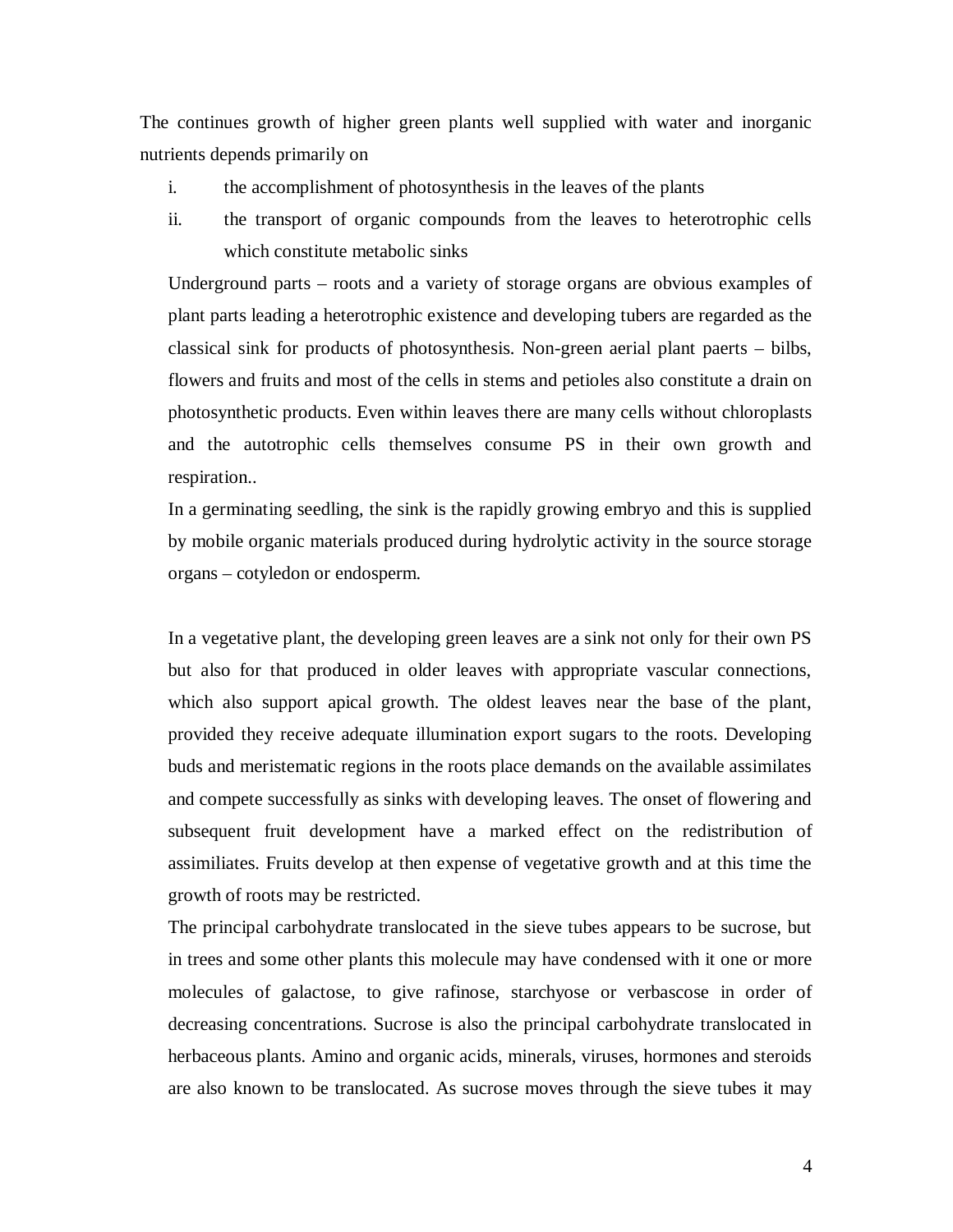The continues growth of higher green plants well supplied with water and inorganic nutrients depends primarily on

- i. the accomplishment of photosynthesis in the leaves of the plants
- ii. the transport of organic compounds from the leaves to heterotrophic cells which constitute metabolic sinks

Underground parts – roots and a variety of storage organs are obvious examples of plant parts leading a heterotrophic existence and developing tubers are regarded as the classical sink for products of photosynthesis. Non-green aerial plant paerts – bilbs, flowers and fruits and most of the cells in stems and petioles also constitute a drain on photosynthetic products. Even within leaves there are many cells without chloroplasts and the autotrophic cells themselves consume PS in their own growth and respiration..

In a germinating seedling, the sink is the rapidly growing embryo and this is supplied by mobile organic materials produced during hydrolytic activity in the source storage organs – cotyledon or endosperm.

In a vegetative plant, the developing green leaves are a sink not only for their own PS but also for that produced in older leaves with appropriate vascular connections, which also support apical growth. The oldest leaves near the base of the plant, provided they receive adequate illumination export sugars to the roots. Developing buds and meristematic regions in the roots place demands on the available assimilates and compete successfully as sinks with developing leaves. The onset of flowering and subsequent fruit development have a marked effect on the redistribution of assimiliates. Fruits develop at then expense of vegetative growth and at this time the growth of roots may be restricted.

The principal carbohydrate translocated in the sieve tubes appears to be sucrose, but in trees and some other plants this molecule may have condensed with it one or more molecules of galactose, to give rafinose, starchyose or verbascose in order of decreasing concentrations. Sucrose is also the principal carbohydrate translocated in herbaceous plants. Amino and organic acids, minerals, viruses, hormones and steroids are also known to be translocated. As sucrose moves through the sieve tubes it may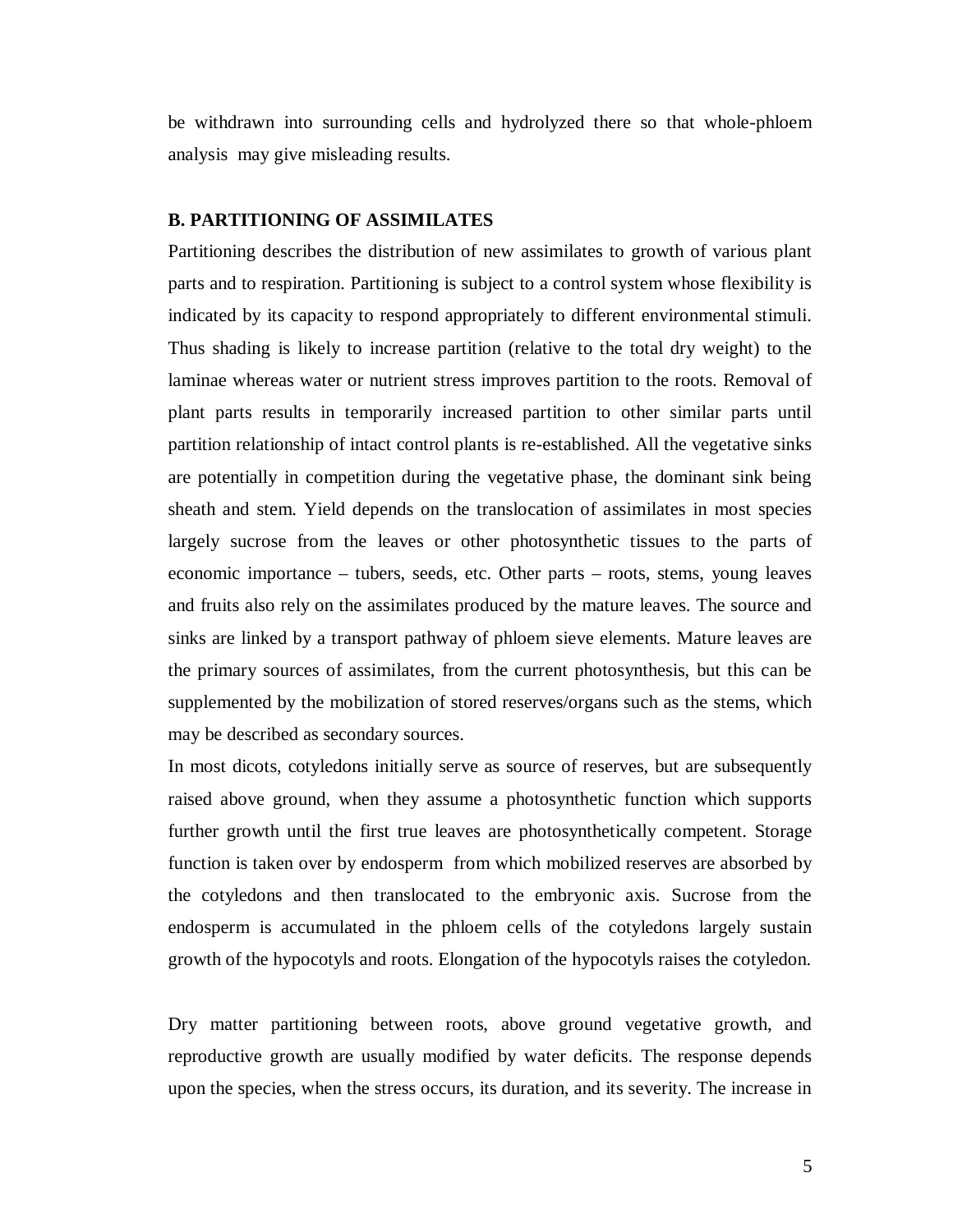be withdrawn into surrounding cells and hydrolyzed there so that whole-phloem analysis may give misleading results.

#### **B. PARTITIONING OF ASSIMILATES**

Partitioning describes the distribution of new assimilates to growth of various plant parts and to respiration. Partitioning is subject to a control system whose flexibility is indicated by its capacity to respond appropriately to different environmental stimuli. Thus shading is likely to increase partition (relative to the total dry weight) to the laminae whereas water or nutrient stress improves partition to the roots. Removal of plant parts results in temporarily increased partition to other similar parts until partition relationship of intact control plants is re-established. All the vegetative sinks are potentially in competition during the vegetative phase, the dominant sink being sheath and stem. Yield depends on the translocation of assimilates in most species largely sucrose from the leaves or other photosynthetic tissues to the parts of economic importance – tubers, seeds, etc. Other parts – roots, stems, young leaves and fruits also rely on the assimilates produced by the mature leaves. The source and sinks are linked by a transport pathway of phloem sieve elements. Mature leaves are the primary sources of assimilates, from the current photosynthesis, but this can be supplemented by the mobilization of stored reserves/organs such as the stems, which may be described as secondary sources.

In most dicots, cotyledons initially serve as source of reserves, but are subsequently raised above ground, when they assume a photosynthetic function which supports further growth until the first true leaves are photosynthetically competent. Storage function is taken over by endosperm from which mobilized reserves are absorbed by the cotyledons and then translocated to the embryonic axis. Sucrose from the endosperm is accumulated in the phloem cells of the cotyledons largely sustain growth of the hypocotyls and roots. Elongation of the hypocotyls raises the cotyledon.

Dry matter partitioning between roots, above ground vegetative growth, and reproductive growth are usually modified by water deficits. The response depends upon the species, when the stress occurs, its duration, and its severity. The increase in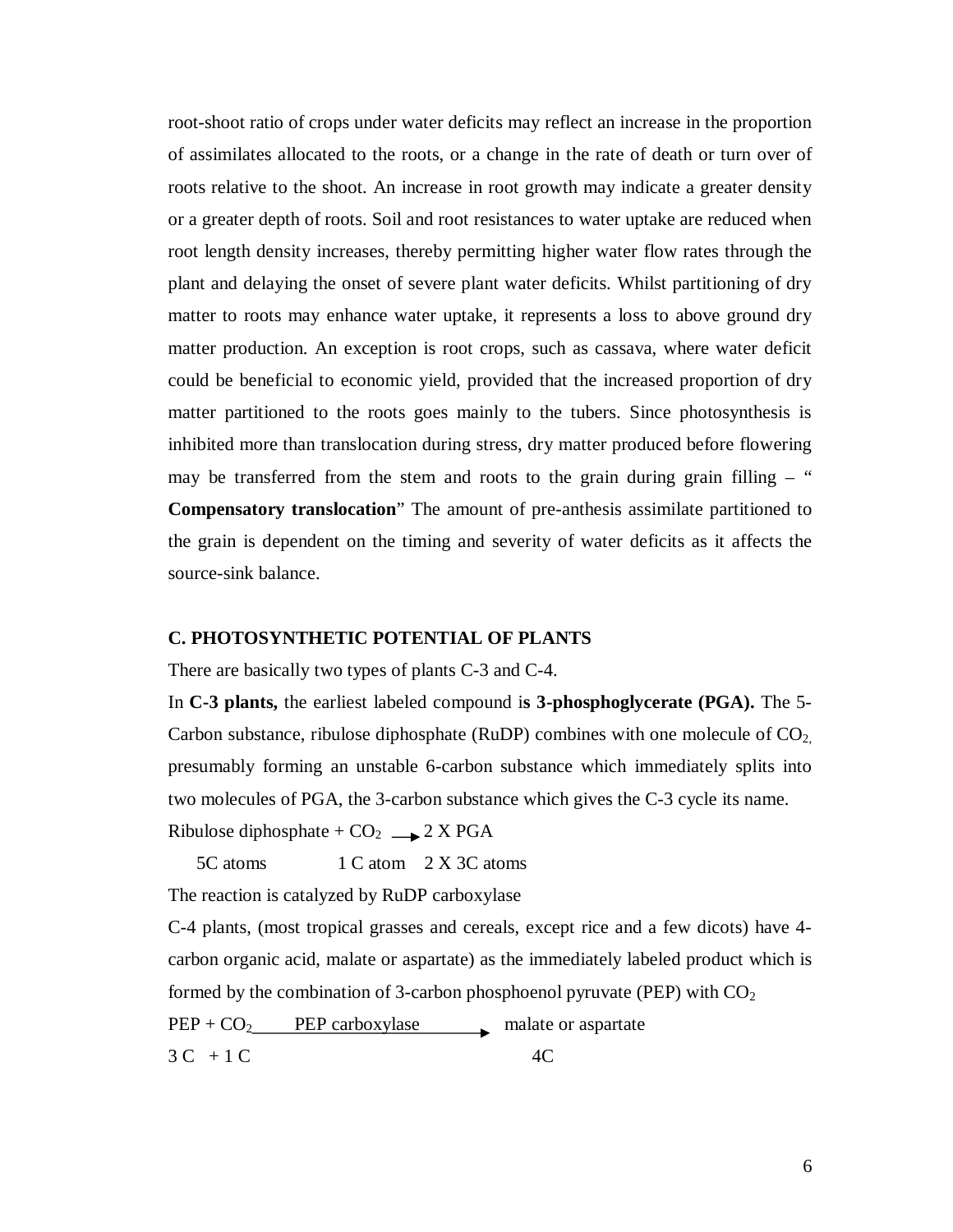root-shoot ratio of crops under water deficits may reflect an increase in the proportion of assimilates allocated to the roots, or a change in the rate of death or turn over of roots relative to the shoot. An increase in root growth may indicate a greater density or a greater depth of roots. Soil and root resistances to water uptake are reduced when root length density increases, thereby permitting higher water flow rates through the plant and delaying the onset of severe plant water deficits. Whilst partitioning of dry matter to roots may enhance water uptake, it represents a loss to above ground dry matter production. An exception is root crops, such as cassava, where water deficit could be beneficial to economic yield, provided that the increased proportion of dry matter partitioned to the roots goes mainly to the tubers. Since photosynthesis is inhibited more than translocation during stress, dry matter produced before flowering may be transferred from the stem and roots to the grain during grain filling  $-$  " **Compensatory translocation**" The amount of pre-anthesis assimilate partitioned to the grain is dependent on the timing and severity of water deficits as it affects the source-sink balance.

#### **C. PHOTOSYNTHETIC POTENTIAL OF PLANTS**

There are basically two types of plants C-3 and C-4.

In **C-3 plants,** the earliest labeled compound i**s 3-phosphoglycerate (PGA).** The 5- Carbon substance, ribulose diphosphate (RuDP) combines with one molecule of  $CO<sub>2</sub>$ , presumably forming an unstable 6-carbon substance which immediately splits into two molecules of PGA, the 3-carbon substance which gives the C-3 cycle its name. Ribulose diphosphate +  $CO<sub>2</sub>$   $\longrightarrow$  2 X PGA

5C atoms 1 C atom 2 X 3C atoms

The reaction is catalyzed by RuDP carboxylase

C-4 plants, (most tropical grasses and cereals, except rice and a few dicots) have 4 carbon organic acid, malate or aspartate) as the immediately labeled product which is formed by the combination of 3-carbon phosphoenol pyruvate (PEP) with  $CO<sub>2</sub>$ 

 $PEP + CO_2$  PEP carboxylase malate or aspartate

 $3C + 1C$  4C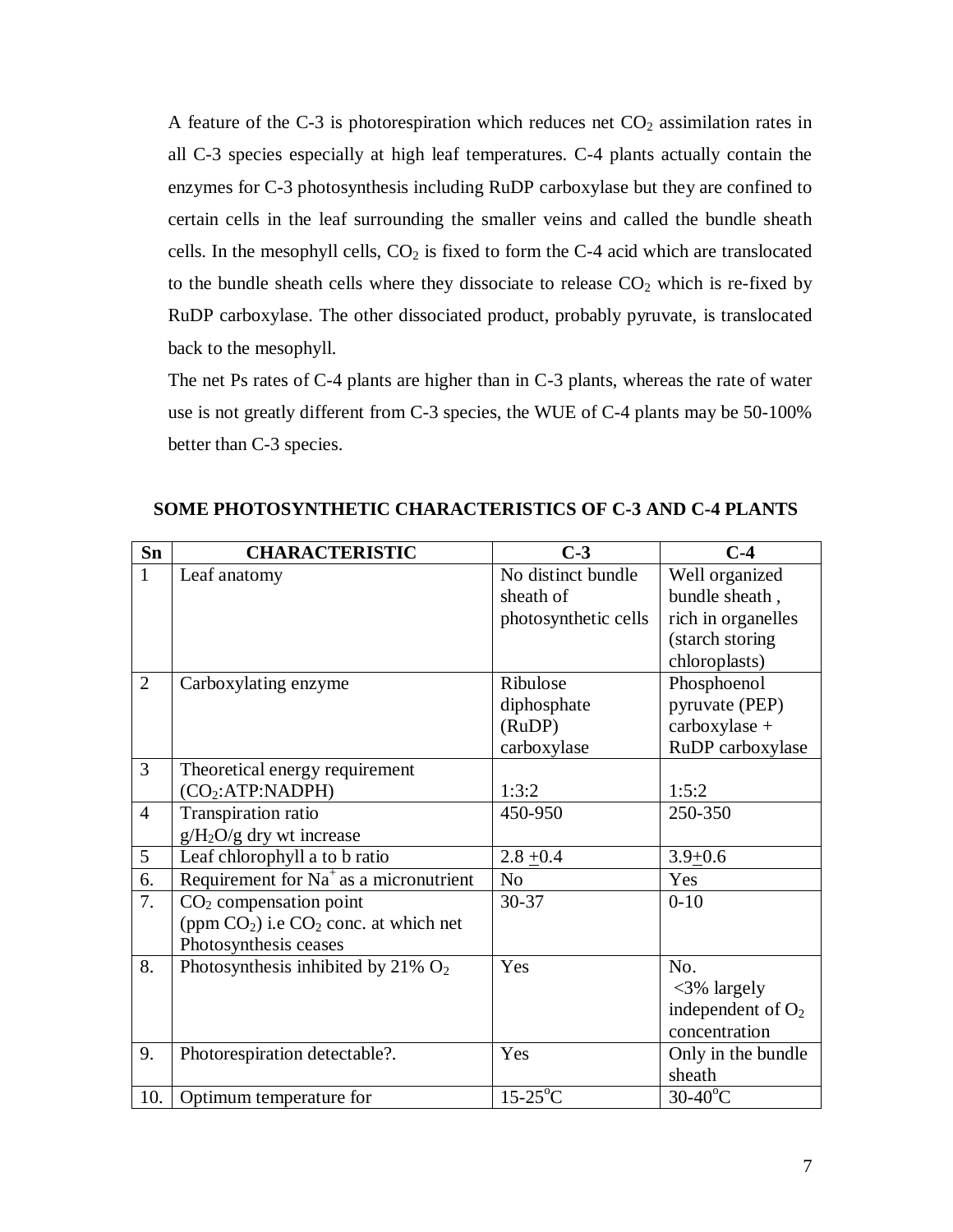A feature of the C-3 is photorespiration which reduces net  $CO<sub>2</sub>$  assimilation rates in all C-3 species especially at high leaf temperatures. C-4 plants actually contain the enzymes for C-3 photosynthesis including RuDP carboxylase but they are confined to certain cells in the leaf surrounding the smaller veins and called the bundle sheath cells. In the mesophyll cells,  $CO<sub>2</sub>$  is fixed to form the C-4 acid which are translocated to the bundle sheath cells where they dissociate to release  $CO<sub>2</sub>$  which is re-fixed by RuDP carboxylase. The other dissociated product, probably pyruvate, is translocated back to the mesophyll.

The net Ps rates of C-4 plants are higher than in C-3 plants, whereas the rate of water use is not greatly different from C-3 species, the WUE of C-4 plants may be 50-100% better than C-3 species.

| Sn              | <b>CHARACTERISTIC</b>                     | $C-3$                | $C-4$                |
|-----------------|-------------------------------------------|----------------------|----------------------|
| $\mathbf{1}$    | Leaf anatomy                              | No distinct bundle   | Well organized       |
|                 |                                           | sheath of            | bundle sheath,       |
|                 |                                           | photosynthetic cells | rich in organelles   |
|                 |                                           |                      | (starch storing      |
|                 |                                           |                      | chloroplasts)        |
| $\overline{2}$  | Carboxylating enzyme                      | Ribulose             | Phosphoenol          |
|                 |                                           | diphosphate          | pyruvate (PEP)       |
|                 |                                           | (RuDP)               | $carboxylase +$      |
|                 |                                           | carboxylase          | RuDP carboxylase     |
| $\overline{3}$  | Theoretical energy requirement            |                      |                      |
|                 | (CO <sub>2</sub> :ATP:NADPH)              | 1:3:2                | 1:5:2                |
| $\overline{4}$  | Transpiration ratio                       | 450-950              | 250-350              |
|                 | $g/H_2O/g$ dry wt increase                |                      |                      |
| $5\overline{)}$ | Leaf chlorophyll a to b ratio             | $2.8 + 0.4$          | $3.9 + 0.6$          |
| 6.              | Requirement for $Na+$ as a micronutrient  | N <sub>o</sub>       | Yes                  |
| 7.              | $CO2$ compensation point                  | 30-37                | $0 - 10$             |
|                 | (ppm $CO2$ ) i.e $CO2$ conc. at which net |                      |                      |
|                 | Photosynthesis ceases                     |                      |                      |
| 8.              | Photosynthesis inhibited by 21% $O_2$     | Yes                  | No.                  |
|                 |                                           |                      | $<3\%$ largely       |
|                 |                                           |                      | independent of $O_2$ |
|                 |                                           |                      | concentration        |
| 9.              | Photorespiration detectable?.             | Yes                  | Only in the bundle   |
|                 |                                           |                      | sheath               |
| 10.             | Optimum temperature for                   | $15-25$ °C           | $30-40^{\circ}$ C    |

**SOME PHOTOSYNTHETIC CHARACTERISTICS OF C-3 AND C-4 PLANTS**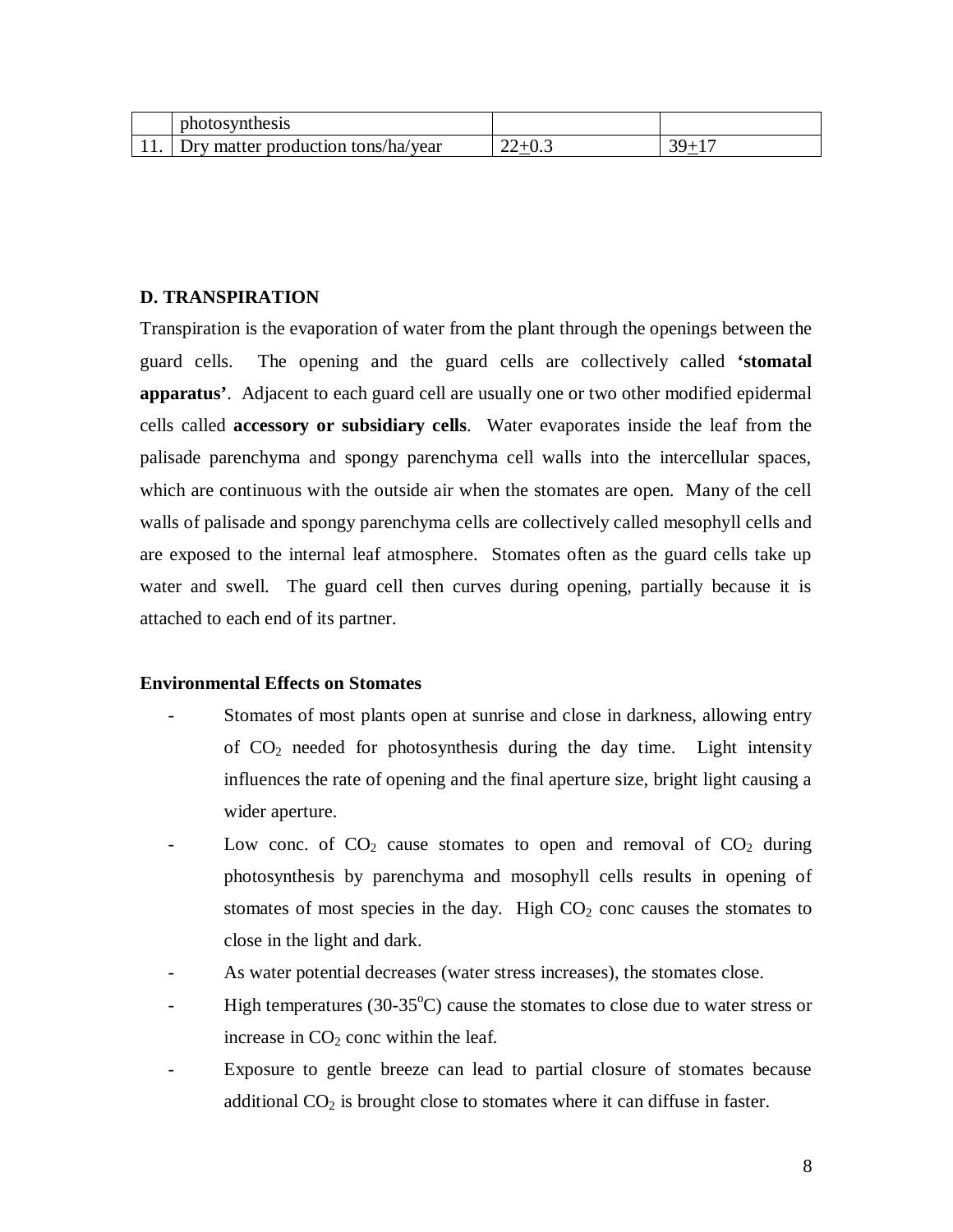| photosynthesis                     |          |       |
|------------------------------------|----------|-------|
| Dry matter production tons/ha/year | $v \sim$ | $30+$ |

#### **D. TRANSPIRATION**

Transpiration is the evaporation of water from the plant through the openings between the guard cells. The opening and the guard cells are collectively called **'stomatal apparatus'**. Adjacent to each guard cell are usually one or two other modified epidermal cells called **accessory or subsidiary cells**. Water evaporates inside the leaf from the palisade parenchyma and spongy parenchyma cell walls into the intercellular spaces, which are continuous with the outside air when the stomates are open. Many of the cell walls of palisade and spongy parenchyma cells are collectively called mesophyll cells and are exposed to the internal leaf atmosphere. Stomates often as the guard cells take up water and swell. The guard cell then curves during opening, partially because it is attached to each end of its partner.

#### **Environmental Effects on Stomates**

- Stomates of most plants open at sunrise and close in darkness, allowing entry of  $CO<sub>2</sub>$  needed for photosynthesis during the day time. Light intensity influences the rate of opening and the final aperture size, bright light causing a wider aperture.
- Low conc. of  $CO<sub>2</sub>$  cause stomates to open and removal of  $CO<sub>2</sub>$  during photosynthesis by parenchyma and mosophyll cells results in opening of stomates of most species in the day. High  $CO<sub>2</sub>$  conc causes the stomates to close in the light and dark.
- As water potential decreases (water stress increases), the stomates close.
- High temperatures (30-35 $^{\circ}$ C) cause the stomates to close due to water stress or increase in  $CO<sub>2</sub>$  conc within the leaf.
- Exposure to gentle breeze can lead to partial closure of stomates because additional  $CO<sub>2</sub>$  is brought close to stomates where it can diffuse in faster.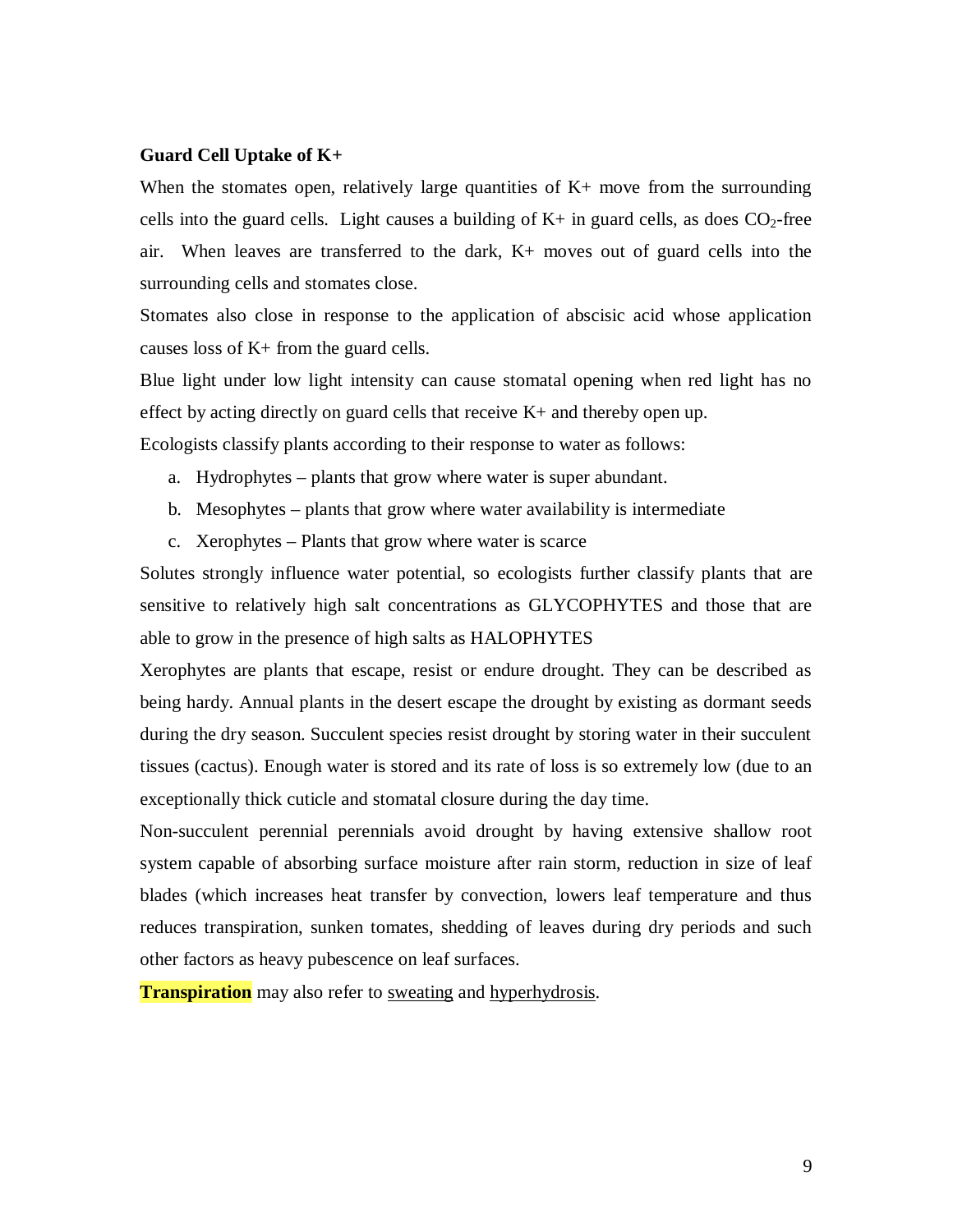#### **Guard Cell Uptake of K+**

When the stomates open, relatively large quantities of  $K<sub>+</sub>$  move from the surrounding cells into the guard cells. Light causes a building of  $K<sub>+</sub>$  in guard cells, as does  $CO<sub>2</sub>$ -free air. When leaves are transferred to the dark, K+ moves out of guard cells into the surrounding cells and stomates close.

Stomates also close in response to the application of abscisic acid whose application causes loss of K+ from the guard cells.

Blue light under low light intensity can cause stomatal opening when red light has no effect by acting directly on guard cells that receive  $K<sub>+</sub>$  and thereby open up.

Ecologists classify plants according to their response to water as follows:

- a. Hydrophytes plants that grow where water is super abundant.
- b. Mesophytes plants that grow where water availability is intermediate
- c. Xerophytes Plants that grow where water is scarce

Solutes strongly influence water potential, so ecologists further classify plants that are sensitive to relatively high salt concentrations as GLYCOPHYTES and those that are able to grow in the presence of high salts as HALOPHYTES

Xerophytes are plants that escape, resist or endure drought. They can be described as being hardy. Annual plants in the desert escape the drought by existing as dormant seeds during the dry season. Succulent species resist drought by storing water in their succulent tissues (cactus). Enough water is stored and its rate of loss is so extremely low (due to an exceptionally thick cuticle and stomatal closure during the day time.

Non-succulent perennial perennials avoid drought by having extensive shallow root system capable of absorbing surface moisture after rain storm, reduction in size of leaf blades (which increases heat transfer by convection, lowers leaf temperature and thus reduces transpiration, sunken tomates, shedding of leaves during dry periods and such other factors as heavy pubescence on leaf surfaces.

**Transpiration** may also refer to sweating and hyperhydrosis.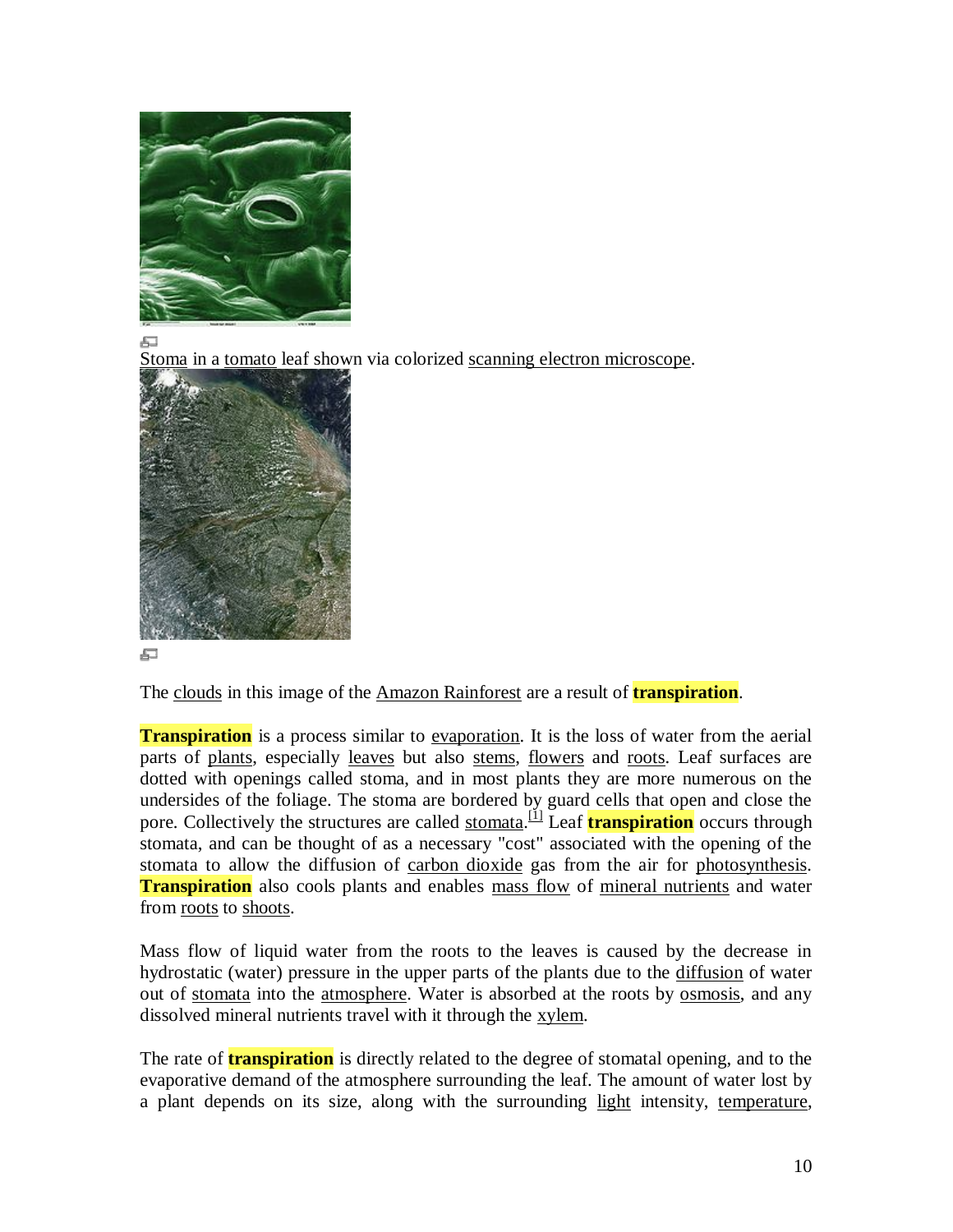

品

Stoma in a tomato leaf shown via colorized scanning electron microscope.



#### 石

The clouds in this image of the Amazon Rainforest are a result of **transpiration**.

**Transpiration** is a process similar to evaporation. It is the loss of water from the aerial parts of plants, especially leaves but also stems, flowers and roots. Leaf surfaces are dotted with openings called stoma, and in most plants they are more numerous on the undersides of the foliage. The stoma are bordered by guard cells that open and close the pore. Collectively the structures are called stomata.<sup>[1]</sup> Leaf **transpiration** occurs through stomata, and can be thought of as a necessary "cost" associated with the opening of the stomata to allow the diffusion of carbon dioxide gas from the air for photosynthesis. **Transpiration** also cools plants and enables mass flow of mineral nutrients and water from roots to shoots.

Mass flow of liquid water from the roots to the leaves is caused by the decrease in hydrostatic (water) pressure in the upper parts of the plants due to the diffusion of water out of stomata into the atmosphere. Water is absorbed at the roots by osmosis, and any dissolved mineral nutrients travel with it through the xylem.

The rate of **transpiration** is directly related to the degree of stomatal opening, and to the evaporative demand of the atmosphere surrounding the leaf. The amount of water lost by a plant depends on its size, along with the surrounding light intensity, temperature,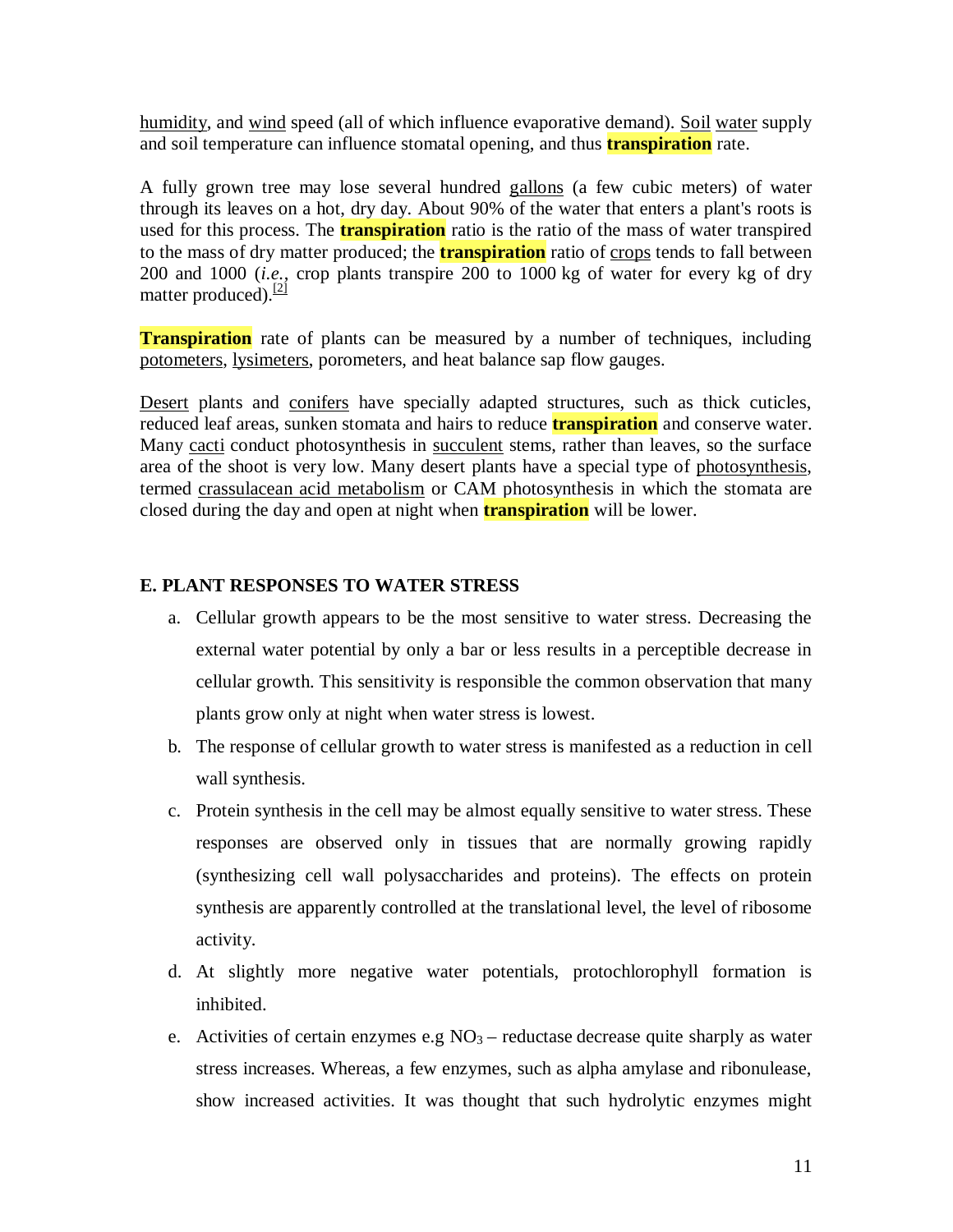humidity, and wind speed (all of which influence evaporative demand). Soil water supply and soil temperature can influence stomatal opening, and thus **transpiration** rate.

A fully grown tree may lose several hundred gallons (a few cubic meters) of water through its leaves on a hot, dry day. About 90% of the water that enters a plant's roots is used for this process. The **transpiration** ratio is the ratio of the mass of water transpired to the mass of dry matter produced; the **transpiration** ratio of crops tends to fall between 200 and 1000 (*i.e.*, crop plants transpire 200 to 1000 kg of water for every kg of dry matter produced). $\frac{[2]}{[2]}$ 

**Transpiration** rate of plants can be measured by a number of techniques, including potometers, lysimeters, porometers, and heat balance sap flow gauges.

Desert plants and conifers have specially adapted structures, such as thick cuticles, reduced leaf areas, sunken stomata and hairs to reduce **transpiration** and conserve water. Many cacti conduct photosynthesis in succulent stems, rather than leaves, so the surface area of the shoot is very low. Many desert plants have a special type of photosynthesis, termed crassulacean acid metabolism or CAM photosynthesis in which the stomata are closed during the day and open at night when **transpiration** will be lower.

### **E. PLANT RESPONSES TO WATER STRESS**

- a. Cellular growth appears to be the most sensitive to water stress. Decreasing the external water potential by only a bar or less results in a perceptible decrease in cellular growth. This sensitivity is responsible the common observation that many plants grow only at night when water stress is lowest.
- b. The response of cellular growth to water stress is manifested as a reduction in cell wall synthesis.
- c. Protein synthesis in the cell may be almost equally sensitive to water stress. These responses are observed only in tissues that are normally growing rapidly (synthesizing cell wall polysaccharides and proteins). The effects on protein synthesis are apparently controlled at the translational level, the level of ribosome activity.
- d. At slightly more negative water potentials, protochlorophyll formation is inhibited.
- e. Activities of certain enzymes e.g  $NO<sub>3</sub>$  reductase decrease quite sharply as water stress increases. Whereas, a few enzymes, such as alpha amylase and ribonulease, show increased activities. It was thought that such hydrolytic enzymes might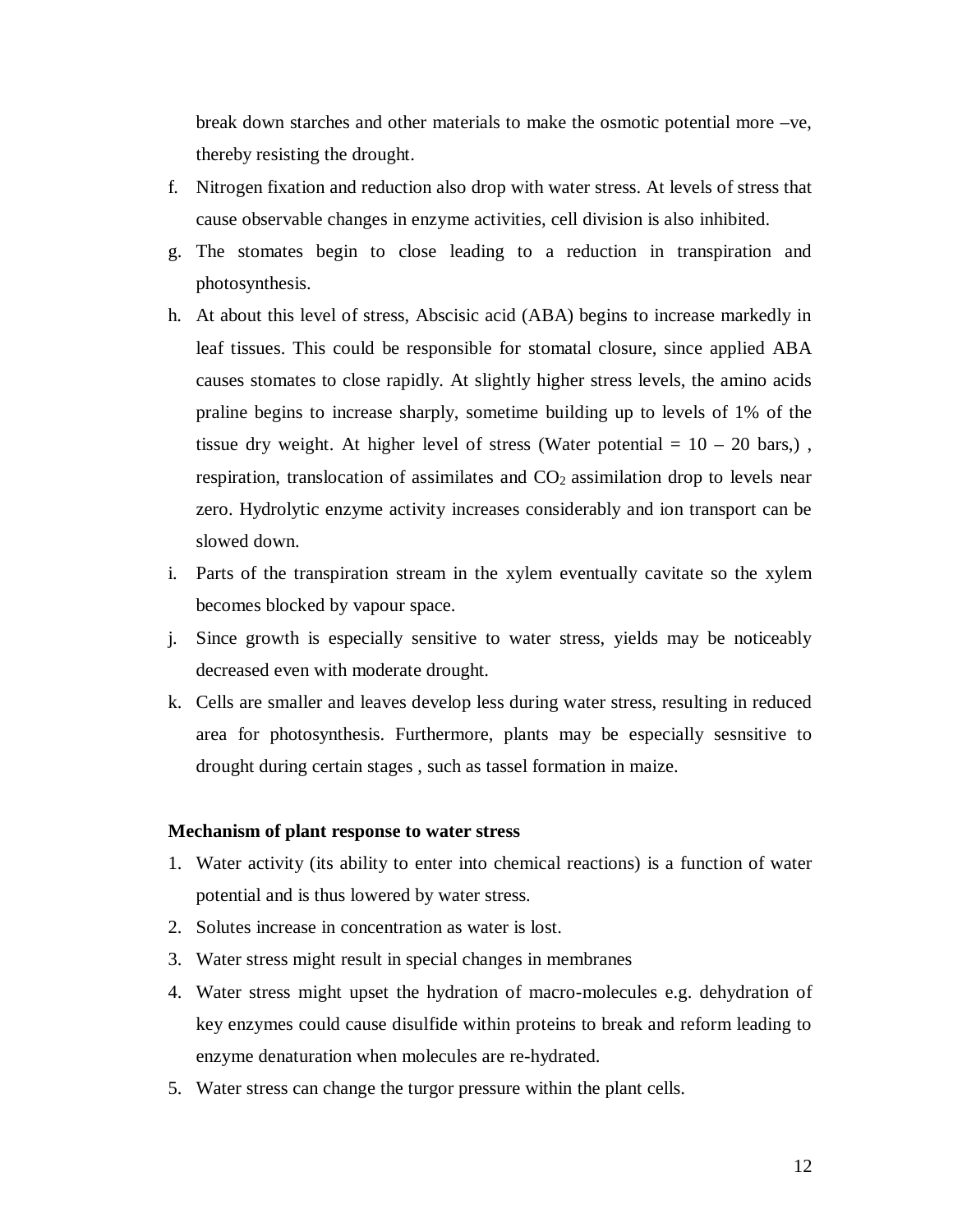break down starches and other materials to make the osmotic potential more –ve, thereby resisting the drought.

- f. Nitrogen fixation and reduction also drop with water stress. At levels of stress that cause observable changes in enzyme activities, cell division is also inhibited.
- g. The stomates begin to close leading to a reduction in transpiration and photosynthesis.
- h. At about this level of stress, Abscisic acid (ABA) begins to increase markedly in leaf tissues. This could be responsible for stomatal closure, since applied ABA causes stomates to close rapidly. At slightly higher stress levels, the amino acids praline begins to increase sharply, sometime building up to levels of 1% of the tissue dry weight. At higher level of stress (Water potential  $= 10 - 20$  bars,), respiration, translocation of assimilates and  $CO<sub>2</sub>$  assimilation drop to levels near zero. Hydrolytic enzyme activity increases considerably and ion transport can be slowed down.
- i. Parts of the transpiration stream in the xylem eventually cavitate so the xylem becomes blocked by vapour space.
- j. Since growth is especially sensitive to water stress, yields may be noticeably decreased even with moderate drought.
- k. Cells are smaller and leaves develop less during water stress, resulting in reduced area for photosynthesis. Furthermore, plants may be especially sesnsitive to drought during certain stages , such as tassel formation in maize.

#### **Mechanism of plant response to water stress**

- 1. Water activity (its ability to enter into chemical reactions) is a function of water potential and is thus lowered by water stress.
- 2. Solutes increase in concentration as water is lost.
- 3. Water stress might result in special changes in membranes
- 4. Water stress might upset the hydration of macro-molecules e.g. dehydration of key enzymes could cause disulfide within proteins to break and reform leading to enzyme denaturation when molecules are re-hydrated.
- 5. Water stress can change the turgor pressure within the plant cells.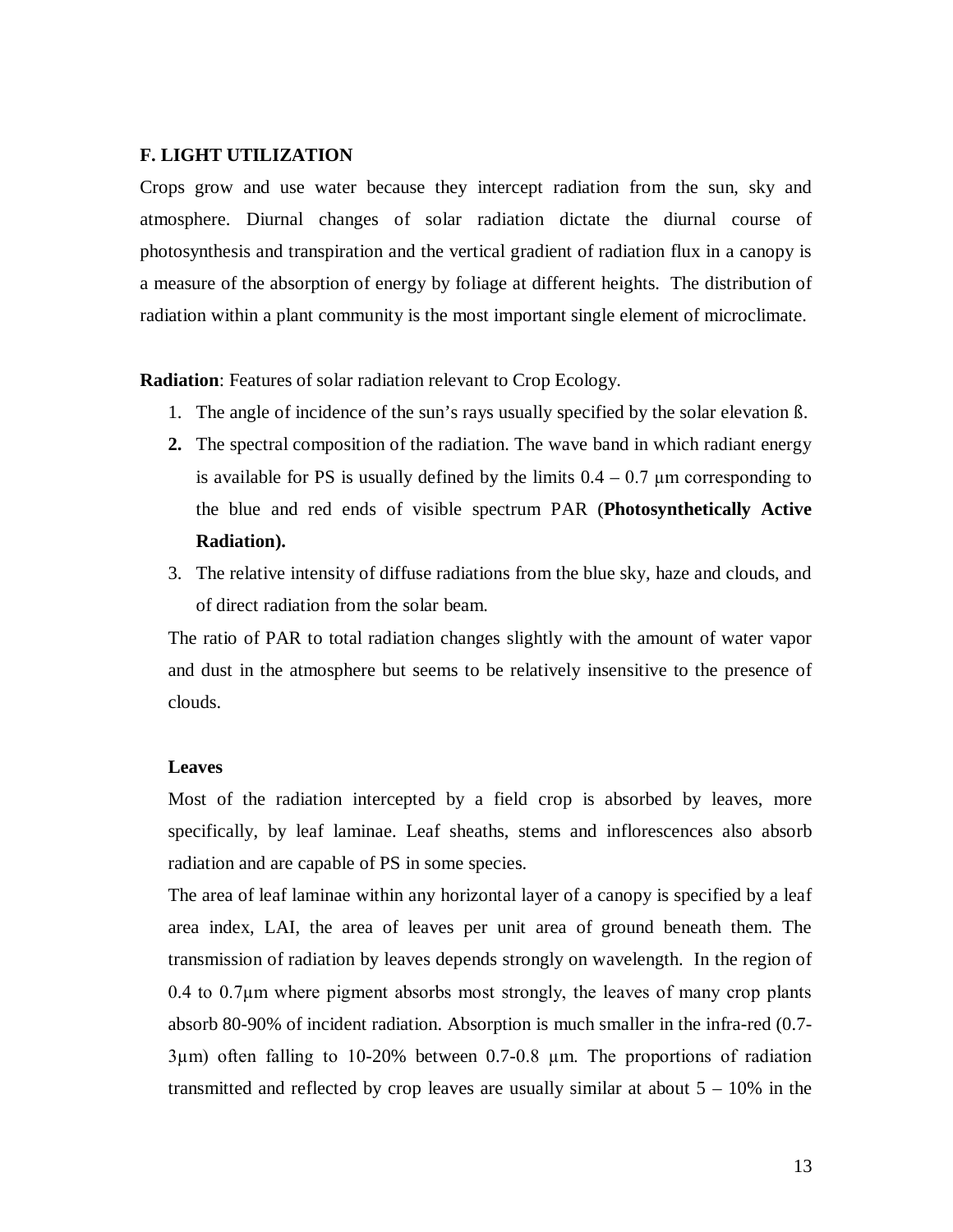#### **F. LIGHT UTILIZATION**

Crops grow and use water because they intercept radiation from the sun, sky and atmosphere. Diurnal changes of solar radiation dictate the diurnal course of photosynthesis and transpiration and the vertical gradient of radiation flux in a canopy is a measure of the absorption of energy by foliage at different heights. The distribution of radiation within a plant community is the most important single element of microclimate.

**Radiation**: Features of solar radiation relevant to Crop Ecology.

- 1. The angle of incidence of the sun's rays usually specified by the solar elevation ß.
- **2.** The spectral composition of the radiation. The wave band in which radiant energy is available for PS is usually defined by the limits  $0.4 - 0.7 \mu$ m corresponding to the blue and red ends of visible spectrum PAR (**Photosynthetically Active Radiation).**
- 3. The relative intensity of diffuse radiations from the blue sky, haze and clouds, and of direct radiation from the solar beam.

The ratio of PAR to total radiation changes slightly with the amount of water vapor and dust in the atmosphere but seems to be relatively insensitive to the presence of clouds.

#### **Leaves**

Most of the radiation intercepted by a field crop is absorbed by leaves, more specifically, by leaf laminae. Leaf sheaths, stems and inflorescences also absorb radiation and are capable of PS in some species.

The area of leaf laminae within any horizontal layer of a canopy is specified by a leaf area index, LAI, the area of leaves per unit area of ground beneath them. The transmission of radiation by leaves depends strongly on wavelength. In the region of 0.4 to 0.7µm where pigment absorbs most strongly, the leaves of many crop plants absorb 80-90% of incident radiation. Absorption is much smaller in the infra-red (0.7- 3µm) often falling to 10-20% between 0.7-0.8 µm. The proportions of radiation transmitted and reflected by crop leaves are usually similar at about  $5 - 10\%$  in the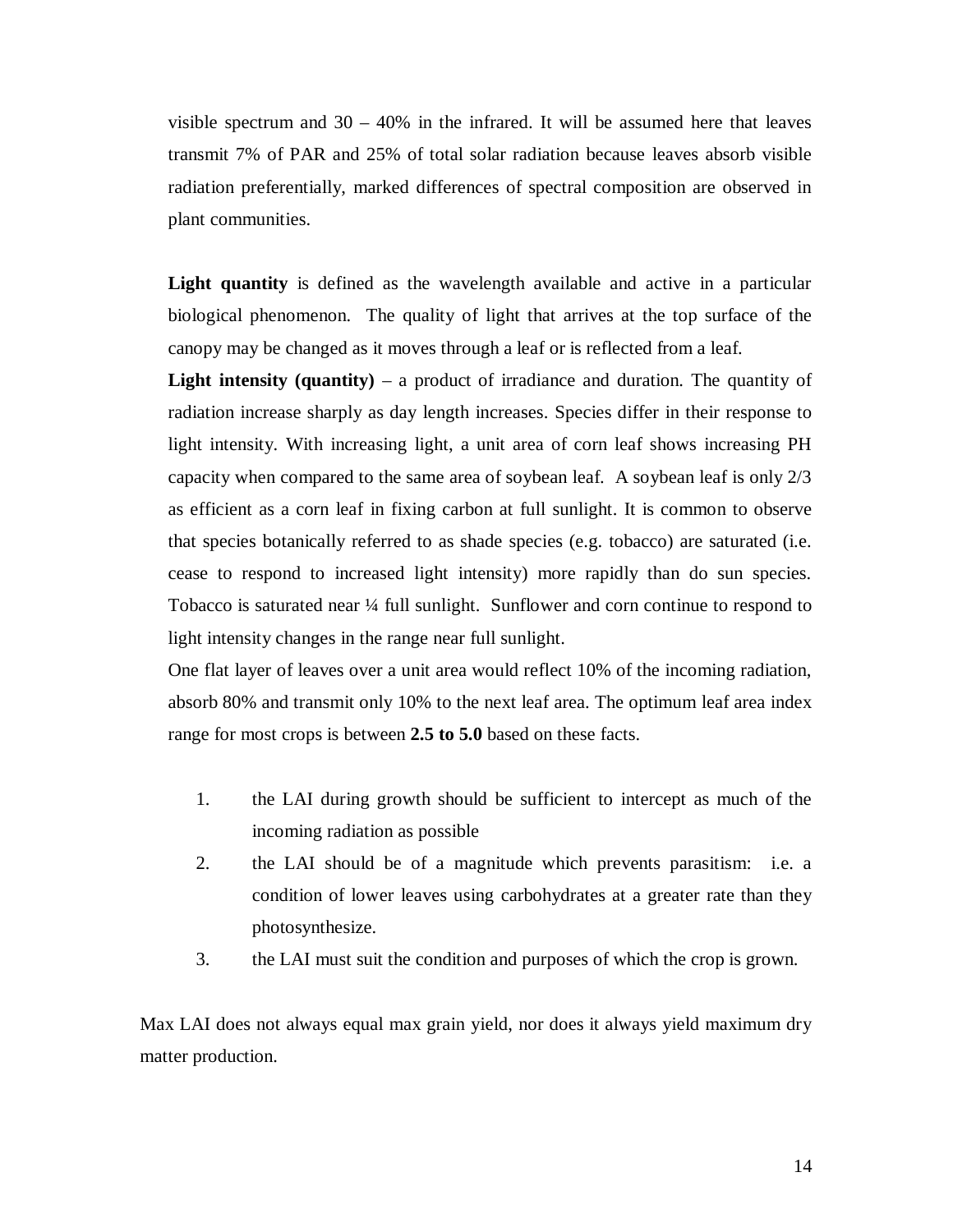visible spectrum and  $30 - 40\%$  in the infrared. It will be assumed here that leaves transmit 7% of PAR and 25% of total solar radiation because leaves absorb visible radiation preferentially, marked differences of spectral composition are observed in plant communities.

Light quantity is defined as the wavelength available and active in a particular biological phenomenon. The quality of light that arrives at the top surface of the canopy may be changed as it moves through a leaf or is reflected from a leaf.

**Light intensity (quantity)** – a product of irradiance and duration. The quantity of radiation increase sharply as day length increases. Species differ in their response to light intensity. With increasing light, a unit area of corn leaf shows increasing PH capacity when compared to the same area of soybean leaf. A soybean leaf is only 2/3 as efficient as a corn leaf in fixing carbon at full sunlight. It is common to observe that species botanically referred to as shade species (e.g. tobacco) are saturated (i.e. cease to respond to increased light intensity) more rapidly than do sun species. Tobacco is saturated near ¼ full sunlight. Sunflower and corn continue to respond to light intensity changes in the range near full sunlight.

One flat layer of leaves over a unit area would reflect 10% of the incoming radiation, absorb 80% and transmit only 10% to the next leaf area. The optimum leaf area index range for most crops is between **2.5 to 5.0** based on these facts.

- 1. the LAI during growth should be sufficient to intercept as much of the incoming radiation as possible
- 2. the LAI should be of a magnitude which prevents parasitism: i.e. a condition of lower leaves using carbohydrates at a greater rate than they photosynthesize.
- 3. the LAI must suit the condition and purposes of which the crop is grown.

Max LAI does not always equal max grain yield, nor does it always yield maximum dry matter production.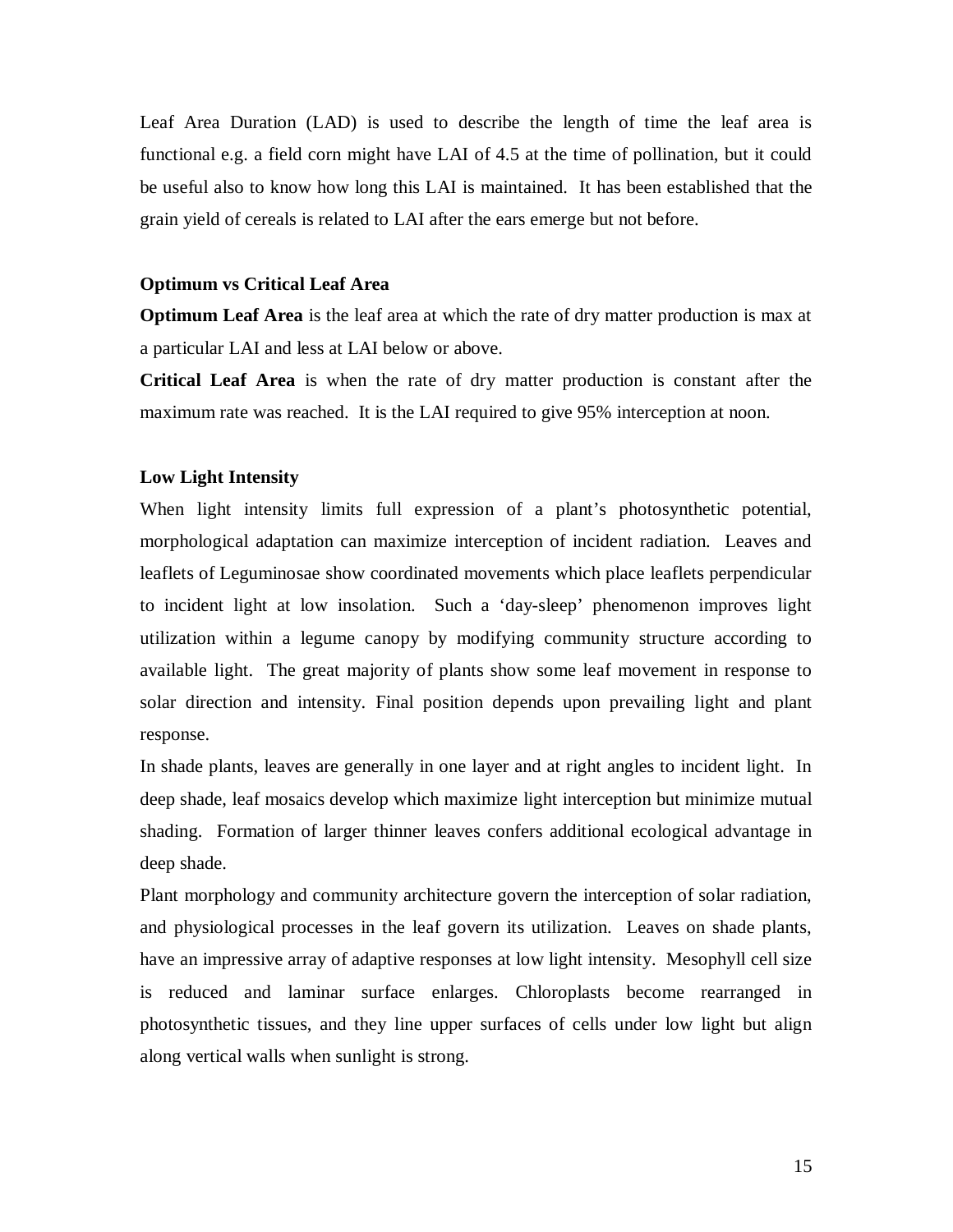Leaf Area Duration (LAD) is used to describe the length of time the leaf area is functional e.g. a field corn might have LAI of 4.5 at the time of pollination, but it could be useful also to know how long this LAI is maintained. It has been established that the grain yield of cereals is related to LAI after the ears emerge but not before.

#### **Optimum vs Critical Leaf Area**

**Optimum Leaf Area** is the leaf area at which the rate of dry matter production is max at a particular LAI and less at LAI below or above.

**Critical Leaf Area** is when the rate of dry matter production is constant after the maximum rate was reached. It is the LAI required to give 95% interception at noon.

#### **Low Light Intensity**

When light intensity limits full expression of a plant's photosynthetic potential, morphological adaptation can maximize interception of incident radiation. Leaves and leaflets of Leguminosae show coordinated movements which place leaflets perpendicular to incident light at low insolation. Such a 'day-sleep' phenomenon improves light utilization within a legume canopy by modifying community structure according to available light. The great majority of plants show some leaf movement in response to solar direction and intensity. Final position depends upon prevailing light and plant response.

In shade plants, leaves are generally in one layer and at right angles to incident light. In deep shade, leaf mosaics develop which maximize light interception but minimize mutual shading. Formation of larger thinner leaves confers additional ecological advantage in deep shade.

Plant morphology and community architecture govern the interception of solar radiation, and physiological processes in the leaf govern its utilization. Leaves on shade plants, have an impressive array of adaptive responses at low light intensity. Mesophyll cell size is reduced and laminar surface enlarges. Chloroplasts become rearranged in photosynthetic tissues, and they line upper surfaces of cells under low light but align along vertical walls when sunlight is strong.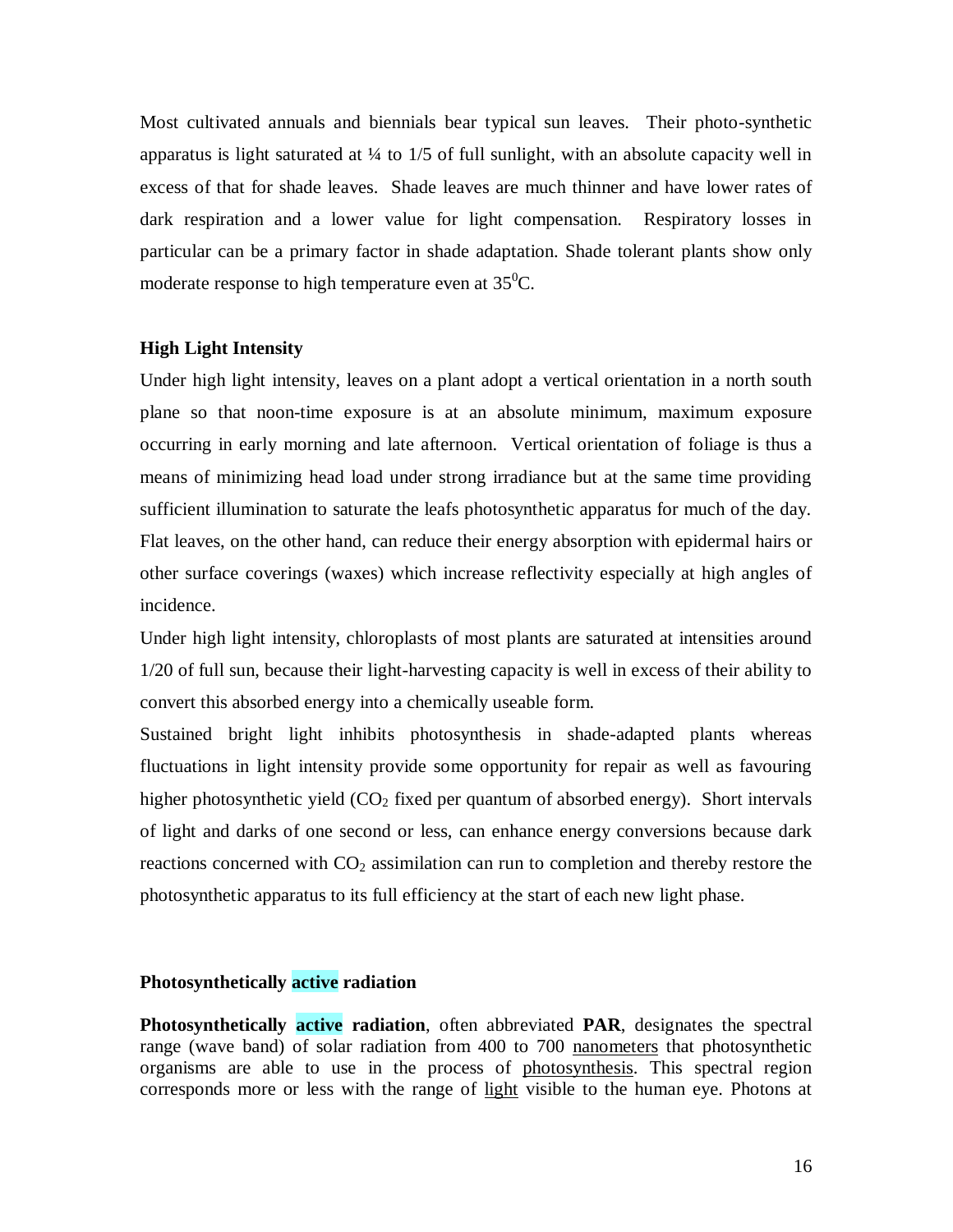Most cultivated annuals and biennials bear typical sun leaves. Their photo-synthetic apparatus is light saturated at  $\frac{1}{4}$  to 1/5 of full sunlight, with an absolute capacity well in excess of that for shade leaves. Shade leaves are much thinner and have lower rates of dark respiration and a lower value for light compensation. Respiratory losses in particular can be a primary factor in shade adaptation. Shade tolerant plants show only moderate response to high temperature even at  $35^{\circ}$ C.

#### **High Light Intensity**

Under high light intensity, leaves on a plant adopt a vertical orientation in a north south plane so that noon-time exposure is at an absolute minimum, maximum exposure occurring in early morning and late afternoon. Vertical orientation of foliage is thus a means of minimizing head load under strong irradiance but at the same time providing sufficient illumination to saturate the leafs photosynthetic apparatus for much of the day. Flat leaves, on the other hand, can reduce their energy absorption with epidermal hairs or other surface coverings (waxes) which increase reflectivity especially at high angles of incidence.

Under high light intensity, chloroplasts of most plants are saturated at intensities around 1/20 of full sun, because their light-harvesting capacity is well in excess of their ability to convert this absorbed energy into a chemically useable form.

Sustained bright light inhibits photosynthesis in shade-adapted plants whereas fluctuations in light intensity provide some opportunity for repair as well as favouring higher photosynthetic yield  $(CO<sub>2</sub>$  fixed per quantum of absorbed energy). Short intervals of light and darks of one second or less, can enhance energy conversions because dark reactions concerned with  $CO<sub>2</sub>$  assimilation can run to completion and thereby restore the photosynthetic apparatus to its full efficiency at the start of each new light phase.

#### **Photosynthetically active radiation**

**Photosynthetically active radiation**, often abbreviated **PAR**, designates the spectral range (wave band) of solar radiation from 400 to 700 nanometers that photosynthetic organisms are able to use in the process of photosynthesis. This spectral region corresponds more or less with the range of light visible to the human eye. Photons at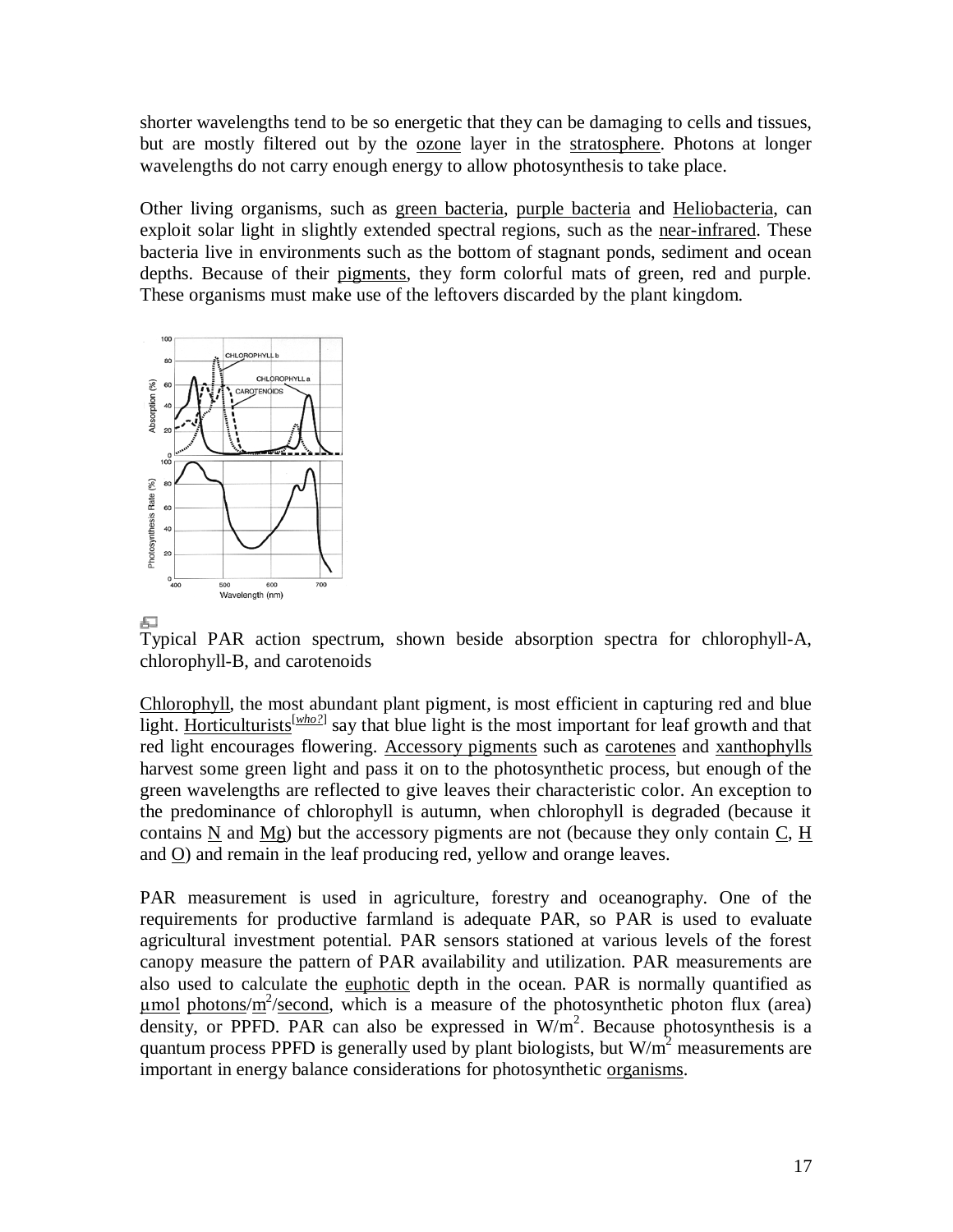shorter wavelengths tend to be so energetic that they can be damaging to cells and tissues, but are mostly filtered out by the ozone layer in the stratosphere. Photons at longer wavelengths do not carry enough energy to allow photosynthesis to take place.

Other living organisms, such as green bacteria, purple bacteria and Heliobacteria, can exploit solar light in slightly extended spectral regions, such as the near-infrared. These bacteria live in environments such as the bottom of stagnant ponds, sediment and ocean depths. Because of their pigments, they form colorful mats of green, red and purple. These organisms must make use of the leftovers discarded by the plant kingdom.



Typical PAR action spectrum, shown beside absorption spectra for chlorophyll-A, chlorophyll-B, and carotenoids

Chlorophyll, the most abundant plant pigment, is most efficient in capturing red and blue light. Horticulturists<sup>[who?]</sup> say that blue light is the most important for leaf growth and that red light encourages flowering. Accessory pigments such as carotenes and xanthophylls harvest some green light and pass it on to the photosynthetic process, but enough of the green wavelengths are reflected to give leaves their characteristic color. An exception to the predominance of chlorophyll is autumn, when chlorophyll is degraded (because it contains N and Mg) but the accessory pigments are not (because they only contain C, H and O) and remain in the leaf producing red, yellow and orange leaves.

PAR measurement is used in agriculture, forestry and oceanography. One of the requirements for productive farmland is adequate PAR, so PAR is used to evaluate agricultural investment potential. PAR sensors stationed at various levels of the forest canopy measure the pattern of PAR availability and utilization. PAR measurements are also used to calculate the euphotic depth in the ocean. PAR is normally quantified as  $\mu$ mol photons/m<sup>2</sup>/second, which is a measure of the photosynthetic photon flux (area) density, or PPFD. PAR can also be expressed in  $W/m^2$ . Because photosynthesis is a quantum process PPFD is generally used by plant biologists, but  $W/m<sup>2</sup>$  measurements are important in energy balance considerations for photosynthetic organisms.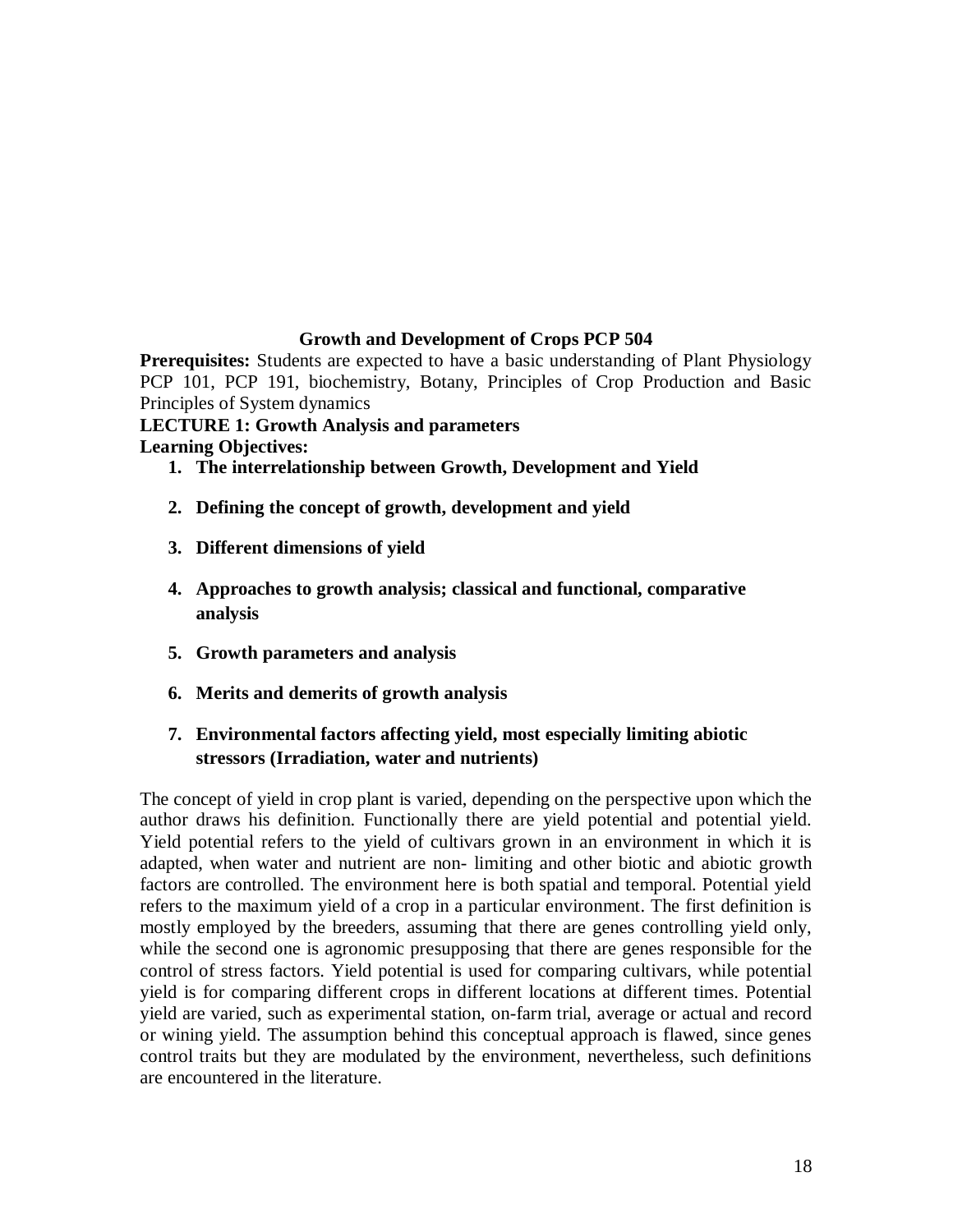#### **Growth and Development of Crops PCP 504**

**Prerequisites:** Students are expected to have a basic understanding of Plant Physiology PCP 101, PCP 191, biochemistry, Botany, Principles of Crop Production and Basic Principles of System dynamics

# **LECTURE 1: Growth Analysis and parameters**

**Learning Objectives:**

- **1. The interrelationship between Growth, Development and Yield**
- **2. Defining the concept of growth, development and yield**
- **3. Different dimensions of yield**
- **4. Approaches to growth analysis; classical and functional, comparative analysis**
- **5. Growth parameters and analysis**
- **6. Merits and demerits of growth analysis**
- **7. Environmental factors affecting yield, most especially limiting abiotic stressors (Irradiation, water and nutrients)**

The concept of yield in crop plant is varied, depending on the perspective upon which the author draws his definition. Functionally there are yield potential and potential yield. Yield potential refers to the yield of cultivars grown in an environment in which it is adapted, when water and nutrient are non- limiting and other biotic and abiotic growth factors are controlled. The environment here is both spatial and temporal. Potential yield refers to the maximum yield of a crop in a particular environment. The first definition is mostly employed by the breeders, assuming that there are genes controlling yield only, while the second one is agronomic presupposing that there are genes responsible for the control of stress factors. Yield potential is used for comparing cultivars, while potential yield is for comparing different crops in different locations at different times. Potential yield are varied, such as experimental station, on-farm trial, average or actual and record or wining yield. The assumption behind this conceptual approach is flawed, since genes control traits but they are modulated by the environment, nevertheless, such definitions are encountered in the literature.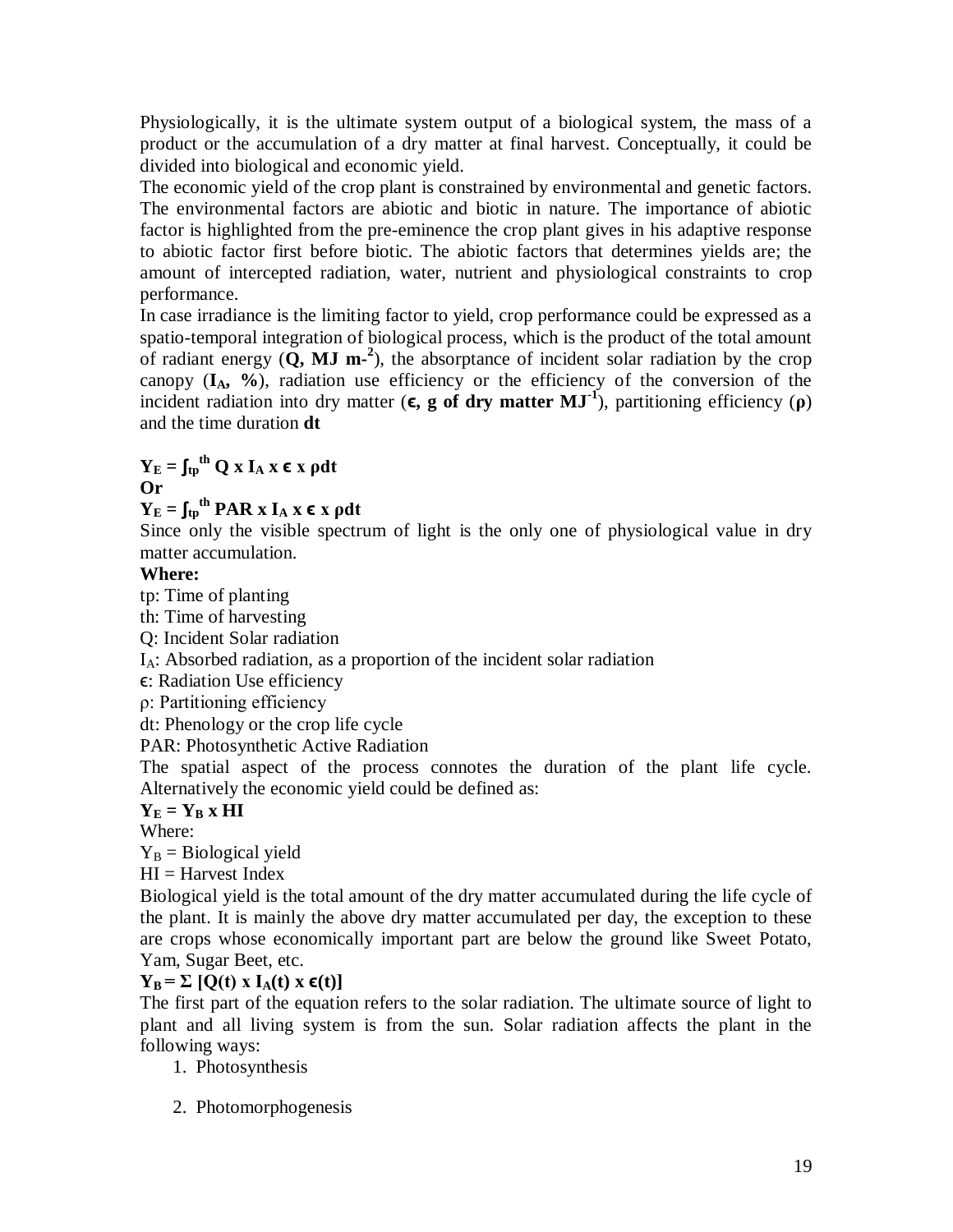Physiologically, it is the ultimate system output of a biological system, the mass of a product or the accumulation of a dry matter at final harvest. Conceptually, it could be divided into biological and economic yield.

The economic yield of the crop plant is constrained by environmental and genetic factors. The environmental factors are abiotic and biotic in nature. The importance of abiotic factor is highlighted from the pre-eminence the crop plant gives in his adaptive response to abiotic factor first before biotic. The abiotic factors that determines yields are; the amount of intercepted radiation, water, nutrient and physiological constraints to crop performance.

In case irradiance is the limiting factor to yield, crop performance could be expressed as a spatio-temporal integration of biological process, which is the product of the total amount of radiant energy  $(Q, MJ \, m^{-2})$ , the absorptance of incident solar radiation by the crop canopy  $(I_A, \mathcal{Y}_0)$ , radiation use efficiency or the efficiency of the conversion of the incident radiation into dry matter  $(\epsilon, g \text{ of dry matter MJ}^{-1})$ , partitioning efficiency  $(\rho)$ and the time duration **dt**

$$
Y_E = \textstyle{\int_{tp}}^{th} Q \; x \; I_A \; x \; \varepsilon \; x \; \rho dt
$$

**Or** 

 $Y_{E} = \int_{\text{tp}}^{\text{th}} \text{PAR} \times I_{A} \times \epsilon \times \text{pdt}$ 

Since only the visible spectrum of light is the only one of physiological value in dry matter accumulation.

# **Where:**

tp: Time of planting

th: Time of harvesting

Q: Incident Solar radiation

IA: Absorbed radiation, as a proportion of the incident solar radiation

ϵ: Radiation Use efficiency

ρ: Partitioning efficiency

dt: Phenology or the crop life cycle

PAR: Photosynthetic Active Radiation

The spatial aspect of the process connotes the duration of the plant life cycle. Alternatively the economic yield could be defined as:

# $Y_E = Y_B \times H$ **I**

Where:

 $Y_B$  = Biological yield

 $HI = Harvest Index$ 

Biological yield is the total amount of the dry matter accumulated during the life cycle of the plant. It is mainly the above dry matter accumulated per day, the exception to these are crops whose economically important part are below the ground like Sweet Potato, Yam, Sugar Beet, etc.

# $Y_B = \sum [Q(t) \times I_A(t) \times \epsilon(t)]$

The first part of the equation refers to the solar radiation. The ultimate source of light to plant and all living system is from the sun. Solar radiation affects the plant in the following ways:

1. Photosynthesis

2. Photomorphogenesis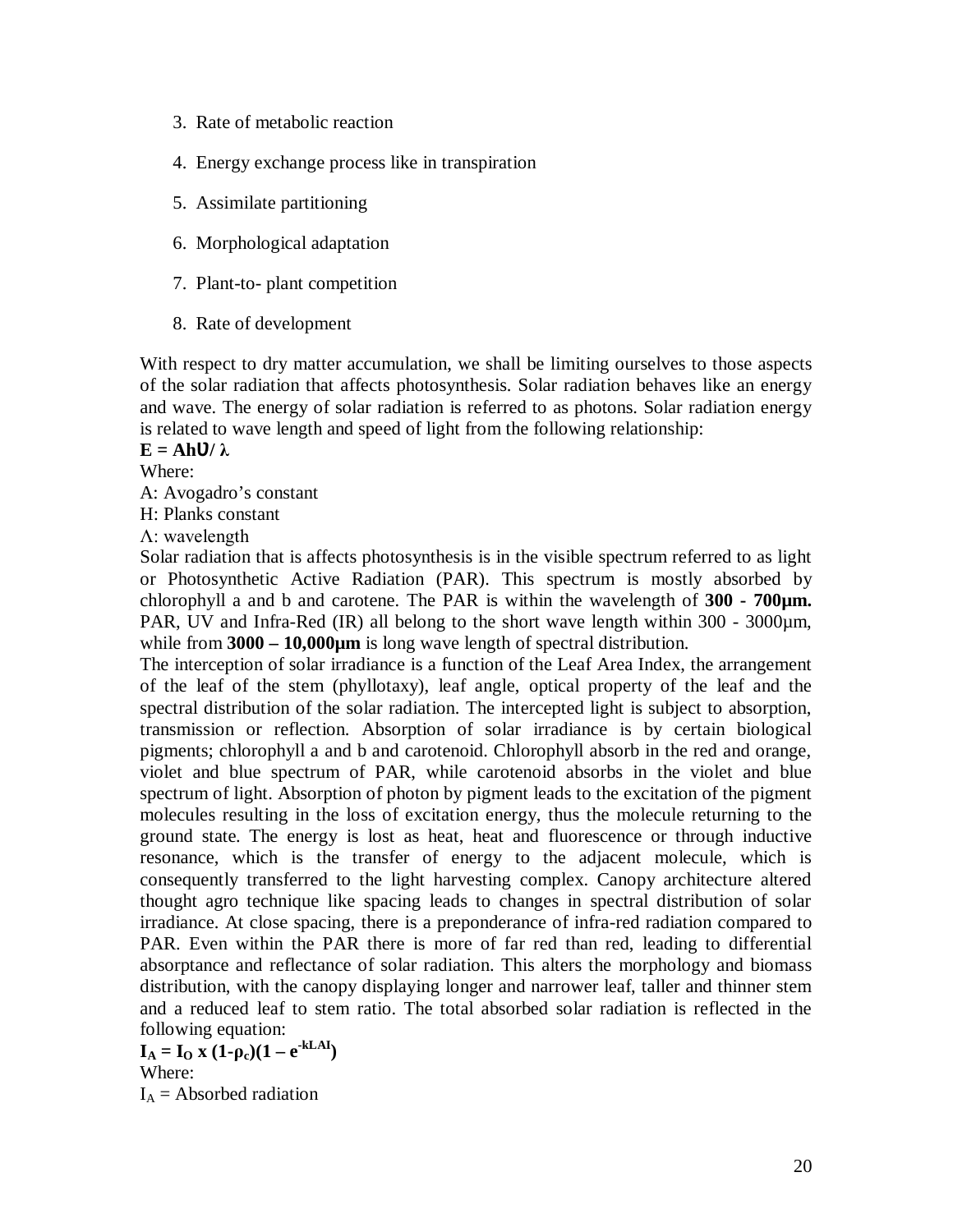- 3. Rate of metabolic reaction
- 4. Energy exchange process like in transpiration
- 5. Assimilate partitioning
- 6. Morphological adaptation
- 7. Plant-to- plant competition
- 8. Rate of development

With respect to dry matter accumulation, we shall be limiting ourselves to those aspects of the solar radiation that affects photosynthesis. Solar radiation behaves like an energy and wave. The energy of solar radiation is referred to as photons. Solar radiation energy is related to wave length and speed of light from the following relationship:

 $\mathbf{E} = \mathbf{A}\mathbf{h}\mathbf{U}/\lambda$ 

Where:

A: Avogadro's constant

H: Planks constant

Λ: wavelength

Solar radiation that is affects photosynthesis is in the visible spectrum referred to as light or Photosynthetic Active Radiation (PAR). This spectrum is mostly absorbed by chlorophyll a and b and carotene. The PAR is within the wavelength of **300 - 700µm.** PAR, UV and Infra-Red (IR) all belong to the short wave length within 300 - 3000 $\mu$ m, while from **3000 – 10,000µm** is long wave length of spectral distribution.

The interception of solar irradiance is a function of the Leaf Area Index, the arrangement of the leaf of the stem (phyllotaxy), leaf angle, optical property of the leaf and the spectral distribution of the solar radiation. The intercepted light is subject to absorption, transmission or reflection. Absorption of solar irradiance is by certain biological pigments; chlorophyll a and b and carotenoid. Chlorophyll absorb in the red and orange, violet and blue spectrum of PAR, while carotenoid absorbs in the violet and blue spectrum of light. Absorption of photon by pigment leads to the excitation of the pigment molecules resulting in the loss of excitation energy, thus the molecule returning to the ground state. The energy is lost as heat, heat and fluorescence or through inductive resonance, which is the transfer of energy to the adjacent molecule, which is consequently transferred to the light harvesting complex. Canopy architecture altered thought agro technique like spacing leads to changes in spectral distribution of solar irradiance. At close spacing, there is a preponderance of infra-red radiation compared to PAR. Even within the PAR there is more of far red than red, leading to differential absorptance and reflectance of solar radiation. This alters the morphology and biomass distribution, with the canopy displaying longer and narrower leaf, taller and thinner stem and a reduced leaf to stem ratio. The total absorbed solar radiation is reflected in the following equation:

 $I_A = I_O$  **x**  $(1-\rho_c)(1-e^{-kLAI})$ Where:  $I_A$  = Absorbed radiation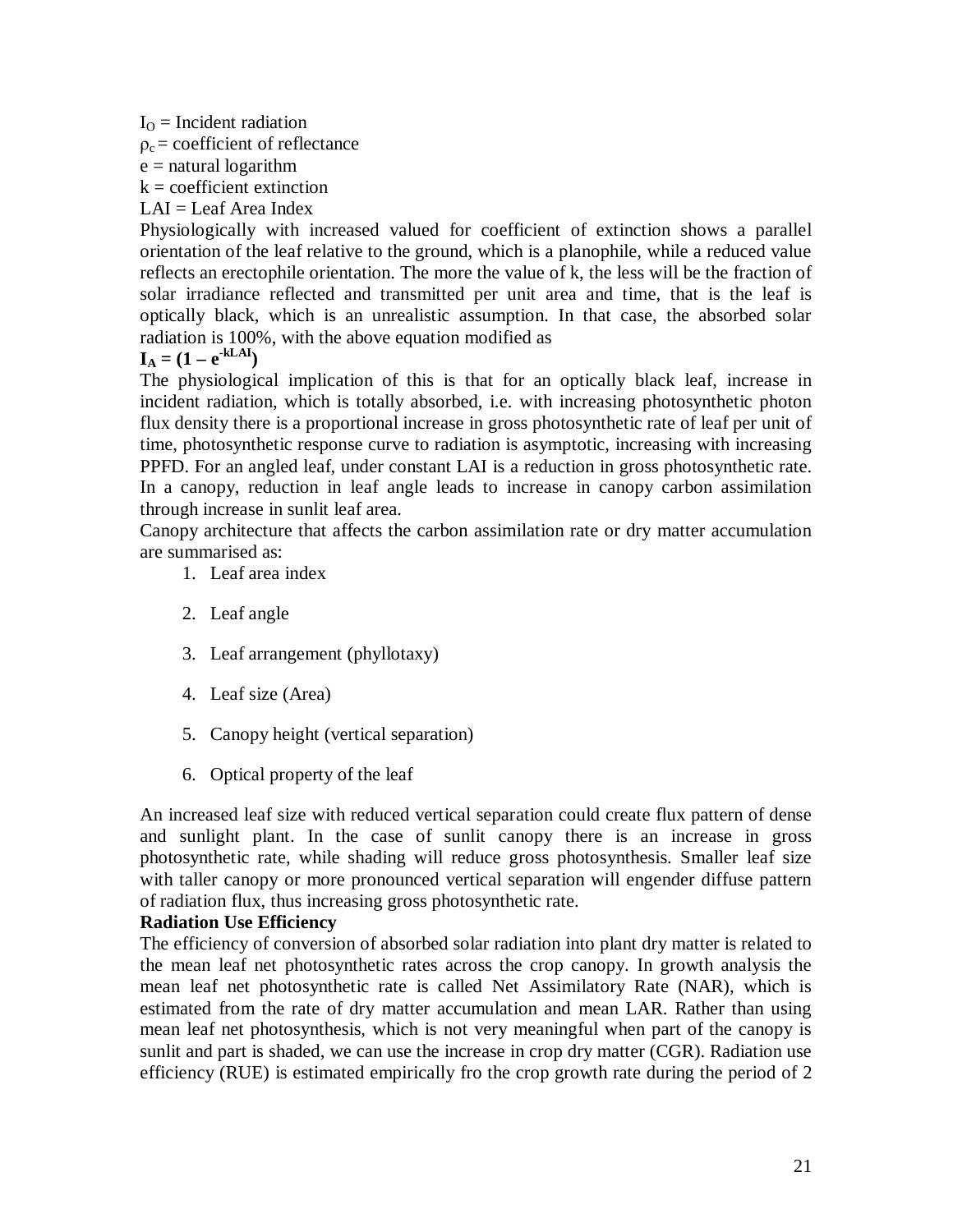$I<sub>O</sub>$  = Incident radiation

 $\rho_c$  = coefficient of reflectance

 $e$  = natural logarithm

 $k =$  coefficient extinction

 $LAI = Leaf Area Index$ 

Physiologically with increased valued for coefficient of extinction shows a parallel orientation of the leaf relative to the ground, which is a planophile, while a reduced value reflects an erectophile orientation. The more the value of k, the less will be the fraction of solar irradiance reflected and transmitted per unit area and time, that is the leaf is optically black, which is an unrealistic assumption. In that case, the absorbed solar radiation is 100%, with the above equation modified as

$$
I_A = (1 - e^{-kLAI})
$$

The physiological implication of this is that for an optically black leaf, increase in incident radiation, which is totally absorbed, i.e. with increasing photosynthetic photon flux density there is a proportional increase in gross photosynthetic rate of leaf per unit of time, photosynthetic response curve to radiation is asymptotic, increasing with increasing PPFD. For an angled leaf, under constant LAI is a reduction in gross photosynthetic rate. In a canopy, reduction in leaf angle leads to increase in canopy carbon assimilation through increase in sunlit leaf area.

Canopy architecture that affects the carbon assimilation rate or dry matter accumulation are summarised as:

- 1. Leaf area index
- 2. Leaf angle
- 3. Leaf arrangement (phyllotaxy)
- 4. Leaf size (Area)
- 5. Canopy height (vertical separation)
- 6. Optical property of the leaf

An increased leaf size with reduced vertical separation could create flux pattern of dense and sunlight plant. In the case of sunlit canopy there is an increase in gross photosynthetic rate, while shading will reduce gross photosynthesis. Smaller leaf size with taller canopy or more pronounced vertical separation will engender diffuse pattern of radiation flux, thus increasing gross photosynthetic rate.

#### **Radiation Use Efficiency**

The efficiency of conversion of absorbed solar radiation into plant dry matter is related to the mean leaf net photosynthetic rates across the crop canopy. In growth analysis the mean leaf net photosynthetic rate is called Net Assimilatory Rate (NAR), which is estimated from the rate of dry matter accumulation and mean LAR. Rather than using mean leaf net photosynthesis, which is not very meaningful when part of the canopy is sunlit and part is shaded, we can use the increase in crop dry matter (CGR). Radiation use efficiency (RUE) is estimated empirically fro the crop growth rate during the period of 2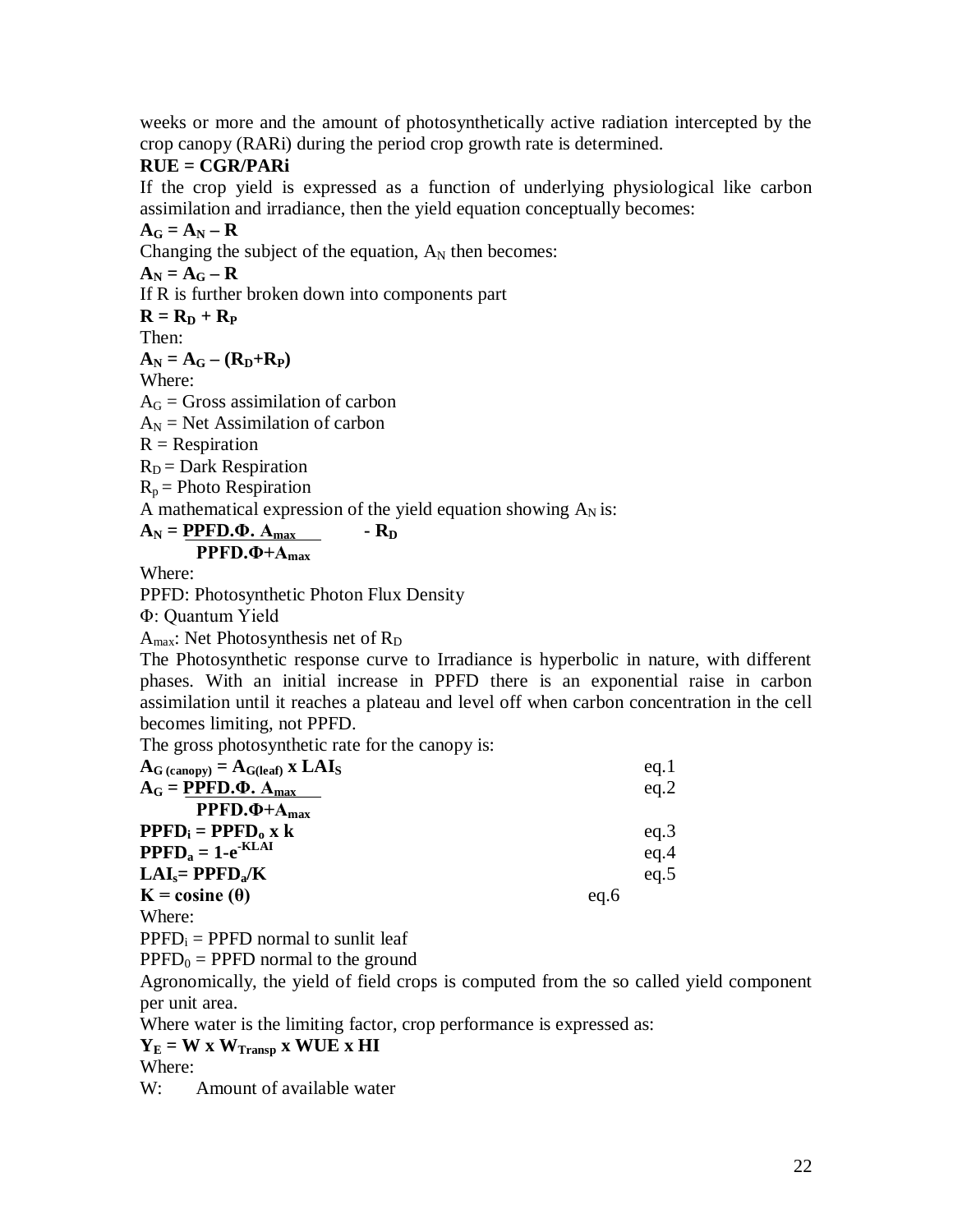weeks or more and the amount of photosynthetically active radiation intercepted by the crop canopy (RARi) during the period crop growth rate is determined.

### **RUE = CGR/PARi**

If the crop yield is expressed as a function of underlying physiological like carbon assimilation and irradiance, then the yield equation conceptually becomes:

 $A_G = A_N - R$ Changing the subject of the equation,  $A_N$  then becomes:

 $A_N = A_G - R$ If R is further broken down into components part

 $\mathbf{R} = \mathbf{R}_D + \mathbf{R}_P$ 

Then:

 $\mathbf{A}_N = \mathbf{A}_G - (\mathbf{R}_D + \mathbf{R}_P)$ 

Where:

 $A_G$  = Gross assimilation of carbon

 $A_N$  = Net Assimilation of carbon

 $R =$  Respiration

 $R_D$  = Dark Respiration

 $R_p$  = Photo Respiration

A mathematical expression of the yield equation showing  $A_N$  is:

#### $A_N$  = **PPFD.** $\Phi$ .  $A_{max}$  **-**  $R_D$ **PPFD.Φ+Amax**

Where:

PPFD: Photosynthetic Photon Flux Density

Φ: Quantum Yield

 $A<sub>max</sub>$ : Net Photosynthesis net of  $R<sub>D</sub>$ 

The Photosynthetic response curve to Irradiance is hyperbolic in nature, with different phases. With an initial increase in PPFD there is an exponential raise in carbon assimilation until it reaches a plateau and level off when carbon concentration in the cell becomes limiting, not PPFD.

The gross photosynthetic rate for the canopy is:

| $\mathbf{A}_{\mathbf{G}}$ (canopy) = $\mathbf{A}_{\mathbf{G}(\text{leaf})}$ x $\mathbf{LAI}_{\mathbf{S}}$ |      | eq.1 |
|-----------------------------------------------------------------------------------------------------------|------|------|
| $A_G = PPFD.\Phi. A_{max}$                                                                                |      | eq.2 |
| $PPFD. \Phi + A_{max}$                                                                                    |      |      |
| $\mathbf{PPFD}_{i} = \mathbf{PPFD}_{o} \times k$                                                          |      | eq.3 |
| $\mathbf{PPFD}_a = 1 - e^{-KLAI}$                                                                         |      | eq.4 |
| $LAI_s = PPFD_s/K$                                                                                        |      | eq.5 |
| $K = \text{cosine}(\theta)$                                                                               | eq.6 |      |
| Whera.                                                                                                    |      |      |

Where:

 $PPFD_i = PPFD$  normal to sunlit leaf

 $PPFD<sub>0</sub> = PPFD$  normal to the ground

Agronomically, the yield of field crops is computed from the so called yield component per unit area.

Where water is the limiting factor, crop performance is expressed as:

 $Y_E = W \times W_{Transp} \times WUE \times HI$ 

Where:

W: Amount of available water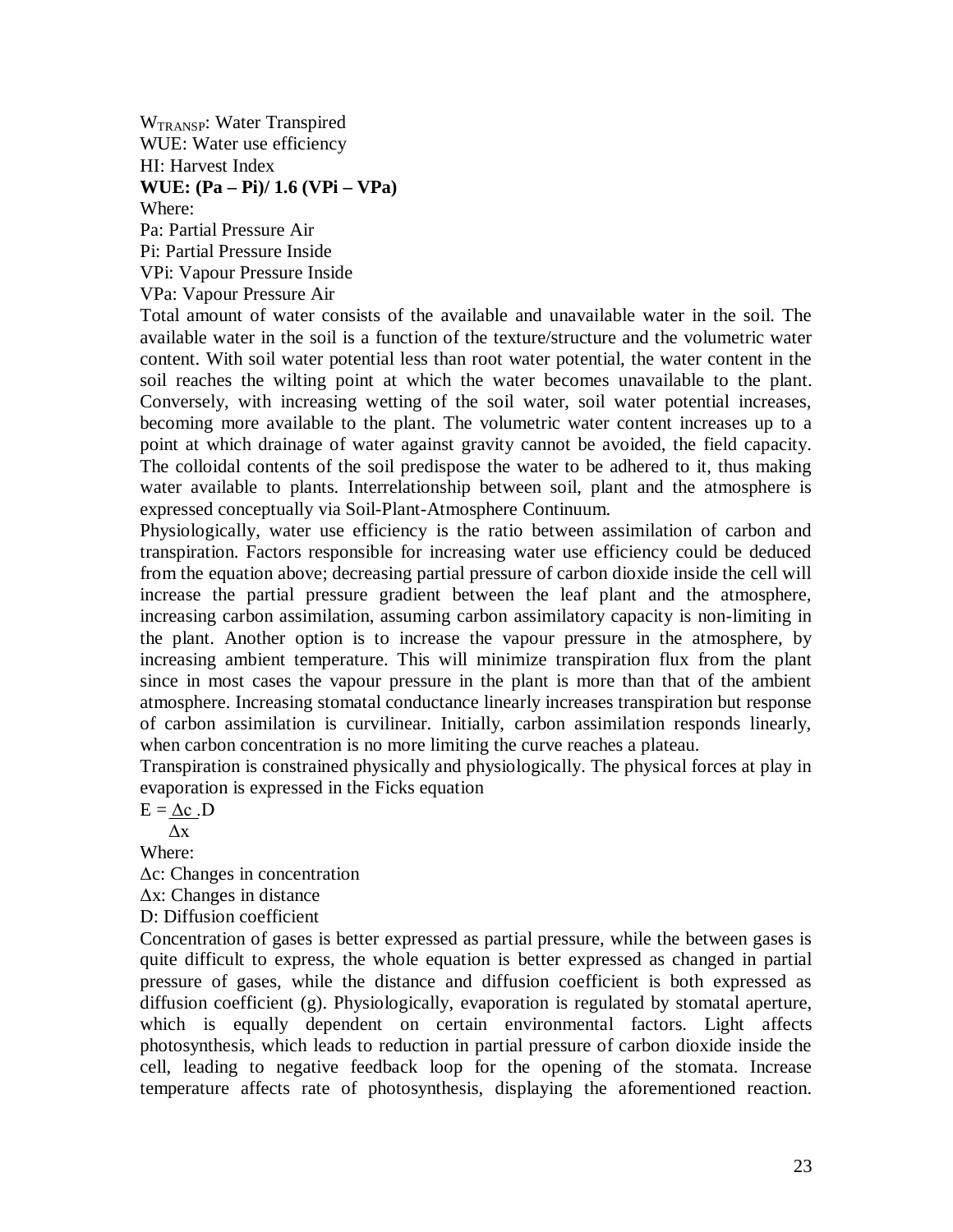WTRANSP: Water Transpired WUE: Water use efficiency HI: Harvest Index **WUE: (Pa – Pi)/ 1.6 (VPi – VPa)** Where: Pa: Partial Pressure Air Pi: Partial Pressure Inside

VPi: Vapour Pressure Inside

VPa: Vapour Pressure Air

Total amount of water consists of the available and unavailable water in the soil. The available water in the soil is a function of the texture/structure and the volumetric water content. With soil water potential less than root water potential, the water content in the soil reaches the wilting point at which the water becomes unavailable to the plant. Conversely, with increasing wetting of the soil water, soil water potential increases, becoming more available to the plant. The volumetric water content increases up to a point at which drainage of water against gravity cannot be avoided, the field capacity. The colloidal contents of the soil predispose the water to be adhered to it, thus making water available to plants. Interrelationship between soil, plant and the atmosphere is expressed conceptually via Soil-Plant-Atmosphere Continuum.

Physiologically, water use efficiency is the ratio between assimilation of carbon and transpiration. Factors responsible for increasing water use efficiency could be deduced from the equation above; decreasing partial pressure of carbon dioxide inside the cell will increase the partial pressure gradient between the leaf plant and the atmosphere, increasing carbon assimilation, assuming carbon assimilatory capacity is non-limiting in the plant. Another option is to increase the vapour pressure in the atmosphere, by increasing ambient temperature. This will minimize transpiration flux from the plant since in most cases the vapour pressure in the plant is more than that of the ambient atmosphere. Increasing stomatal conductance linearly increases transpiration but response of carbon assimilation is curvilinear. Initially, carbon assimilation responds linearly, when carbon concentration is no more limiting the curve reaches a plateau.

Transpiration is constrained physically and physiologically. The physical forces at play in evaporation is expressed in the Ficks equation

 $E = \Delta c$ . D

 $\Lambda$ x

Where:

Δc: Changes in concentration

Δx: Changes in distance

D: Diffusion coefficient

Concentration of gases is better expressed as partial pressure, while the between gases is quite difficult to express, the whole equation is better expressed as changed in partial pressure of gases, while the distance and diffusion coefficient is both expressed as diffusion coefficient (g). Physiologically, evaporation is regulated by stomatal aperture, which is equally dependent on certain environmental factors. Light affects photosynthesis, which leads to reduction in partial pressure of carbon dioxide inside the cell, leading to negative feedback loop for the opening of the stomata. Increase temperature affects rate of photosynthesis, displaying the aforementioned reaction.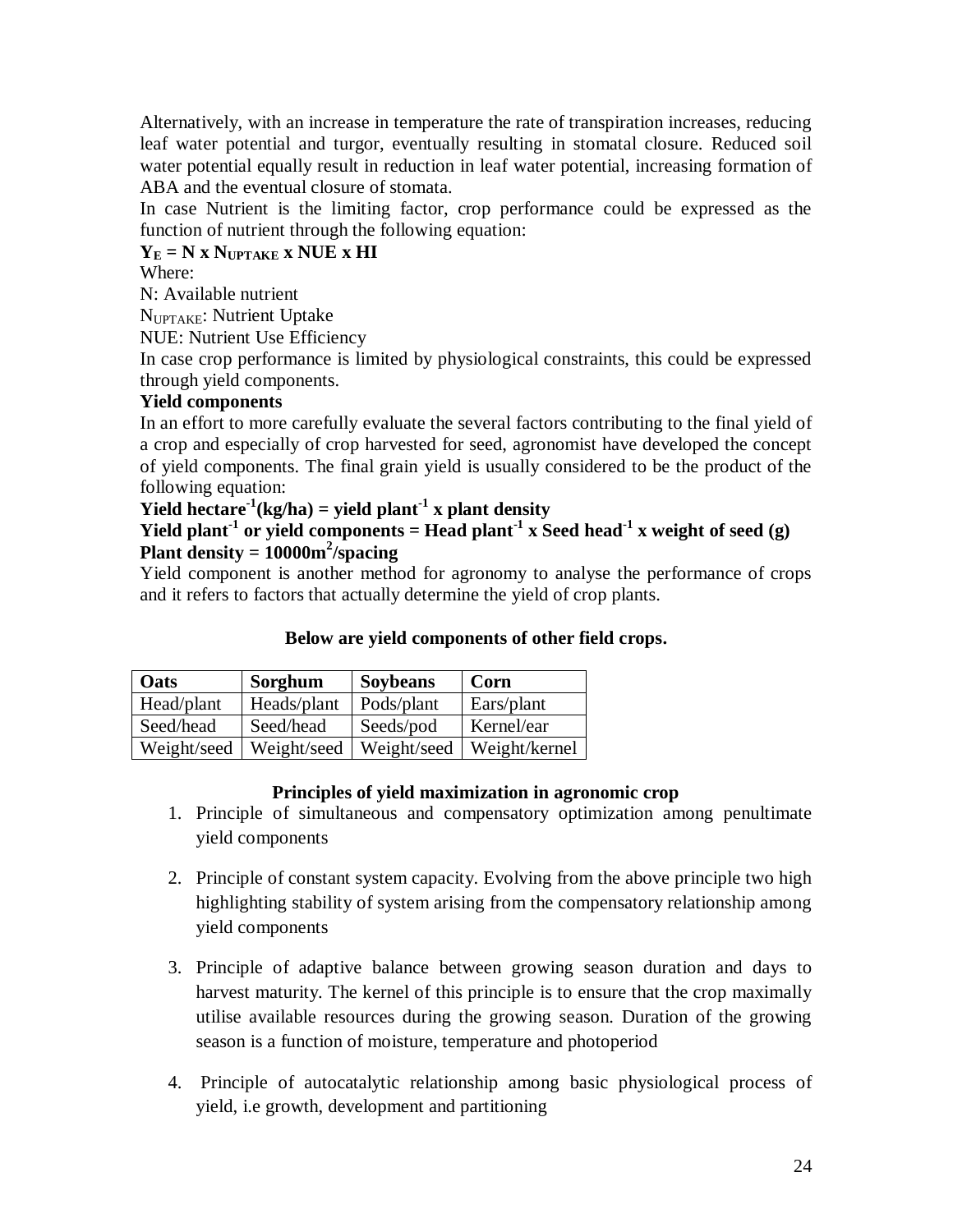Alternatively, with an increase in temperature the rate of transpiration increases, reducing leaf water potential and turgor, eventually resulting in stomatal closure. Reduced soil water potential equally result in reduction in leaf water potential, increasing formation of ABA and the eventual closure of stomata.

In case Nutrient is the limiting factor, crop performance could be expressed as the function of nutrient through the following equation:

# $Y_E = N \times N_{UPTAKE} \times NUE \times HI$

Where:

N: Available nutrient

NUPTAKE: Nutrient Uptake

NUE: Nutrient Use Efficiency

In case crop performance is limited by physiological constraints, this could be expressed through yield components.

# **Yield components**

In an effort to more carefully evaluate the several factors contributing to the final yield of a crop and especially of crop harvested for seed, agronomist have developed the concept of yield components. The final grain yield is usually considered to be the product of the following equation:

# **Yield hectare<sup>-1</sup>(kg/ha) = yield plant<sup>-1</sup> x plant density**

# **Yield plant<sup>-1</sup> or yield components = Head plant<sup>-1</sup> x Seed head<sup>-1</sup> x weight of seed (g) Plant density = 10000m<sup>2</sup> /spacing**

Yield component is another method for agronomy to analyse the performance of crops and it refers to factors that actually determine the yield of crop plants.

# **Below are yield components of other field crops.**

| Oats        | Sorghum     | Soybeans    | Corn          |
|-------------|-------------|-------------|---------------|
| Head/plant  | Heads/plant | Pods/plant  | Ears/plant    |
| Seed/head   | Seed/head   | Seeds/pod   | Kernel/ear    |
| Weight/seed | Weight/seed | Weight/seed | Weight/kernel |

# **Principles of yield maximization in agronomic crop**

- 1. Principle of simultaneous and compensatory optimization among penultimate yield components
- 2. Principle of constant system capacity. Evolving from the above principle two high highlighting stability of system arising from the compensatory relationship among yield components
- 3. Principle of adaptive balance between growing season duration and days to harvest maturity. The kernel of this principle is to ensure that the crop maximally utilise available resources during the growing season. Duration of the growing season is a function of moisture, temperature and photoperiod
- 4. Principle of autocatalytic relationship among basic physiological process of yield, i.e growth, development and partitioning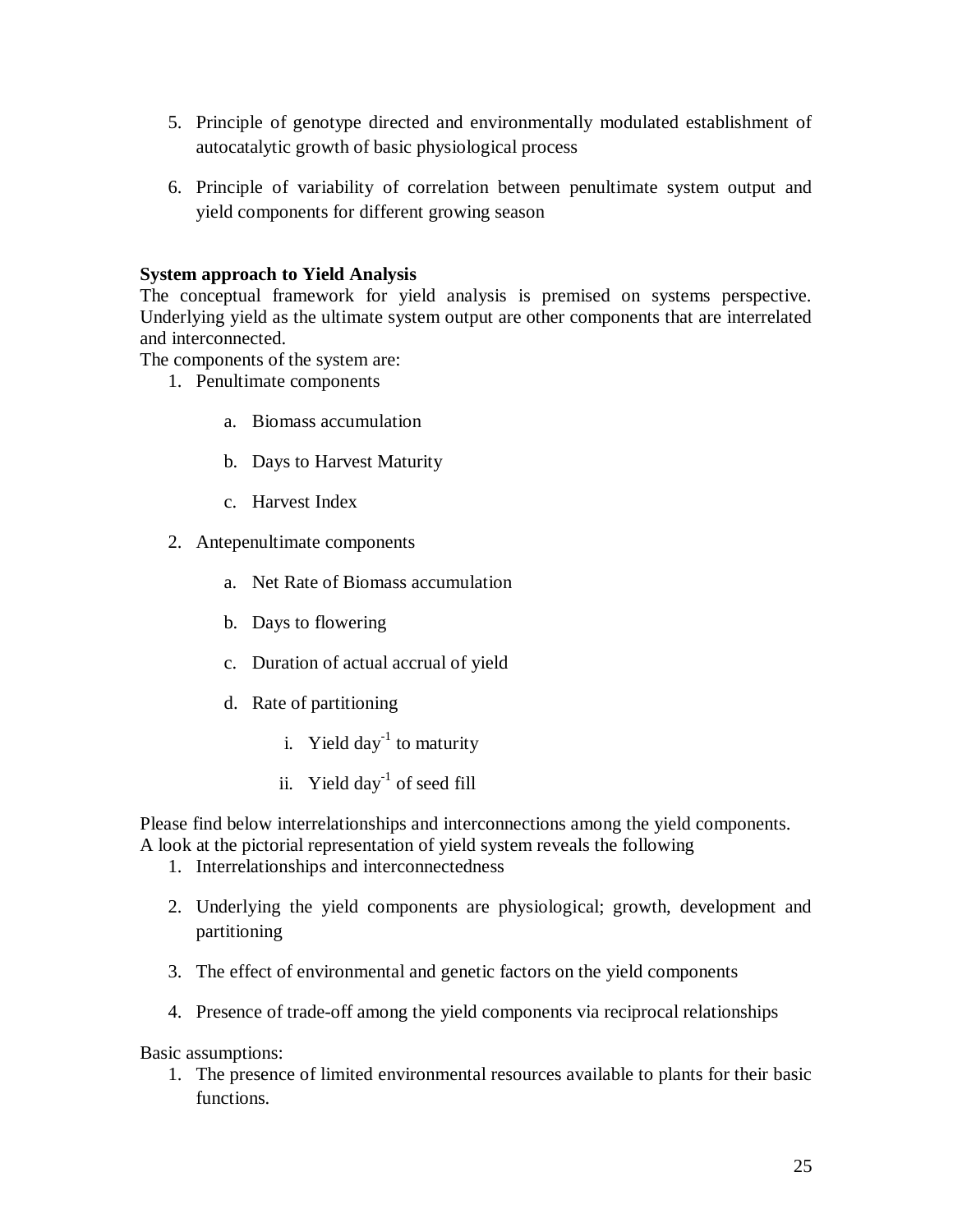- 5. Principle of genotype directed and environmentally modulated establishment of autocatalytic growth of basic physiological process
- 6. Principle of variability of correlation between penultimate system output and yield components for different growing season

#### **System approach to Yield Analysis**

The conceptual framework for yield analysis is premised on systems perspective. Underlying yield as the ultimate system output are other components that are interrelated and interconnected.

The components of the system are:

- 1. Penultimate components
	- a. Biomass accumulation
	- b. Days to Harvest Maturity
	- c. Harvest Index
- 2. Antepenultimate components
	- a. Net Rate of Biomass accumulation
	- b. Days to flowering
	- c. Duration of actual accrual of yield
	- d. Rate of partitioning
		- i. Yield day $^{-1}$  to maturity
		- ii. Yield day<sup>-1</sup> of seed fill

Please find below interrelationships and interconnections among the yield components.

- A look at the pictorial representation of yield system reveals the following
	- 1. Interrelationships and interconnectedness
	- 2. Underlying the yield components are physiological; growth, development and partitioning
	- 3. The effect of environmental and genetic factors on the yield components
	- 4. Presence of trade-off among the yield components via reciprocal relationships

Basic assumptions:

1. The presence of limited environmental resources available to plants for their basic functions.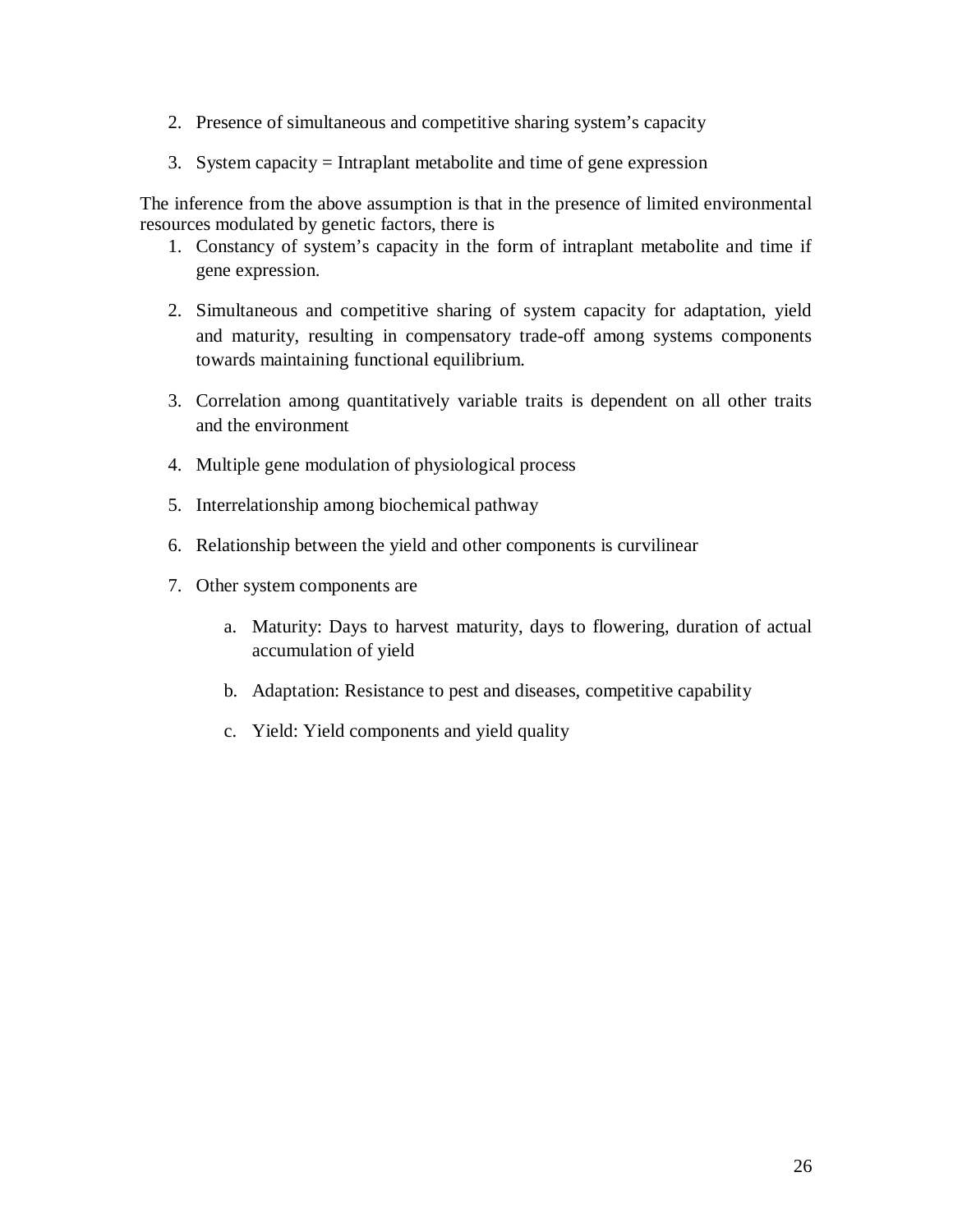- 2. Presence of simultaneous and competitive sharing system's capacity
- 3. System capacity = Intraplant metabolite and time of gene expression

The inference from the above assumption is that in the presence of limited environmental resources modulated by genetic factors, there is

- 1. Constancy of system's capacity in the form of intraplant metabolite and time if gene expression.
- 2. Simultaneous and competitive sharing of system capacity for adaptation, yield and maturity, resulting in compensatory trade-off among systems components towards maintaining functional equilibrium.
- 3. Correlation among quantitatively variable traits is dependent on all other traits and the environment
- 4. Multiple gene modulation of physiological process
- 5. Interrelationship among biochemical pathway
- 6. Relationship between the yield and other components is curvilinear
- 7. Other system components are
	- a. Maturity: Days to harvest maturity, days to flowering, duration of actual accumulation of yield
	- b. Adaptation: Resistance to pest and diseases, competitive capability
	- c. Yield: Yield components and yield quality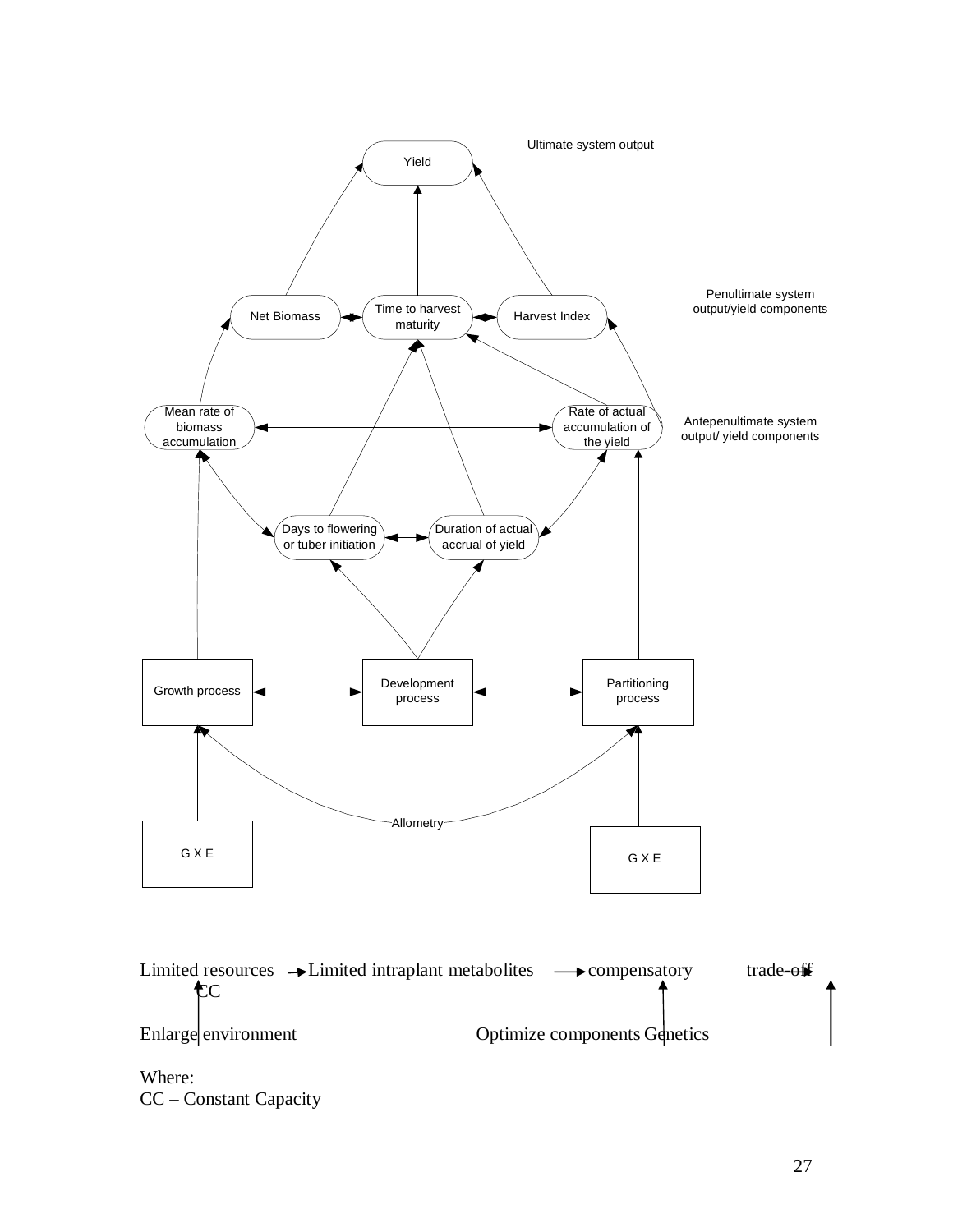

Where: CC – Constant Capacity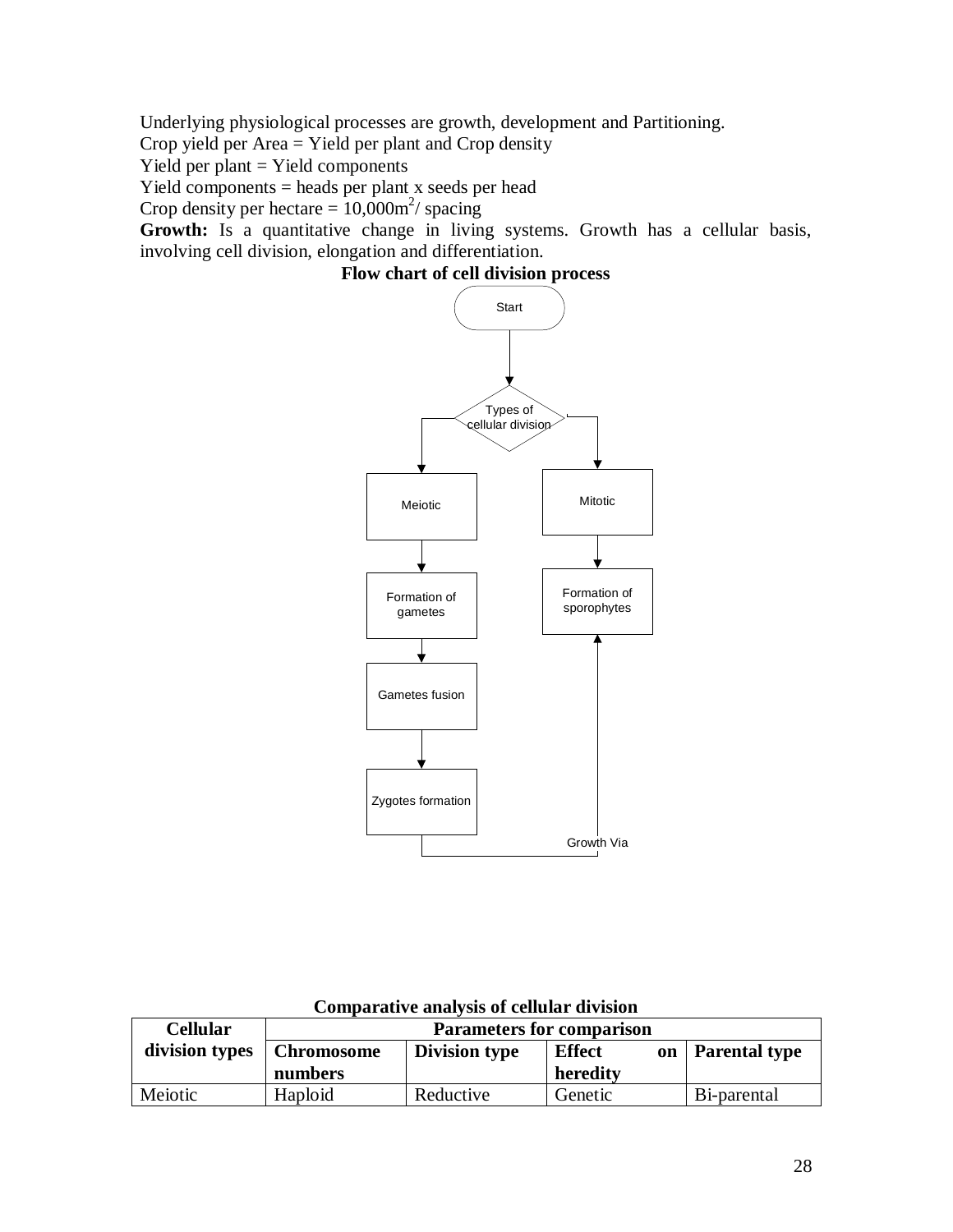Underlying physiological processes are growth, development and Partitioning.

Crop yield per Area = Yield per plant and Crop density

Yield per plant  $=$  Yield components

Yield components = heads per plant x seeds per head

Crop density per hectare =  $10,000$ m<sup>2</sup>/ spacing

Growth: Is a quantitative change in living systems. Growth has a cellular basis, involving cell division, elongation and differentiation.





| Cellular       | <b>Parameters for comparison</b> |                      |                            |                      |
|----------------|----------------------------------|----------------------|----------------------------|----------------------|
| division types | <b>Chromosome</b>                | <b>Division type</b> | <b>Effect</b><br><b>on</b> | <b>Parental type</b> |
|                | numbers                          |                      | heredity                   |                      |
| Meiotic        | Haploid                          | Reductive            | Genetic                    | Bi-parental          |

**Comparative analysis of cellular division**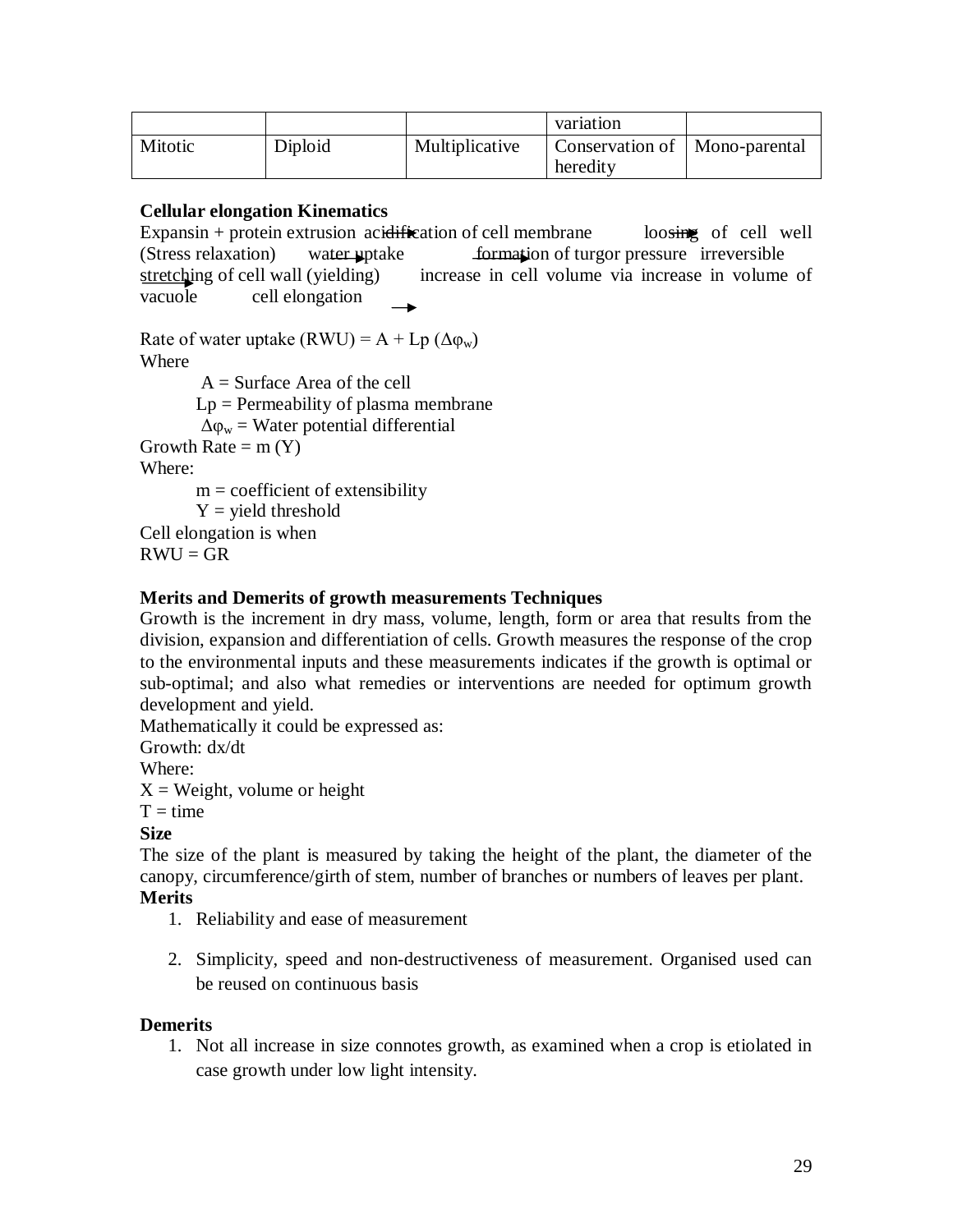|         |         |                | variation                   |               |
|---------|---------|----------------|-----------------------------|---------------|
| Mitotic | Diploid | Multiplicative | Conservation of<br>heredity | Mono-parental |

### **Cellular elongation Kinematics**

Expansin + protein extrusion acidification of cell membrane loosing of cell well (Stress relaxation) water uptake formation of turgor pressure irreversible stretching of cell wall (yielding) increase in cell volume via increase in volume of vacuole cell elongation

Rate of water uptake  $(RWU) = A + Lp (\Delta \phi_w)$ Where  $A =$ Surface Area of the cell  $Lp = Permeability of plasma membrane$ 

 $\Delta \varphi_w$  = Water potential differential

Growth Rate  $=$  m  $(Y)$ 

Where:

 $m =$  coefficient of extensibility

 $Y =$  yield threshold

Cell elongation is when

 $RWU = GR$ 

# **Merits and Demerits of growth measurements Techniques**

Growth is the increment in dry mass, volume, length, form or area that results from the division, expansion and differentiation of cells. Growth measures the response of the crop to the environmental inputs and these measurements indicates if the growth is optimal or sub-optimal; and also what remedies or interventions are needed for optimum growth development and yield.

Mathematically it could be expressed as:

Growth: dx/dt

Where:

 $X = Weight$ , volume or height

 $T = time$ 

**Size**

The size of the plant is measured by taking the height of the plant, the diameter of the canopy, circumference/girth of stem, number of branches or numbers of leaves per plant. **Merits**

- 1. Reliability and ease of measurement
- 2. Simplicity, speed and non-destructiveness of measurement. Organised used can be reused on continuous basis

### **Demerits**

1. Not all increase in size connotes growth, as examined when a crop is etiolated in case growth under low light intensity.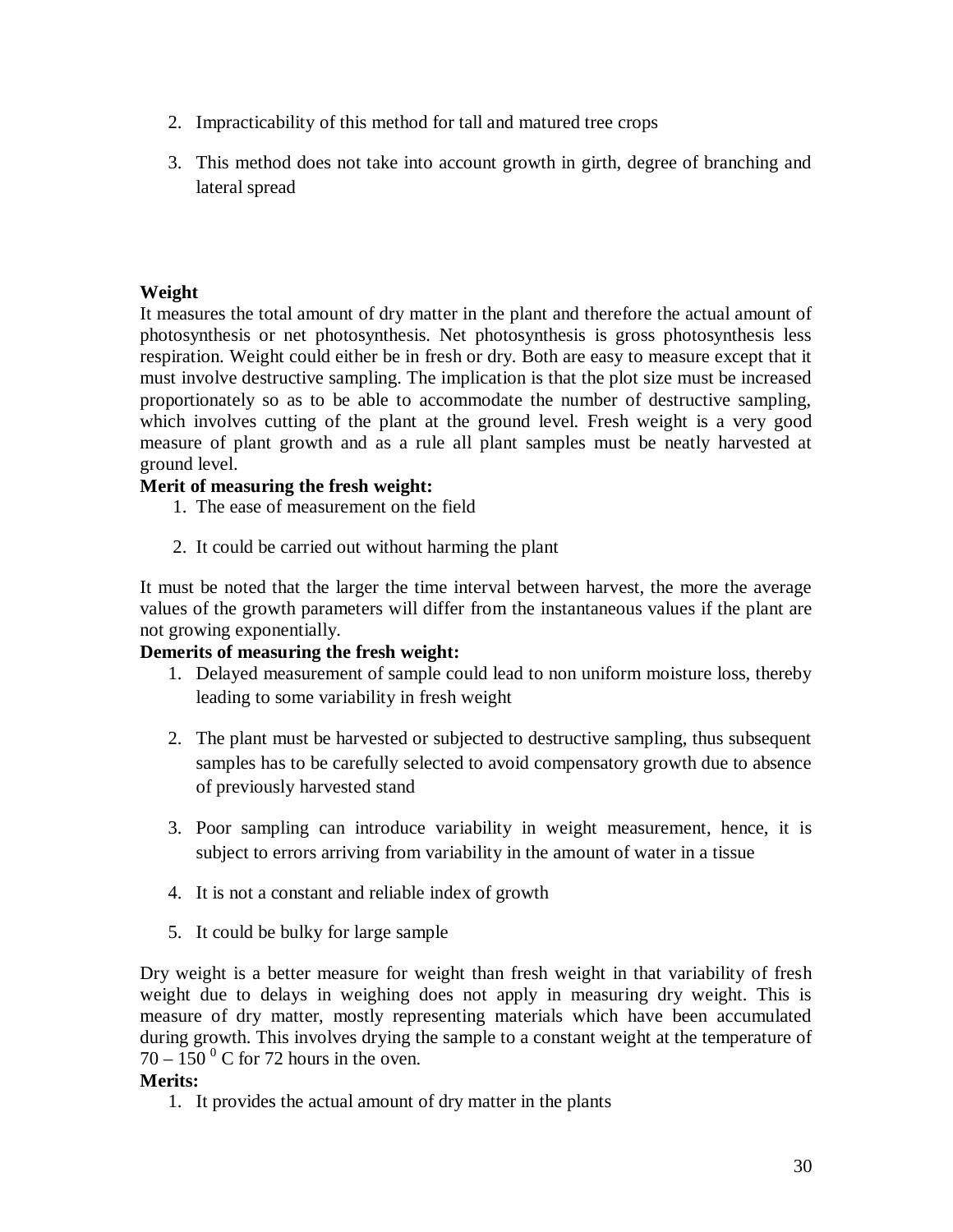- 2. Impracticability of this method for tall and matured tree crops
- 3. This method does not take into account growth in girth, degree of branching and lateral spread

# **Weight**

It measures the total amount of dry matter in the plant and therefore the actual amount of photosynthesis or net photosynthesis. Net photosynthesis is gross photosynthesis less respiration. Weight could either be in fresh or dry. Both are easy to measure except that it must involve destructive sampling. The implication is that the plot size must be increased proportionately so as to be able to accommodate the number of destructive sampling, which involves cutting of the plant at the ground level. Fresh weight is a very good measure of plant growth and as a rule all plant samples must be neatly harvested at ground level.

### **Merit of measuring the fresh weight:**

- 1. The ease of measurement on the field
- 2. It could be carried out without harming the plant

It must be noted that the larger the time interval between harvest, the more the average values of the growth parameters will differ from the instantaneous values if the plant are not growing exponentially.

## **Demerits of measuring the fresh weight:**

- 1. Delayed measurement of sample could lead to non uniform moisture loss, thereby leading to some variability in fresh weight
- 2. The plant must be harvested or subjected to destructive sampling, thus subsequent samples has to be carefully selected to avoid compensatory growth due to absence of previously harvested stand
- 3. Poor sampling can introduce variability in weight measurement, hence, it is subject to errors arriving from variability in the amount of water in a tissue
- 4. It is not a constant and reliable index of growth
- 5. It could be bulky for large sample

Dry weight is a better measure for weight than fresh weight in that variability of fresh weight due to delays in weighing does not apply in measuring dry weight. This is measure of dry matter, mostly representing materials which have been accumulated during growth. This involves drying the sample to a constant weight at the temperature of  $70 - 150$ <sup>o</sup> C for 72 hours in the oven.

#### **Merits:**

1. It provides the actual amount of dry matter in the plants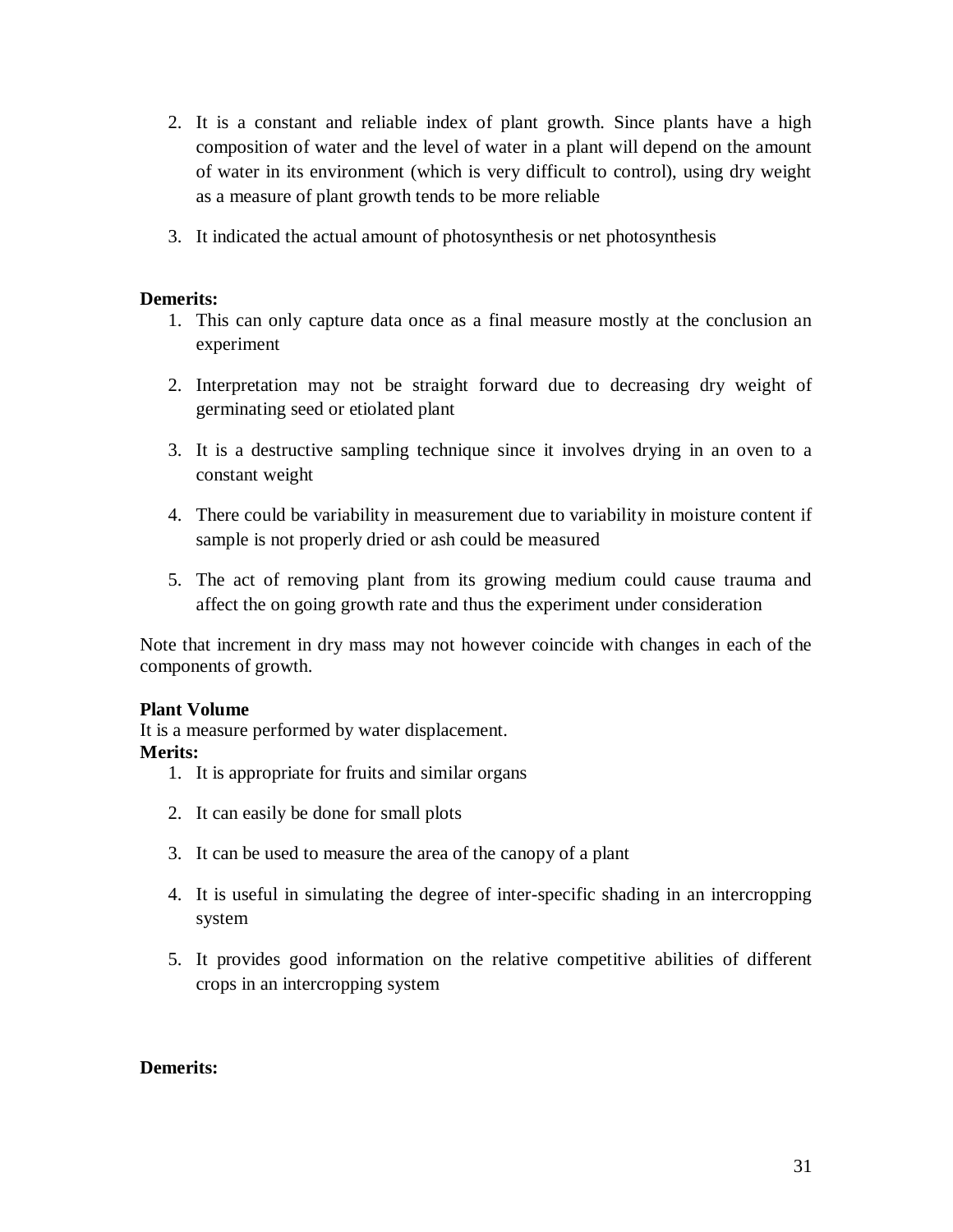- 2. It is a constant and reliable index of plant growth. Since plants have a high composition of water and the level of water in a plant will depend on the amount of water in its environment (which is very difficult to control), using dry weight as a measure of plant growth tends to be more reliable
- 3. It indicated the actual amount of photosynthesis or net photosynthesis

### **Demerits:**

- 1. This can only capture data once as a final measure mostly at the conclusion an experiment
- 2. Interpretation may not be straight forward due to decreasing dry weight of germinating seed or etiolated plant
- 3. It is a destructive sampling technique since it involves drying in an oven to a constant weight
- 4. There could be variability in measurement due to variability in moisture content if sample is not properly dried or ash could be measured
- 5. The act of removing plant from its growing medium could cause trauma and affect the on going growth rate and thus the experiment under consideration

Note that increment in dry mass may not however coincide with changes in each of the components of growth.

#### **Plant Volume**

It is a measure performed by water displacement.

# **Merits:**

- 1. It is appropriate for fruits and similar organs
- 2. It can easily be done for small plots
- 3. It can be used to measure the area of the canopy of a plant
- 4. It is useful in simulating the degree of inter-specific shading in an intercropping system
- 5. It provides good information on the relative competitive abilities of different crops in an intercropping system

### **Demerits:**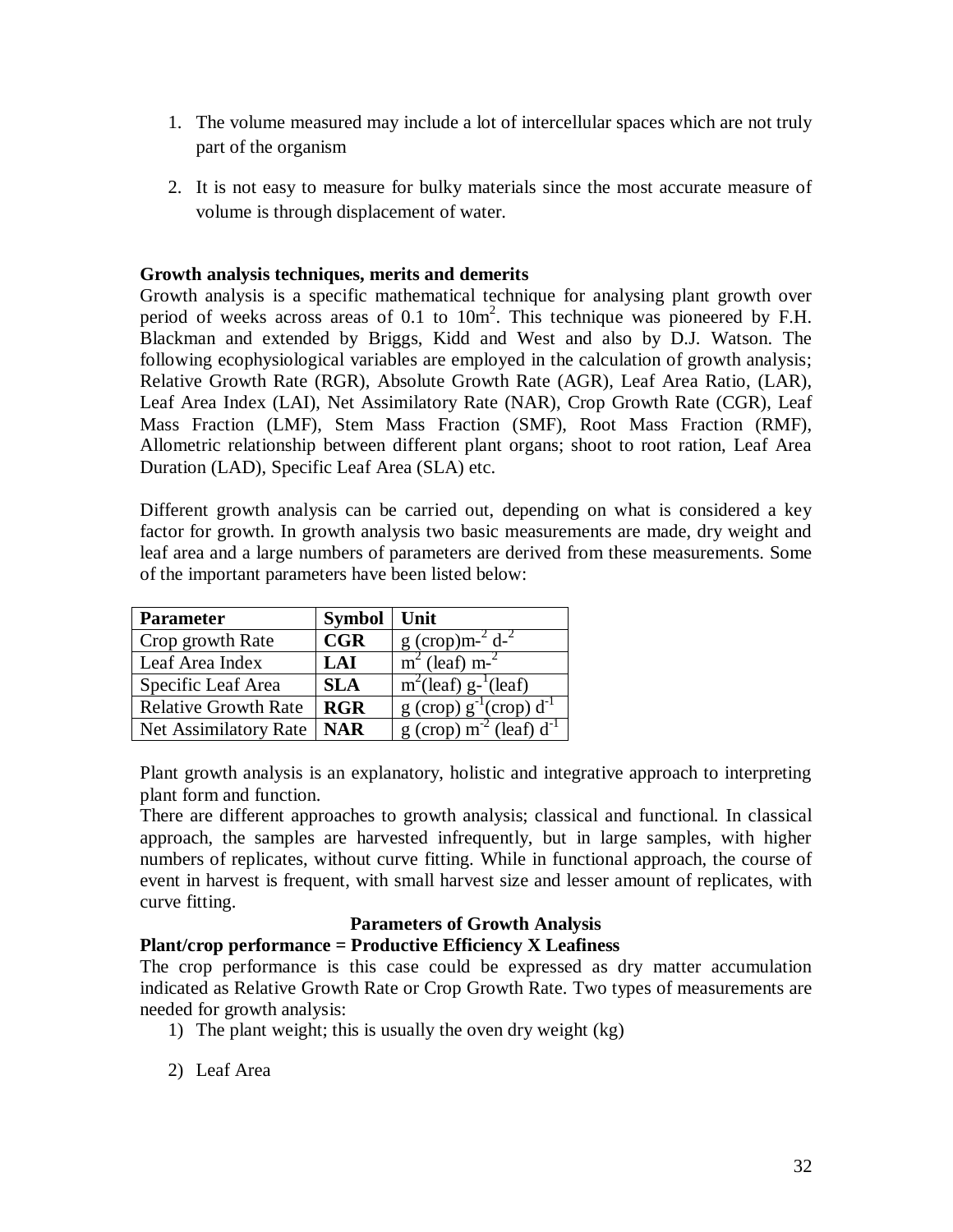- 1. The volume measured may include a lot of intercellular spaces which are not truly part of the organism
- 2. It is not easy to measure for bulky materials since the most accurate measure of volume is through displacement of water.

#### **Growth analysis techniques, merits and demerits**

Growth analysis is a specific mathematical technique for analysing plant growth over period of weeks across areas of 0.1 to  $10m^2$ . This technique was pioneered by F.H. Blackman and extended by Briggs, Kidd and West and also by D.J. Watson. The following ecophysiological variables are employed in the calculation of growth analysis; Relative Growth Rate (RGR), Absolute Growth Rate (AGR), Leaf Area Ratio, (LAR), Leaf Area Index (LAI), Net Assimilatory Rate (NAR), Crop Growth Rate (CGR), Leaf Mass Fraction (LMF), Stem Mass Fraction (SMF), Root Mass Fraction (RMF), Allometric relationship between different plant organs; shoot to root ration, Leaf Area Duration (LAD), Specific Leaf Area (SLA) etc.

Different growth analysis can be carried out, depending on what is considered a key factor for growth. In growth analysis two basic measurements are made, dry weight and leaf area and a large numbers of parameters are derived from these measurements. Some of the important parameters have been listed below:

| <b>Parameter</b>            | Symbol     | <b>Unit</b>                                                        |
|-----------------------------|------------|--------------------------------------------------------------------|
| Crop growth Rate            | CGR        | $g$ (crop)m- $^{2}$ d- $^{2}$                                      |
| Leaf Area Index             | LAI        | $m2$ (leaf) m- <sup>2</sup>                                        |
| Specific Leaf Area          | <b>SLA</b> | $m^2$ (leaf) g- <sup>1</sup> (leaf)                                |
| <b>Relative Growth Rate</b> | <b>RGR</b> | $g(crop) g^{-1}(crop) d^{-1}$                                      |
| Net Assimilatory Rate       | <b>NAR</b> | $\frac{1}{\text{g}}$ (crop) m <sup>-2</sup> (leaf) d <sup>-1</sup> |

Plant growth analysis is an explanatory, holistic and integrative approach to interpreting plant form and function.

There are different approaches to growth analysis; classical and functional. In classical approach, the samples are harvested infrequently, but in large samples, with higher numbers of replicates, without curve fitting. While in functional approach, the course of event in harvest is frequent, with small harvest size and lesser amount of replicates, with curve fitting.

### **Parameters of Growth Analysis**

# **Plant/crop performance = Productive Efficiency X Leafiness**

The crop performance is this case could be expressed as dry matter accumulation indicated as Relative Growth Rate or Crop Growth Rate. Two types of measurements are needed for growth analysis:

- 1) The plant weight; this is usually the oven dry weight (kg)
- 2) Leaf Area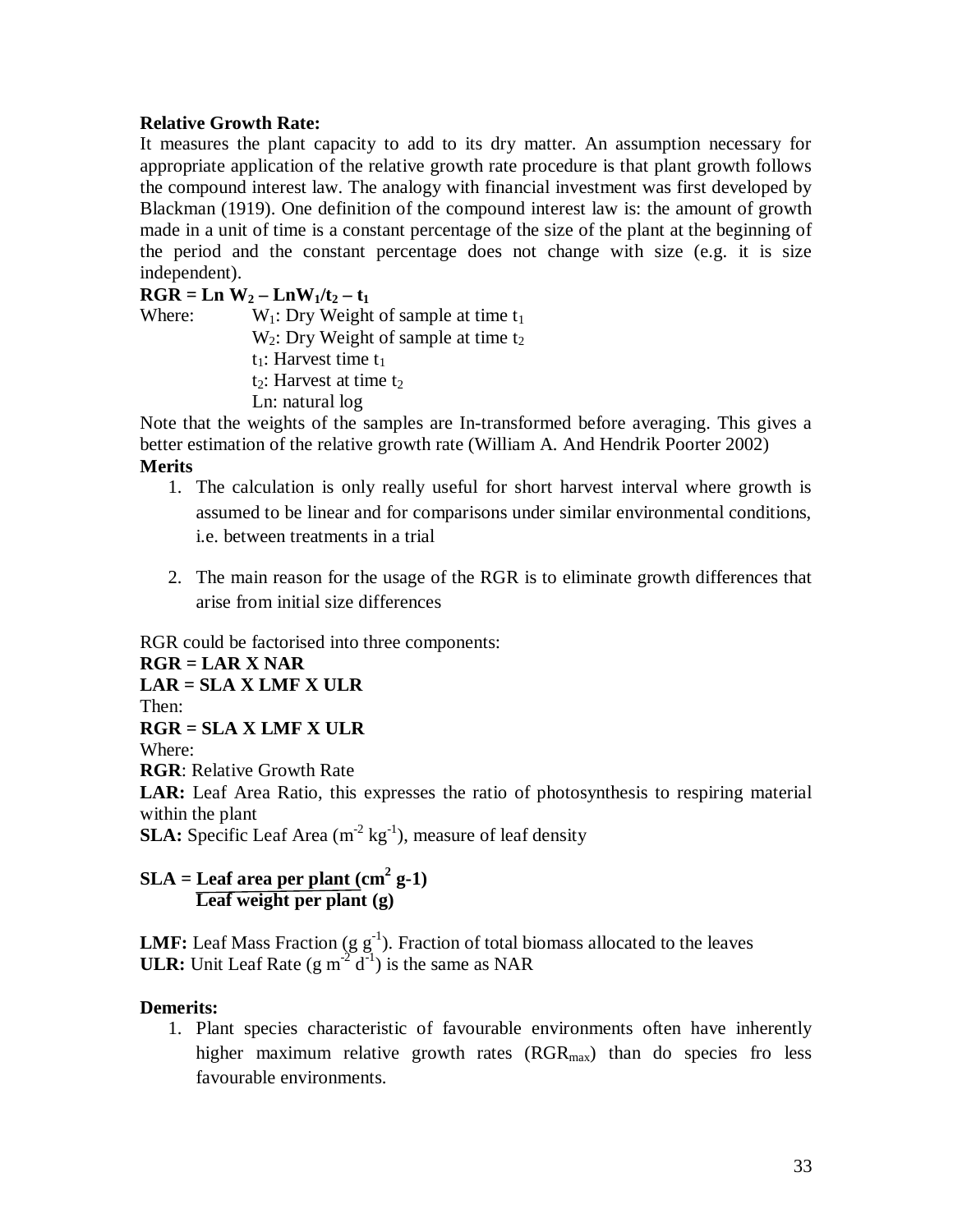#### **Relative Growth Rate:**

It measures the plant capacity to add to its dry matter. An assumption necessary for appropriate application of the relative growth rate procedure is that plant growth follows the compound interest law. The analogy with financial investment was first developed by Blackman (1919). One definition of the compound interest law is: the amount of growth made in a unit of time is a constant percentage of the size of the plant at the beginning of the period and the constant percentage does not change with size (e.g. it is size independent).

 $RGR = Ln W_2 - LnW_1/t_2 - t_1$ 

Where:  $W_1$ : Dry Weight of sample at time  $t_1$  $W_2$ : Dry Weight of sample at time  $t_2$  $t_1$ : Harvest time  $t_1$  $t_2$ : Harvest at time  $t_2$ 

Ln: natural log

Note that the weights of the samples are In-transformed before averaging. This gives a better estimation of the relative growth rate (William A. And Hendrik Poorter 2002) **Merits**

- 1. The calculation is only really useful for short harvest interval where growth is assumed to be linear and for comparisons under similar environmental conditions, i.e. between treatments in a trial
- 2. The main reason for the usage of the RGR is to eliminate growth differences that arise from initial size differences

RGR could be factorised into three components:

**RGR = LAR X NAR LAR = SLA X LMF X ULR** Then: **RGR = SLA X LMF X ULR** Where: **RGR**: Relative Growth Rate **LAR:** Leaf Area Ratio, this expresses the ratio of photosynthesis to respiring material within the plant **SLA:** Specific Leaf Area (m<sup>-2</sup> kg<sup>-1</sup>), measure of leaf density **SLA = Leaf area per plant (cm<sup>2</sup> g-1)**

**Leaf weight per plant (g)**

**LMF:** Leaf Mass Fraction (g  $g^{-1}$ ). Fraction of total biomass allocated to the leaves **ULR:** Unit Leaf Rate  $(g m<sup>-2</sup> d<sup>-1</sup>)$  is the same as NAR

### **Demerits:**

1. Plant species characteristic of favourable environments often have inherently higher maximum relative growth rates  $(RGR<sub>max</sub>)$  than do species fro less favourable environments.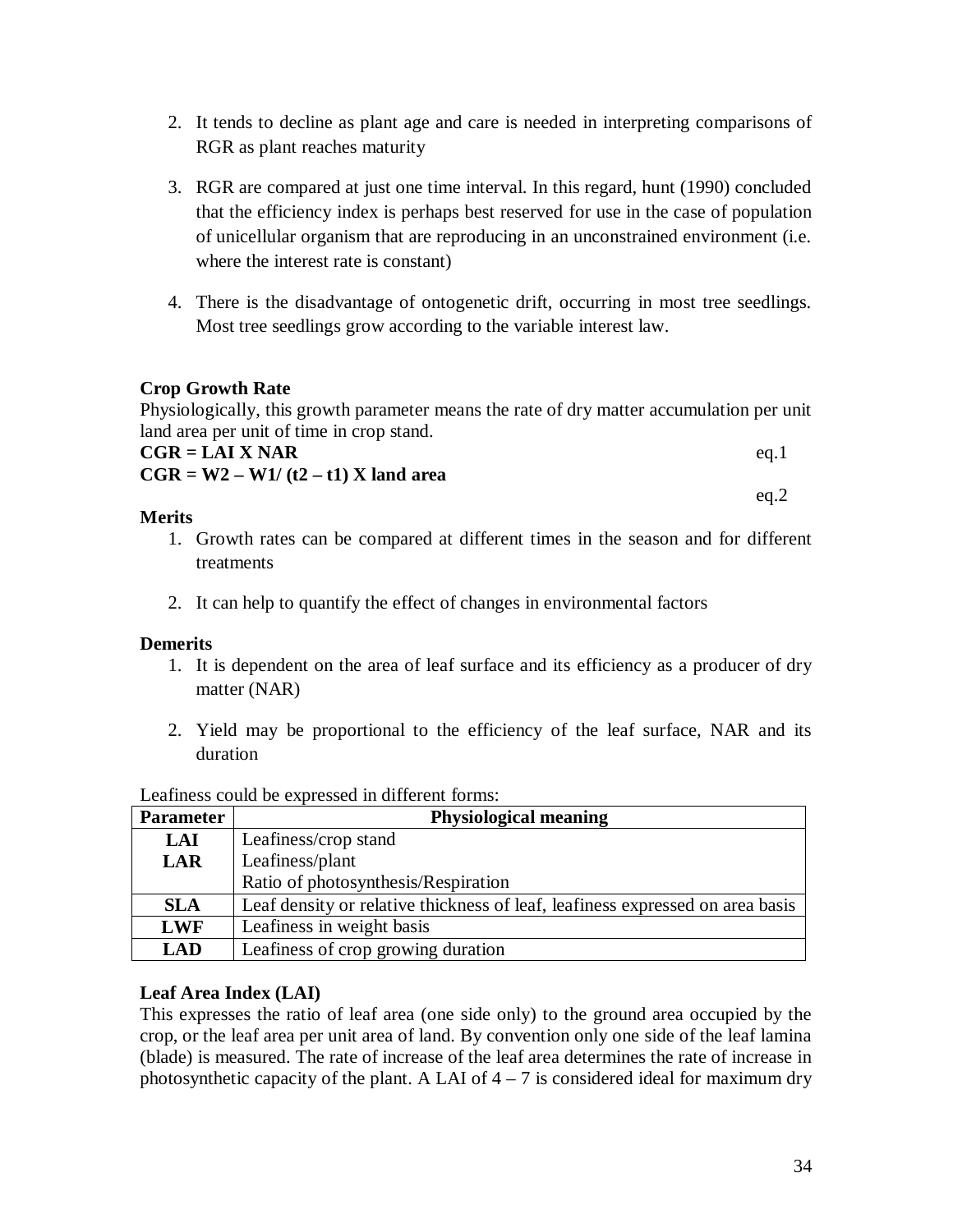- 2. It tends to decline as plant age and care is needed in interpreting comparisons of RGR as plant reaches maturity
- 3. RGR are compared at just one time interval. In this regard, hunt (1990) concluded that the efficiency index is perhaps best reserved for use in the case of population of unicellular organism that are reproducing in an unconstrained environment (i.e. where the interest rate is constant)
- 4. There is the disadvantage of ontogenetic drift, occurring in most tree seedlings. Most tree seedlings grow according to the variable interest law.

### **Crop Growth Rate**

Physiologically, this growth parameter means the rate of dry matter accumulation per unit land area per unit of time in crop stand.

| $\sim$<br>$CGR = LAIX NAR$            | eg.1 |
|---------------------------------------|------|
| $CGR = W2 - W1/(t2 - t1)$ X land area |      |
|                                       | ea.2 |

### **Merits**

- 1. Growth rates can be compared at different times in the season and for different treatments
- 2. It can help to quantify the effect of changes in environmental factors

### **Demerits**

- 1. It is dependent on the area of leaf surface and its efficiency as a producer of dry matter (NAR)
- 2. Yield may be proportional to the efficiency of the leaf surface, NAR and its duration

| <b>Parameter</b> | <b>Physiological meaning</b>                                                  |
|------------------|-------------------------------------------------------------------------------|
| <b>LAI</b>       | Leafiness/crop stand                                                          |
| <b>LAR</b>       | Leafiness/plant                                                               |
|                  | Ratio of photosynthesis/Respiration                                           |
| <b>SLA</b>       | Leaf density or relative thickness of leaf, leafiness expressed on area basis |
| <b>LWF</b>       | Leafiness in weight basis                                                     |
| <b>LAD</b>       | Leafiness of crop growing duration                                            |

Leafiness could be expressed in different forms:

### **Leaf Area Index (LAI)**

This expresses the ratio of leaf area (one side only) to the ground area occupied by the crop, or the leaf area per unit area of land. By convention only one side of the leaf lamina (blade) is measured. The rate of increase of the leaf area determines the rate of increase in photosynthetic capacity of the plant. A LAI of  $4 - 7$  is considered ideal for maximum dry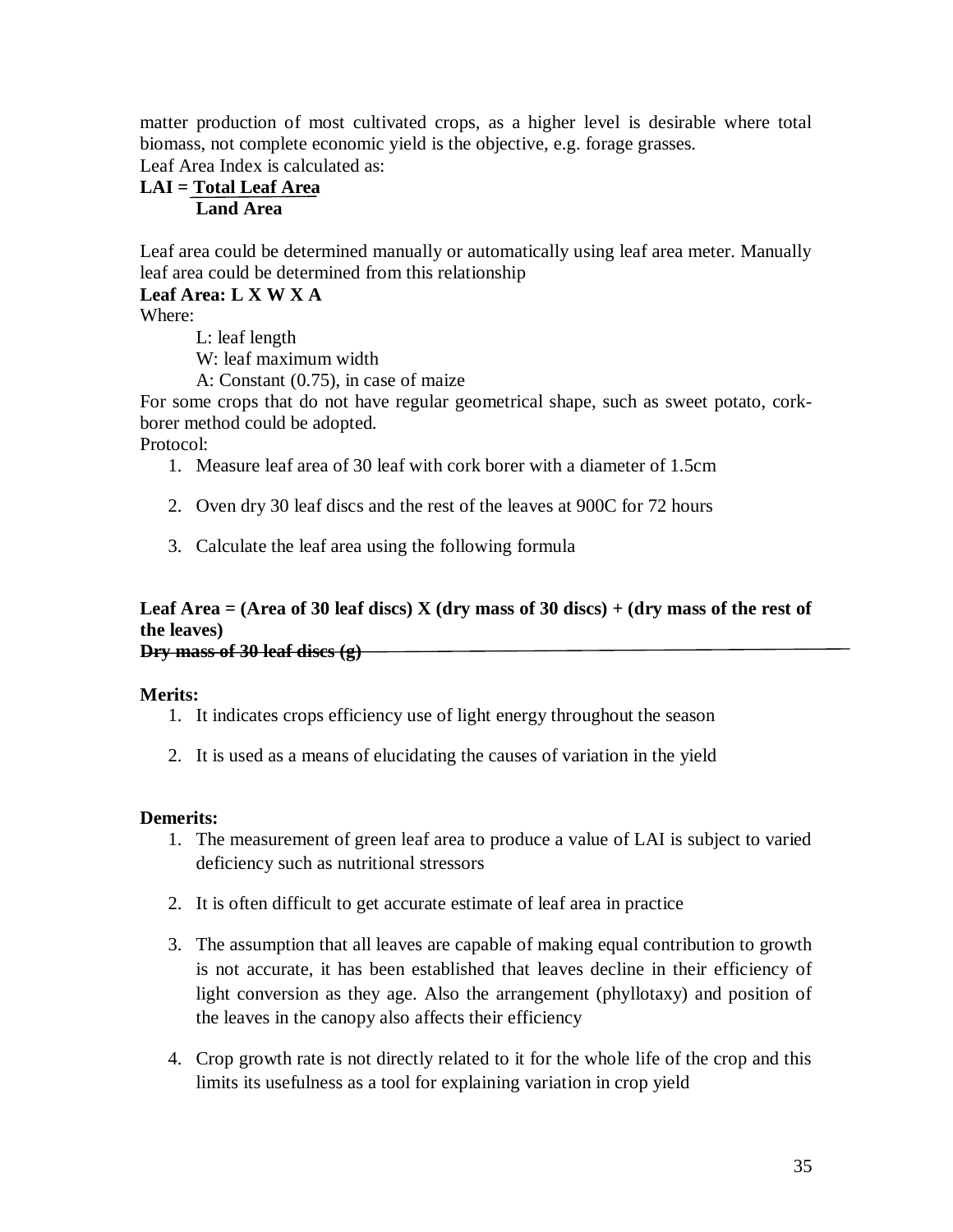matter production of most cultivated crops, as a higher level is desirable where total biomass, not complete economic yield is the objective, e.g. forage grasses. Leaf Area Index is calculated as:

# **LAI = Total Leaf Area Land Area**

Leaf area could be determined manually or automatically using leaf area meter. Manually leaf area could be determined from this relationship

### **Leaf Area: L X W X A**

Where:

L: leaf length

W: leaf maximum width

A: Constant (0.75), in case of maize

For some crops that do not have regular geometrical shape, such as sweet potato, corkborer method could be adopted.

Protocol:

- 1. Measure leaf area of 30 leaf with cork borer with a diameter of 1.5cm
- 2. Oven dry 30 leaf discs and the rest of the leaves at 900C for 72 hours
- 3. Calculate the leaf area using the following formula

# **Leaf Area = (Area of 30 leaf discs) X (dry mass of 30 discs) + (dry mass of the rest of the leaves)**

**Dry mass of 30 leaf discs (g)**

#### **Merits:**

- 1. It indicates crops efficiency use of light energy throughout the season
- 2. It is used as a means of elucidating the causes of variation in the yield

#### **Demerits:**

- 1. The measurement of green leaf area to produce a value of LAI is subject to varied deficiency such as nutritional stressors
- 2. It is often difficult to get accurate estimate of leaf area in practice
- 3. The assumption that all leaves are capable of making equal contribution to growth is not accurate, it has been established that leaves decline in their efficiency of light conversion as they age. Also the arrangement (phyllotaxy) and position of the leaves in the canopy also affects their efficiency
- 4. Crop growth rate is not directly related to it for the whole life of the crop and this limits its usefulness as a tool for explaining variation in crop yield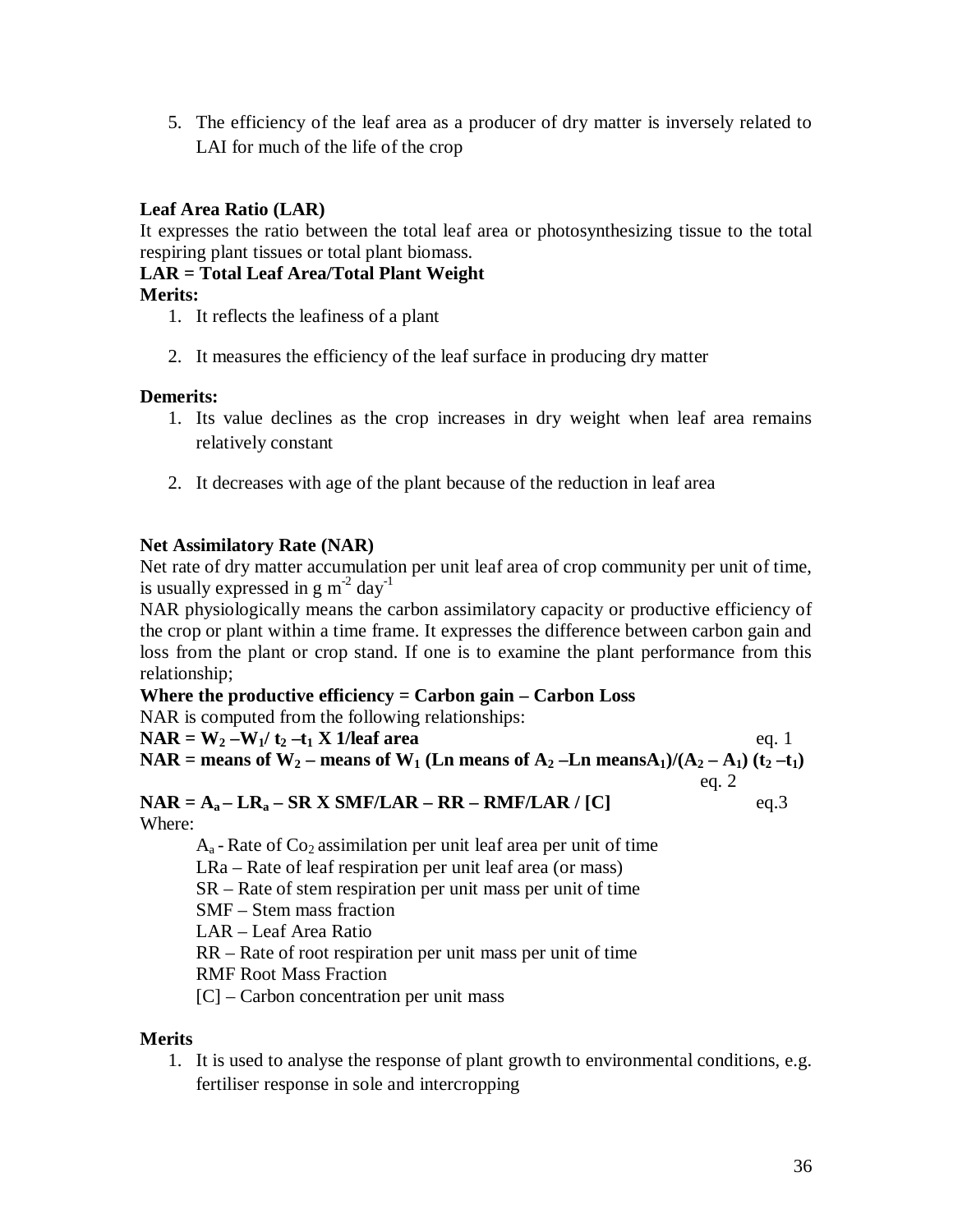5. The efficiency of the leaf area as a producer of dry matter is inversely related to LAI for much of the life of the crop

# **Leaf Area Ratio (LAR)**

It expresses the ratio between the total leaf area or photosynthesizing tissue to the total respiring plant tissues or total plant biomass.

### **LAR = Total Leaf Area/Total Plant Weight**

#### **Merits:**

- 1. It reflects the leafiness of a plant
- 2. It measures the efficiency of the leaf surface in producing dry matter

#### **Demerits:**

- 1. Its value declines as the crop increases in dry weight when leaf area remains relatively constant
- 2. It decreases with age of the plant because of the reduction in leaf area

### **Net Assimilatory Rate (NAR)**

Net rate of dry matter accumulation per unit leaf area of crop community per unit of time, is usually expressed in  $g m^{-2}$  day<sup>-1</sup>

NAR physiologically means the carbon assimilatory capacity or productive efficiency of the crop or plant within a time frame. It expresses the difference between carbon gain and loss from the plant or crop stand. If one is to examine the plant performance from this relationship;

#### **Where the productive efficiency = Carbon gain – Carbon Loss**

NAR is computed from the following relationships: **NAR** =  $W_2 - W_1 / t_2 - t_1 X$  1/leaf area eq. 1 **NAR** = means of  $W_2$  – means of  $W_1$  (Ln means of  $A_2$  –Ln means $A_1$ )/( $A_2$  –  $A_1$ ) ( $t_2$  – $t_1$ ) eq. 2

**NAR** =  $A_a$  –  $LR_a$  –  $SRX$  **SMF/LAR** –  $RR$  –  $RMF/LAR$  / [C] eq.3 Where:

 $A<sub>a</sub>$  - Rate of Co<sub>2</sub> assimilation per unit leaf area per unit of time LRa – Rate of leaf respiration per unit leaf area (or mass) SR – Rate of stem respiration per unit mass per unit of time SMF – Stem mass fraction LAR – Leaf Area Ratio RR – Rate of root respiration per unit mass per unit of time RMF Root Mass Fraction

[C] – Carbon concentration per unit mass

### **Merits**

1. It is used to analyse the response of plant growth to environmental conditions, e.g. fertiliser response in sole and intercropping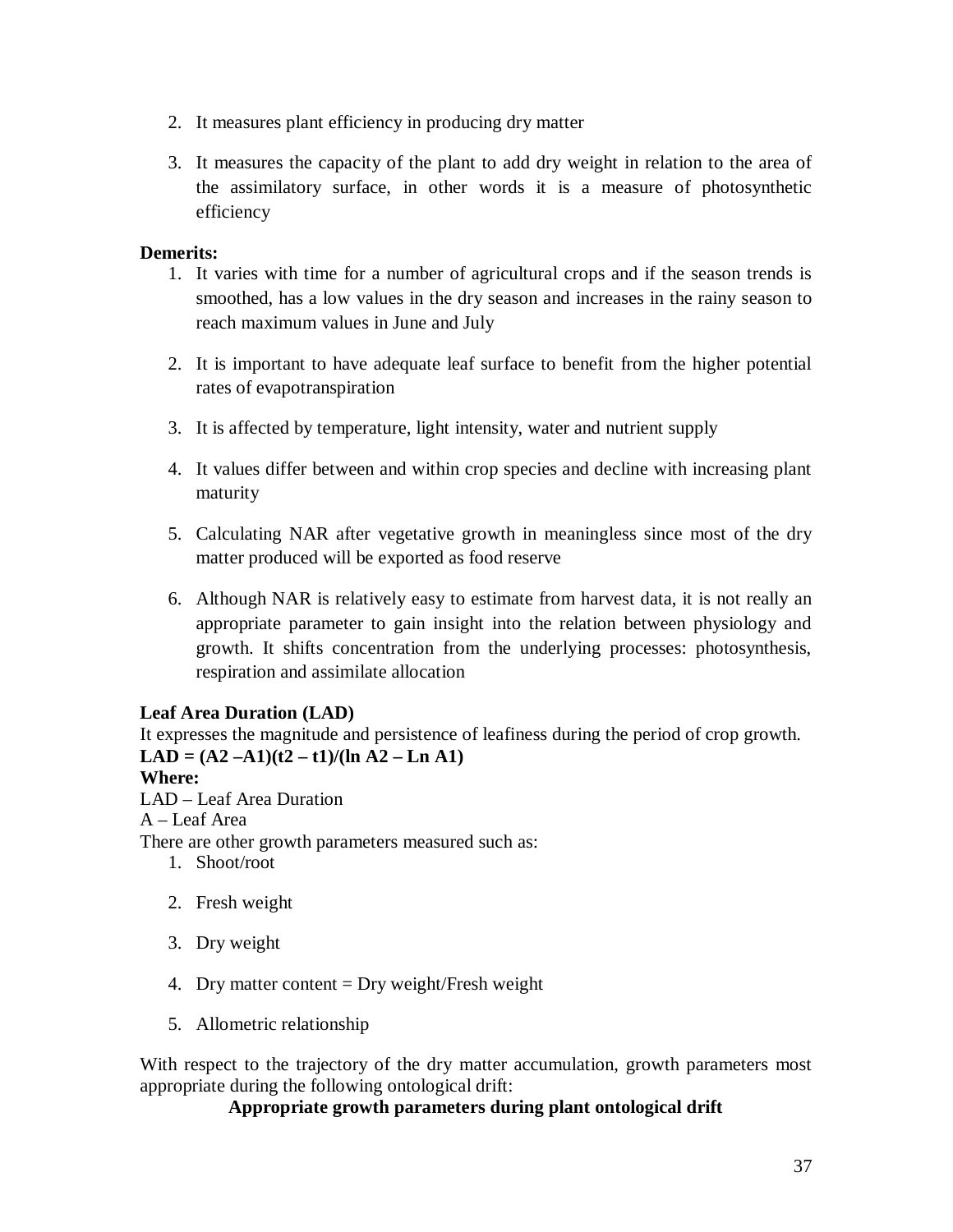- 2. It measures plant efficiency in producing dry matter
- 3. It measures the capacity of the plant to add dry weight in relation to the area of the assimilatory surface, in other words it is a measure of photosynthetic efficiency

# **Demerits:**

- 1. It varies with time for a number of agricultural crops and if the season trends is smoothed, has a low values in the dry season and increases in the rainy season to reach maximum values in June and July
- 2. It is important to have adequate leaf surface to benefit from the higher potential rates of evapotranspiration
- 3. It is affected by temperature, light intensity, water and nutrient supply
- 4. It values differ between and within crop species and decline with increasing plant maturity
- 5. Calculating NAR after vegetative growth in meaningless since most of the dry matter produced will be exported as food reserve
- 6. Although NAR is relatively easy to estimate from harvest data, it is not really an appropriate parameter to gain insight into the relation between physiology and growth. It shifts concentration from the underlying processes: photosynthesis, respiration and assimilate allocation

### **Leaf Area Duration (LAD)**

It expresses the magnitude and persistence of leafiness during the period of crop growth.  $LAD = (A2 - A1)(t2 - t1)/(ln A2 - Ln A1)$ 

### **Where:**

LAD – Leaf Area Duration

A – Leaf Area

There are other growth parameters measured such as:

- 1. Shoot/root
- 2. Fresh weight
- 3. Dry weight
- 4. Dry matter content  $=$  Dry weight/Fresh weight
- 5. Allometric relationship

With respect to the trajectory of the dry matter accumulation, growth parameters most appropriate during the following ontological drift:

### **Appropriate growth parameters during plant ontological drift**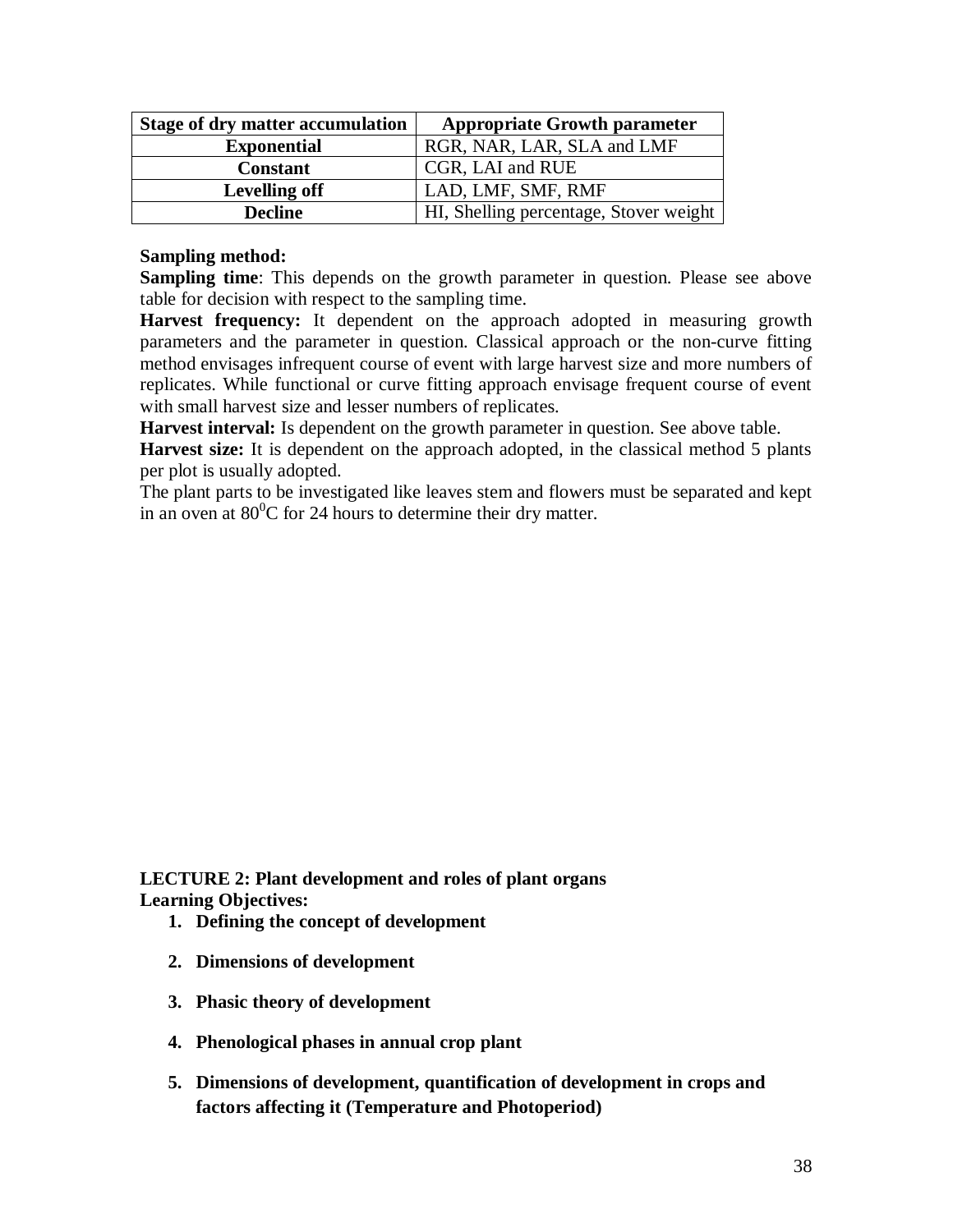| <b>Stage of dry matter accumulation</b> | <b>Appropriate Growth parameter</b>    |
|-----------------------------------------|----------------------------------------|
| <b>Exponential</b>                      | RGR, NAR, LAR, SLA and LMF             |
| <b>Constant</b>                         | CGR, LAI and RUE                       |
| <b>Levelling off</b>                    | LAD, LMF, SMF, RMF                     |
| <b>Decline</b>                          | HI, Shelling percentage, Stover weight |

#### **Sampling method:**

**Sampling time**: This depends on the growth parameter in question. Please see above table for decision with respect to the sampling time.

**Harvest frequency:** It dependent on the approach adopted in measuring growth parameters and the parameter in question. Classical approach or the non-curve fitting method envisages infrequent course of event with large harvest size and more numbers of replicates. While functional or curve fitting approach envisage frequent course of event with small harvest size and lesser numbers of replicates.

Harvest interval: Is dependent on the growth parameter in question. See above table.

Harvest size: It is dependent on the approach adopted, in the classical method 5 plants per plot is usually adopted.

The plant parts to be investigated like leaves stem and flowers must be separated and kept in an oven at  $80^{\circ}$ C for 24 hours to determine their dry matter.

**LECTURE 2: Plant development and roles of plant organs Learning Objectives:**

- **1. Defining the concept of development**
- **2. Dimensions of development**
- **3. Phasic theory of development**
- **4. Phenological phases in annual crop plant**
- **5. Dimensions of development, quantification of development in crops and factors affecting it (Temperature and Photoperiod)**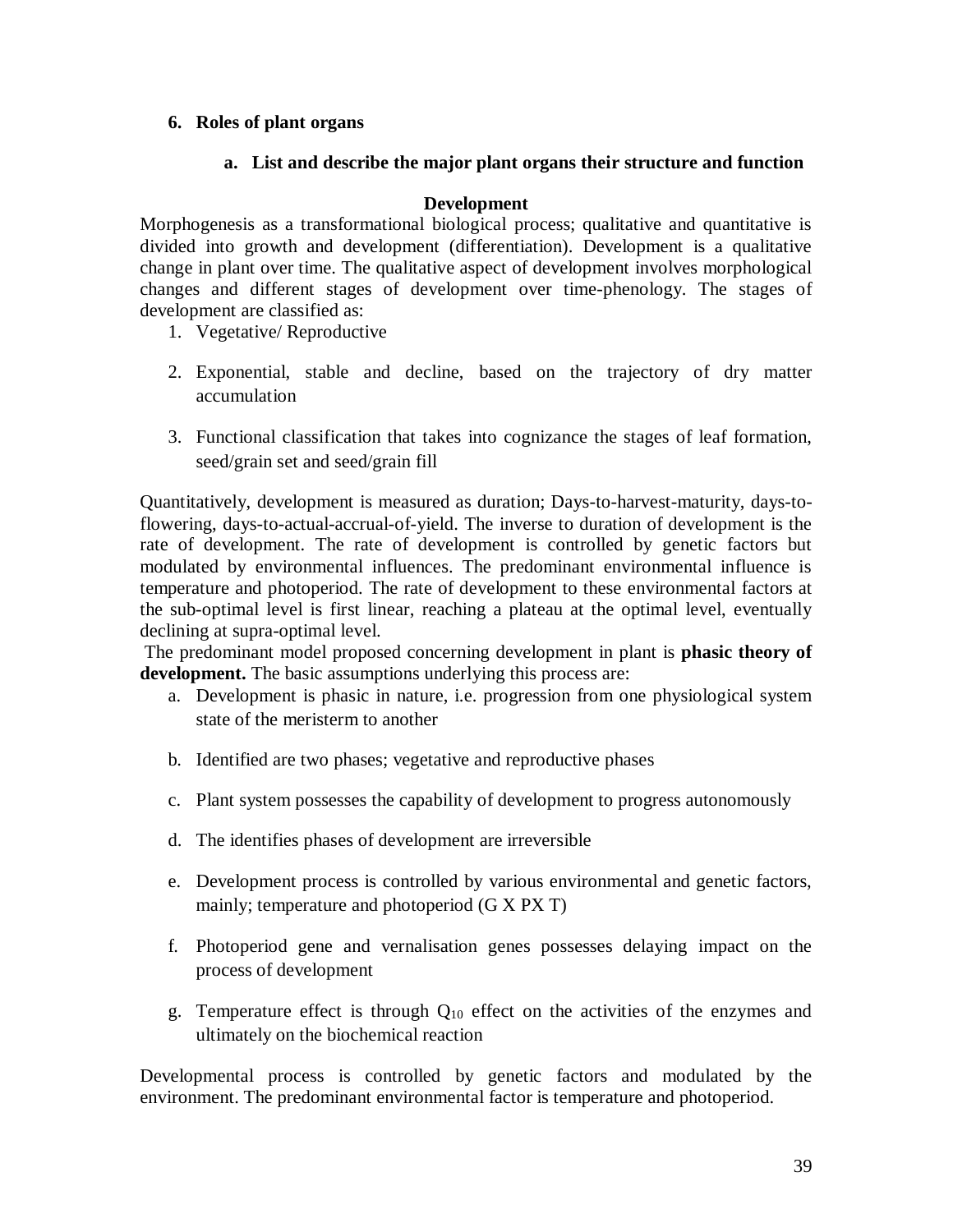#### **6. Roles of plant organs**

#### **a. List and describe the major plant organs their structure and function**

#### **Development**

Morphogenesis as a transformational biological process; qualitative and quantitative is divided into growth and development (differentiation). Development is a qualitative change in plant over time. The qualitative aspect of development involves morphological changes and different stages of development over time-phenology. The stages of development are classified as:

- 1. Vegetative/ Reproductive
- 2. Exponential, stable and decline, based on the trajectory of dry matter accumulation
- 3. Functional classification that takes into cognizance the stages of leaf formation, seed/grain set and seed/grain fill

Quantitatively, development is measured as duration; Days-to-harvest-maturity, days-toflowering, days-to-actual-accrual-of-yield. The inverse to duration of development is the rate of development. The rate of development is controlled by genetic factors but modulated by environmental influences. The predominant environmental influence is temperature and photoperiod. The rate of development to these environmental factors at the sub-optimal level is first linear, reaching a plateau at the optimal level, eventually declining at supra-optimal level.

The predominant model proposed concerning development in plant is **phasic theory of development.** The basic assumptions underlying this process are:

- a. Development is phasic in nature, i.e. progression from one physiological system state of the meristerm to another
- b. Identified are two phases; vegetative and reproductive phases
- c. Plant system possesses the capability of development to progress autonomously
- d. The identifies phases of development are irreversible
- e. Development process is controlled by various environmental and genetic factors, mainly; temperature and photoperiod (G X PX T)
- f. Photoperiod gene and vernalisation genes possesses delaying impact on the process of development
- g. Temperature effect is through  $Q_{10}$  effect on the activities of the enzymes and ultimately on the biochemical reaction

Developmental process is controlled by genetic factors and modulated by the environment. The predominant environmental factor is temperature and photoperiod.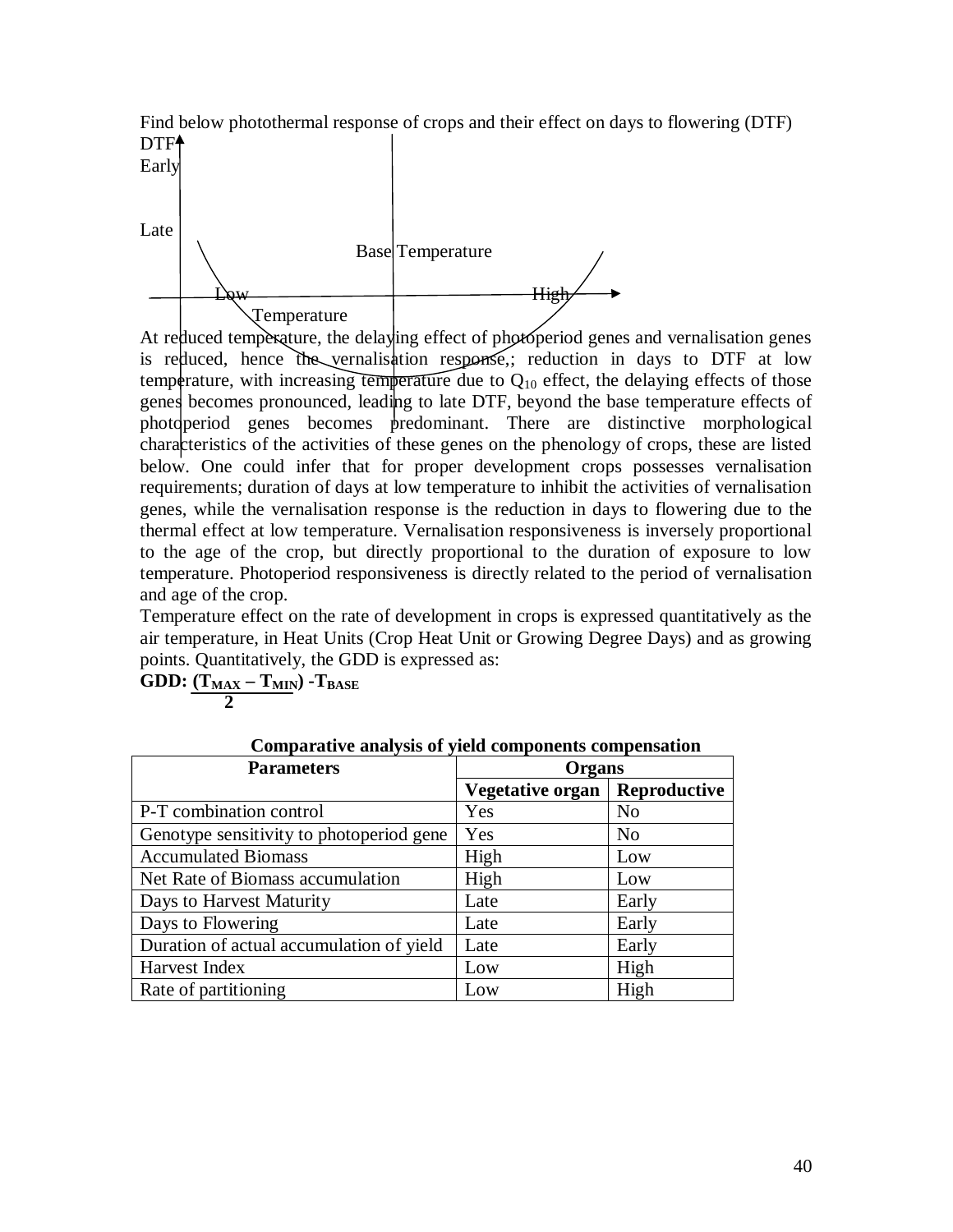Find below photothermal response of crops and their effect on days to flowering (DTF) DTF<sup>+</sup>



At reduced temperature, the delaying effect of photoperiod genes and vernalisation genes is reduced, hence the vernalisation response,; reduction in days to DTF at low temperature, with increasing temperature due to  $Q_{10}$  effect, the delaying effects of those genes becomes pronounced, leading to late DTF, beyond the base temperature effects of photoperiod genes becomes predominant. There are distinctive morphological characteristics of the activities of these genes on the phenology of crops, these are listed below. One could infer that for proper development crops possesses vernalisation requirements; duration of days at low temperature to inhibit the activities of vernalisation genes, while the vernalisation response is the reduction in days to flowering due to the thermal effect at low temperature. Vernalisation responsiveness is inversely proportional to the age of the crop, but directly proportional to the duration of exposure to low temperature. Photoperiod responsiveness is directly related to the period of vernalisation and age of the crop.

Temperature effect on the rate of development in crops is expressed quantitatively as the air temperature, in Heat Units (Crop Heat Unit or Growing Degree Days) and as growing points. Quantitatively, the GDD is expressed as:

| Comparative analysis of yield components compensation |                         |                |  |
|-------------------------------------------------------|-------------------------|----------------|--|
| <b>Parameters</b><br><b>Organs</b>                    |                         |                |  |
|                                                       | <b>Vegetative organ</b> | Reproductive   |  |
| P-T combination control                               | Yes                     | N <sub>0</sub> |  |
| Genotype sensitivity to photoperiod gene              | Yes                     | N <sub>0</sub> |  |
| <b>Accumulated Biomass</b>                            | High                    | Low            |  |
| Net Rate of Biomass accumulation                      | High                    | Low            |  |
| Days to Harvest Maturity                              | Late                    | Early          |  |
| Days to Flowering                                     | Late                    | Early          |  |
| Duration of actual accumulation of yield              | Late                    | Early          |  |
| Harvest Index                                         | Low                     | High           |  |
| Rate of partitioning                                  | Low                     | High           |  |

**GDD: (TMAX – TMIN) -TBASE**

 **2**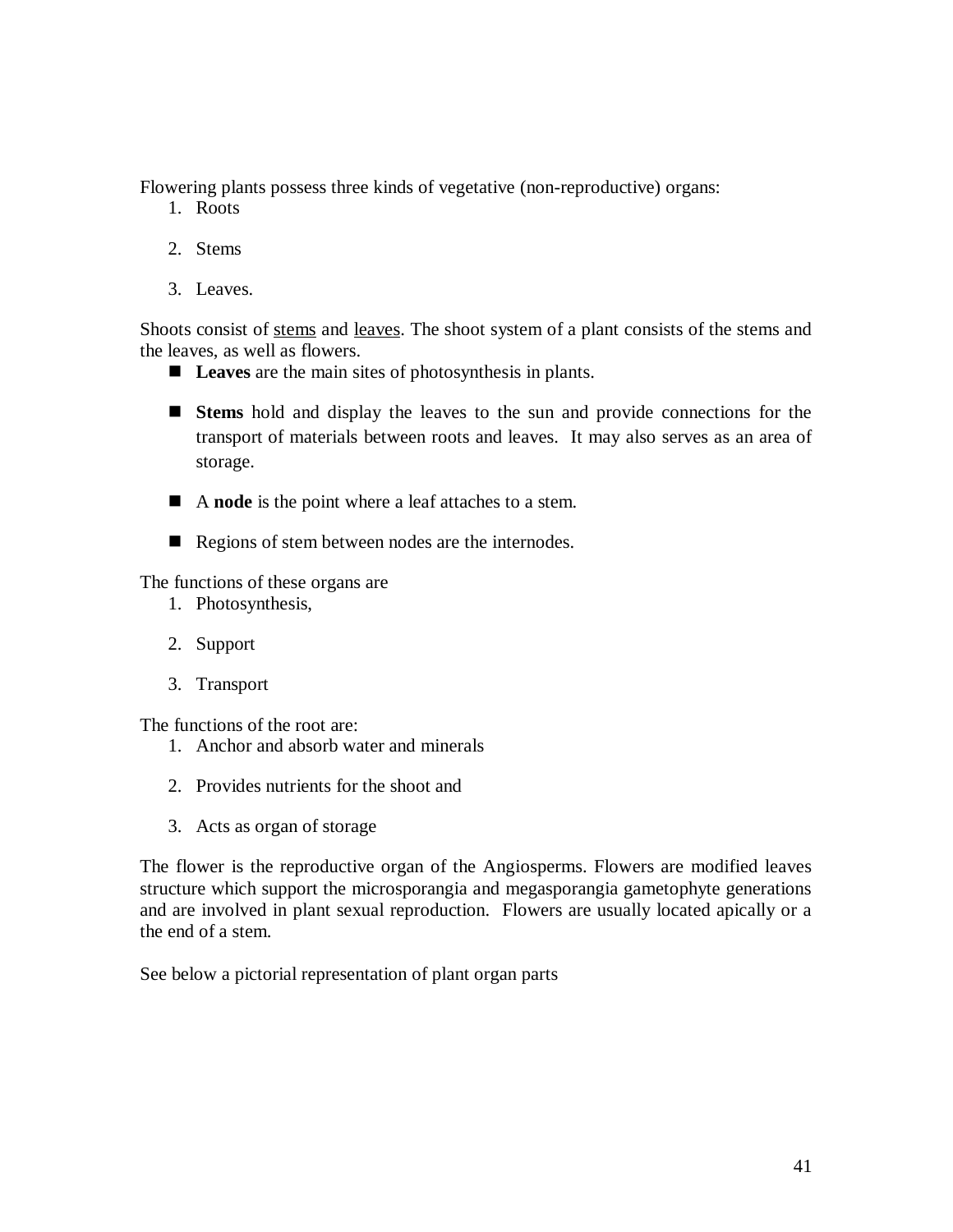Flowering plants possess three kinds of vegetative (non-reproductive) organs:

- 1. Roots
- 2. Stems
- 3. Leaves.

Shoots consist of stems and leaves. The shoot system of a plant consists of the stems and the leaves, as well as flowers.

- **Leaves** are the main sites of photosynthesis in plants.
- **Stems** hold and display the leaves to the sun and provide connections for the transport of materials between roots and leaves. It may also serves as an area of storage.
- A **node** is the point where a leaf attaches to a stem.
- Regions of stem between nodes are the internodes.

The functions of these organs are

- 1. Photosynthesis,
- 2. Support
- 3. Transport

The functions of the root are:

- 1. Anchor and absorb water and minerals
- 2. Provides nutrients for the shoot and
- 3. Acts as organ of storage

The flower is the reproductive organ of the Angiosperms. Flowers are modified leaves structure which support the microsporangia and megasporangia gametophyte generations and are involved in plant sexual reproduction. Flowers are usually located apically or a the end of a stem.

See below a pictorial representation of plant organ parts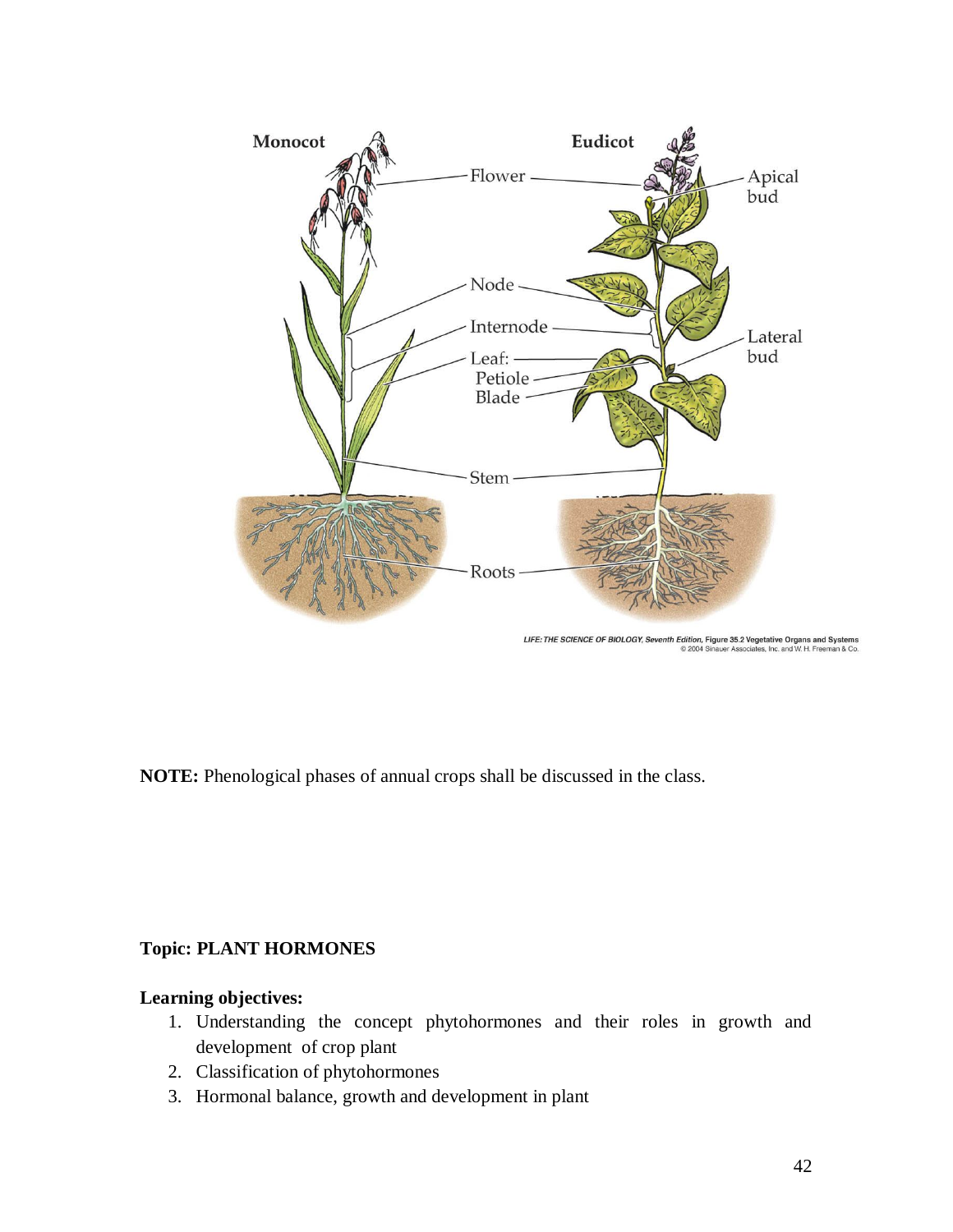

LIFE: THE SCIENCE OF BIOLOGY, Seventh Edition, Figure 35.2 Vegetative Organs and Sy

**NOTE:** Phenological phases of annual crops shall be discussed in the class.

# **Topic: PLANT HORMONES**

# **Learning objectives:**

- 1. Understanding the concept phytohormones and their roles in growth and development of crop plant
- 2. Classification of phytohormones
- 3. Hormonal balance, growth and development in plant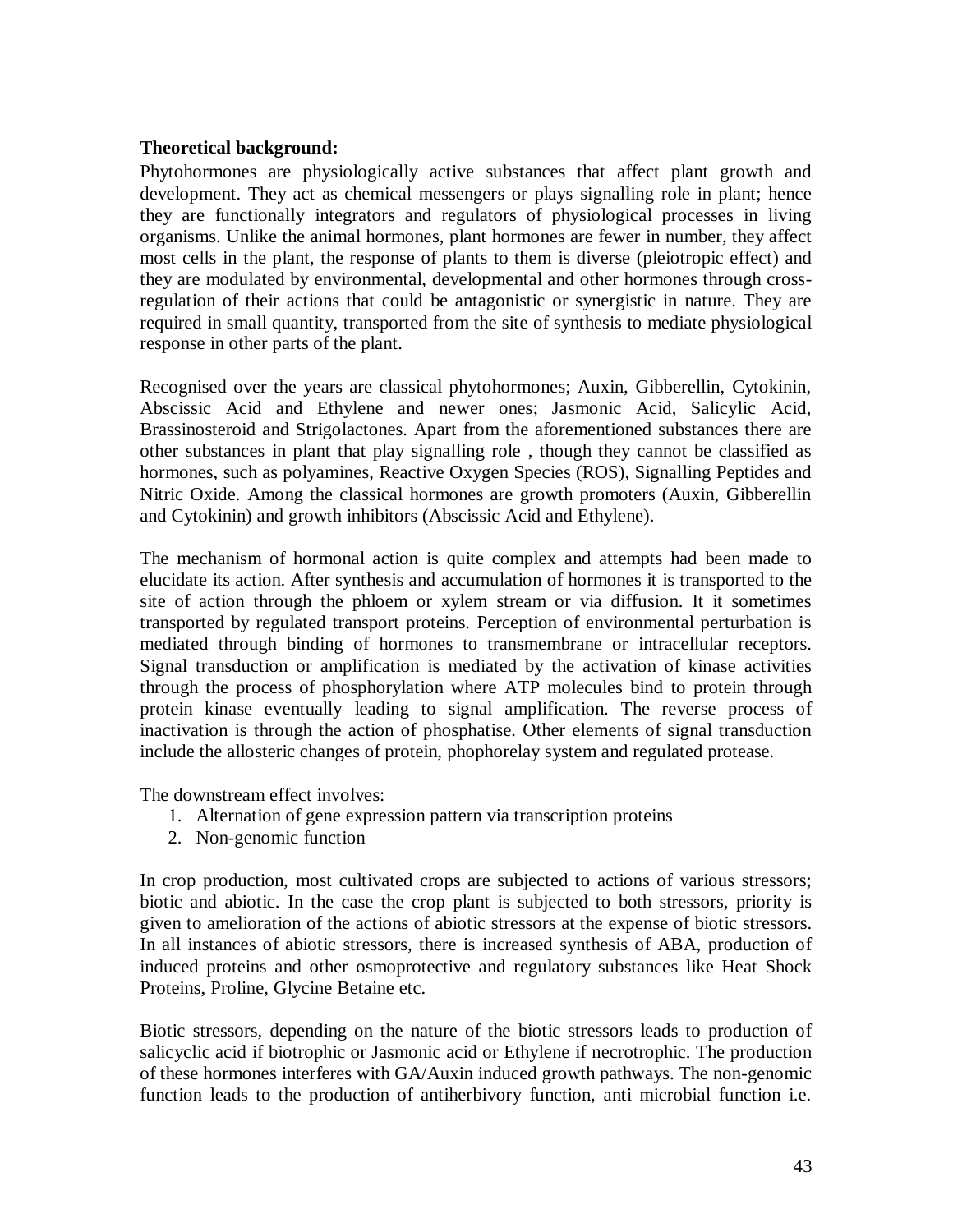#### **Theoretical background:**

Phytohormones are physiologically active substances that affect plant growth and development. They act as chemical messengers or plays signalling role in plant; hence they are functionally integrators and regulators of physiological processes in living organisms. Unlike the animal hormones, plant hormones are fewer in number, they affect most cells in the plant, the response of plants to them is diverse (pleiotropic effect) and they are modulated by environmental, developmental and other hormones through crossregulation of their actions that could be antagonistic or synergistic in nature. They are required in small quantity, transported from the site of synthesis to mediate physiological response in other parts of the plant.

Recognised over the years are classical phytohormones; Auxin, Gibberellin, Cytokinin, Abscissic Acid and Ethylene and newer ones; Jasmonic Acid, Salicylic Acid, Brassinosteroid and Strigolactones. Apart from the aforementioned substances there are other substances in plant that play signalling role , though they cannot be classified as hormones, such as polyamines, Reactive Oxygen Species (ROS), Signalling Peptides and Nitric Oxide. Among the classical hormones are growth promoters (Auxin, Gibberellin and Cytokinin) and growth inhibitors (Abscissic Acid and Ethylene).

The mechanism of hormonal action is quite complex and attempts had been made to elucidate its action. After synthesis and accumulation of hormones it is transported to the site of action through the phloem or xylem stream or via diffusion. It it sometimes transported by regulated transport proteins. Perception of environmental perturbation is mediated through binding of hormones to transmembrane or intracellular receptors. Signal transduction or amplification is mediated by the activation of kinase activities through the process of phosphorylation where ATP molecules bind to protein through protein kinase eventually leading to signal amplification. The reverse process of inactivation is through the action of phosphatise. Other elements of signal transduction include the allosteric changes of protein, phophorelay system and regulated protease.

The downstream effect involves:

- 1. Alternation of gene expression pattern via transcription proteins
- 2. Non-genomic function

In crop production, most cultivated crops are subjected to actions of various stressors; biotic and abiotic. In the case the crop plant is subjected to both stressors, priority is given to amelioration of the actions of abiotic stressors at the expense of biotic stressors. In all instances of abiotic stressors, there is increased synthesis of ABA, production of induced proteins and other osmoprotective and regulatory substances like Heat Shock Proteins, Proline, Glycine Betaine etc.

Biotic stressors, depending on the nature of the biotic stressors leads to production of salicyclic acid if biotrophic or Jasmonic acid or Ethylene if necrotrophic. The production of these hormones interferes with GA/Auxin induced growth pathways. The non-genomic function leads to the production of antiherbivory function, anti microbial function i.e.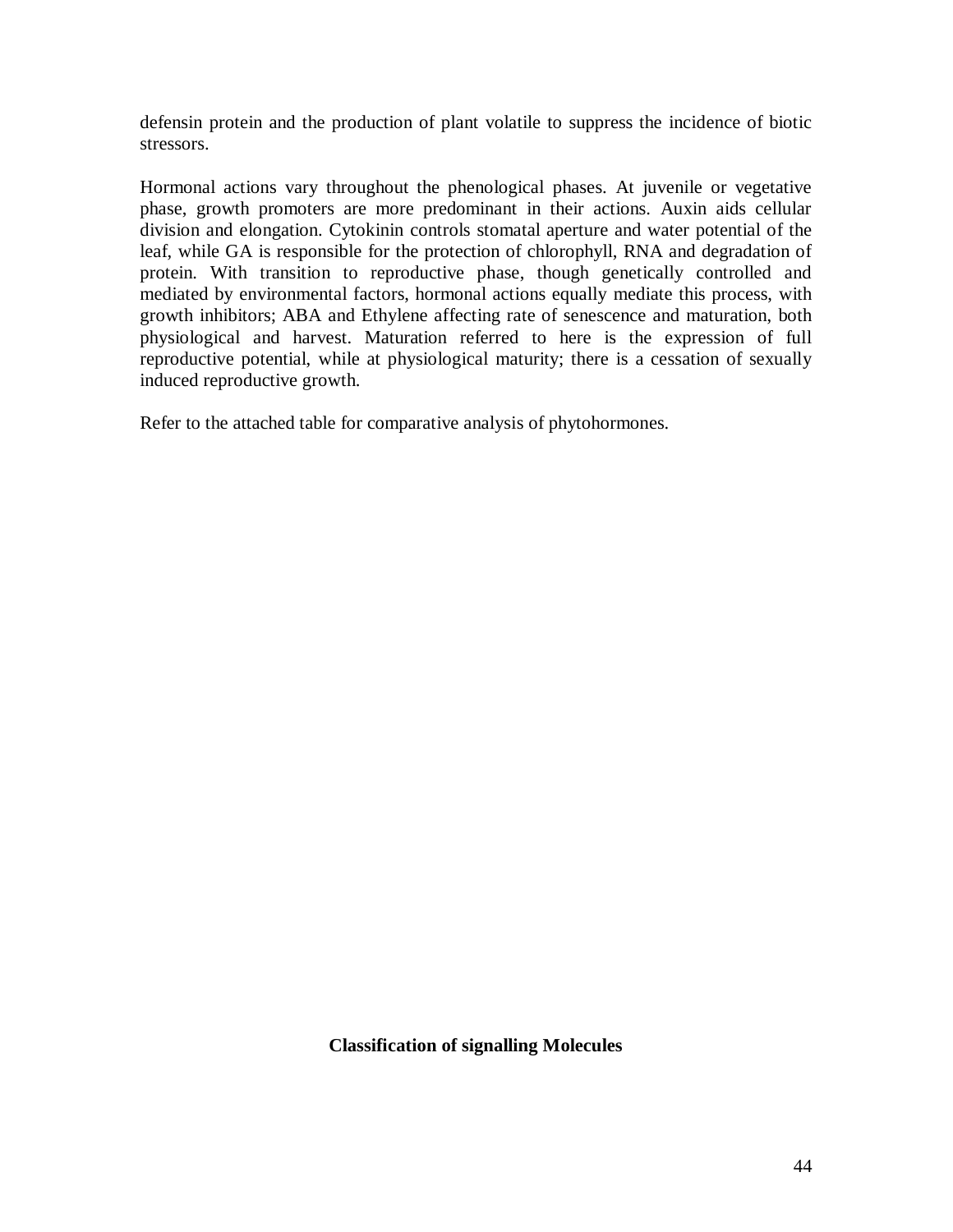defensin protein and the production of plant volatile to suppress the incidence of biotic stressors.

Hormonal actions vary throughout the phenological phases. At juvenile or vegetative phase, growth promoters are more predominant in their actions. Auxin aids cellular division and elongation. Cytokinin controls stomatal aperture and water potential of the leaf, while GA is responsible for the protection of chlorophyll, RNA and degradation of protein. With transition to reproductive phase, though genetically controlled and mediated by environmental factors, hormonal actions equally mediate this process, with growth inhibitors; ABA and Ethylene affecting rate of senescence and maturation, both physiological and harvest. Maturation referred to here is the expression of full reproductive potential, while at physiological maturity; there is a cessation of sexually induced reproductive growth.

Refer to the attached table for comparative analysis of phytohormones.

**Classification of signalling Molecules**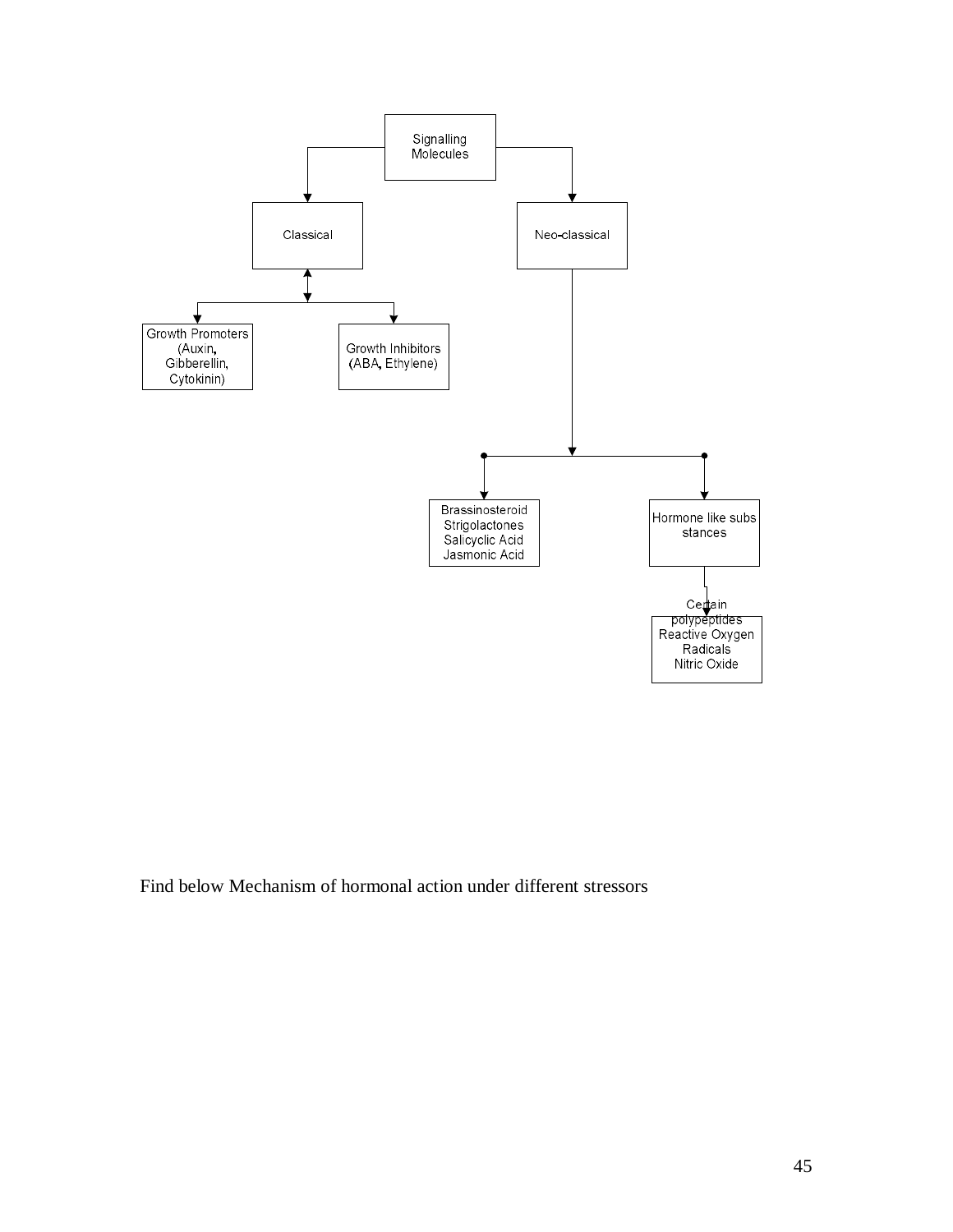

Find below Mechanism of hormonal action under different stressors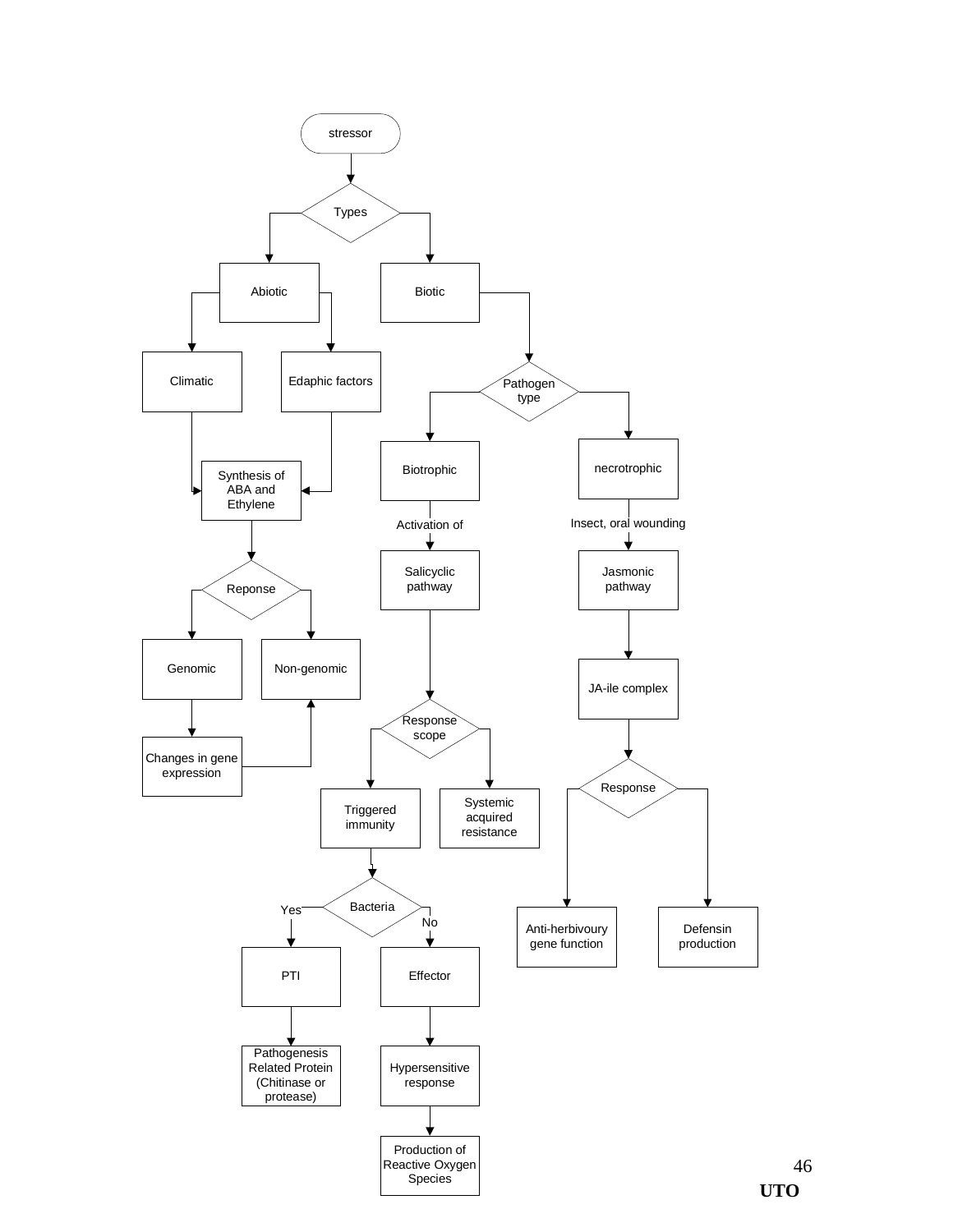